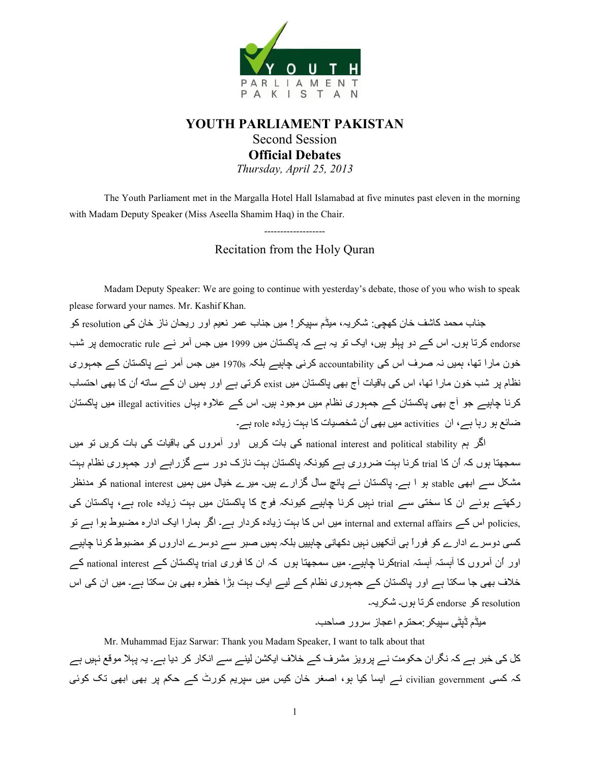

# **YOUTH PARLIAMENT PAKISTAN**  Second Session **Official Debates**  *Thursday, April 25, 2013*

 The Youth Parliament met in the Margalla Hotel Hall Islamabad at five minutes past eleven in the morning with Madam Deputy Speaker (Miss Aseella Shamim Haq) in the Chair.

> ------------------- Recitation from the Holy Quran

Madam Deputy Speaker: We are going to continue with yesterday's debate, those of you who wish to speak please forward your names. Mr. Kashif Khan.

جناب محمد كاشف خان كهجي: شكر يہ، ميڈم سييكر ! ميں جناب عمر نعيم اور ريحان ناز خان كي resolution كو endorse کرتا ہوں۔ اس کے دو پہلو ہیں، ایک تو یہ ہے کہ پاکستان میں 1999 میں جس آمر نے democratic rule پر شب خون مارا تھا، ہمیں نہ صرف اس کی accountability کرنی چاہیے بلکہ 1970s میں جس آمر نے پاکستان کے جمہوری نظام پر شب خون مارا تھا، اس کی باقیات آج بھی پاکستان میں exist کرتی ہے اور ہمیں ان کے ساته اُن کا بھی احتساب کرنا چاہیے جو آج بھی پاکستان کے جمہوری نظام میں موجود ہیں۔ اس کے علاوہ یہاں illegal activities میں پاکستان ضائع ہو رہا ہے، ان activities میں بھی اُن شخصیات کا بہت زیادہ role ہے۔

اگر ہم national interest and political stability کی بات کریں اور آمروں کی باقیات کی بات کریں تو میں سمجھتا ہوں کہ اُن کا trial کرنا بہت ضروری ہے کیونکہ پاکستان بہت نازک دور سے گزر اہے اور جمہوری نظام بہت مشکل سے ابھی stable ہو ا ہے۔ پاکستان نے پانچ سال گزارے ہیں۔ میرے خیال میں ہمیں national interest کو مدنظر رکھتے ہوئے ان کا سختی سے trial نہیں کرنا چاہیے کیونکہ فوج کا پاکستان میں بہت زیادہ role ہے، پاکستان کی ,policies اس کے internal and external affairs میں اس کا بہت زیادہ کردار ہے۔ اگر ہمارا ایک ادارہ مضبوط ہوا ہے تو کسی دوسرے ادارے کو فوراً ہی آنکھیں نہیں دکھانی چاہییں بلکہ ہمیں صبر سے دوسرے اداروں کو مضبوط کرنا چاہیے اور اُن آمروں کا آہستہ آہستہ انہائے کرنا چاہیے۔ میں سمجھتا ہوں کہ ان کا فوری trial پاکستان کے national interest کے خلاف بھی جا سکتا ہے اور پاکستان کے جمہوری نظام کے لیے ایک بہت بڑا خطرہ بھی بن سکتا ہے۔ میں ان کی اس resolution کو endorse کرتا ہوں۔ شکریہ۔

مبڈم ڈیٹے، سبیکر :محترم اعجاز سرور صاحب۔

Mr. Muhammad Ejaz Sarwar: Thank you Madam Speaker, I want to talk about that کل کی خبر ہے کہ نگران حکومت نے پرویز مشرف کے خلاف ایکشن لینے سے انکار کر دیا ہے۔ یہ پہلا موقع نہیں ہے کہ کسی civilian government نے ایسا کیا ہو، اصغر خان کیس میں سپریم کورٹ کے حکم پر بھی ابھی تک کوئی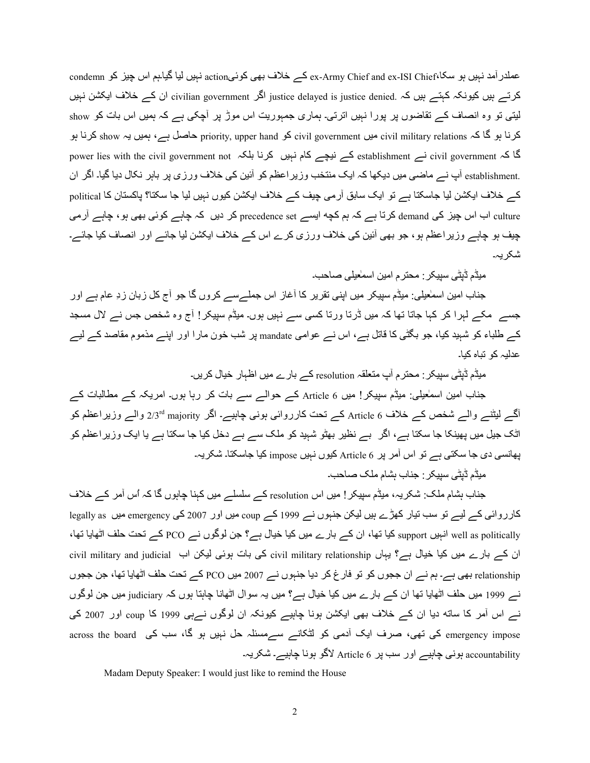عملدر آمد نہیں ہو سکا،ex-Army Chief and ex-ISI Chief نہیں لیا گیاہم اس چیز کو condemn كرتے ہيں كيونكہ كہتے ہيں كہ .justice delayed is justice denied الگر .civilian government ان كے خلاف ايكشن نہيں لیتی تو وہ انصاف کے تقاضوں پر پورا نہیں اترتی۔ ہماری جمہوریت اس موڑ پر آچکی ہے کہ ہمیں اس بات کو show کرنا ہو گا کہ civil military relations میں civil government کا ہے show کرنا ہو show کرنا ہو جن میں یہ show کرنا کا کہ civil government ہے establishment کے نیچے کام نہیں کرنا بلکہ power lies with the civil government not .establishment آپ نے ماضی میں دیکھا کہ ایک منتخب وزیر اعظم کو آئین کی خلاف ورزی پر بابر نکال دیا گیا۔ اگر ان کے خلاف ایکشن لیا جاسکتا ہے تو ایک سابق آرمی چیف کے خلاف ایکشن کیوں نہیں لیا جا سکتا؟ پاکستان کا political culture اب اس چیز کی demand کرتا ہے کہ ہم کچه ایسے precedence set کر دیں کہ چاہے کوئی بھی ہو ، چاہے آر می چیف ہو چاہے وزیر اعظم ہو ، جو بھی آئین کی خلاف ورزی کرے اس کے خلاف ایکشن لیا جائے اور انصاف کیا جائے۔ شکر یہ۔

میڈم ڈیٹی سیپکر : محتر م امین اسمٰعیلی صـاحب۔

جناب امین اسمٰعیلی: میڈم سپیکر میں اپنی تقریر کا أغاز اس جملےسے کروں گا جو أج کل زبان زدِ عام ہے اور جسے ً مکے لہرا کر کہا جاتا تھا کہ میں ڈرتا ورتا کسی سے نہیں ہوں۔ میڈم سپیکر ! آج وہ شخص جس نے لال مسجد کے طلباء کو شہید کیا، جو بگٹی کا قاتل ہے، اس نے عوامی mandate پر شب خون مارا اور اپنے مذموم مقاصد کے لیے عدلیہ کو تباہ کیا۔

میڈم ڈیٹی سیبکر : محترم آپ متعلقہ resolution کے بارے میں اظہار خیال کریں۔

جناب امین اسمٰعیلی: میڈم سپیکر! میں 6 Article کے حوالے سے بات کر رہا ہوں۔ امریکہ کے مطالبات کے آگے لیٹنے والے شخص کے خلاف 6 Article کے تحت کارروائی ہونی چاہیے۔ اگر 2/3<sup>rd</sup> majority والے وزیراعظم کو اٹک جیل میں پھینکا جا سکتا ہے ، اگر بے نظیر بھٹو شبید کو ملک سے بے دخل کیا جا سکتا ہے یا ایک وزیر اعظم کو پھانسی دی جا سکتی ہے تو اس آمر پر Article 6 کیوں نہیں impose کیا جاسکتا۔ شکریہ۔

میڈم ڈیٹی سیپکر : جناب بشام ملک صاحب۔

جناب بشام ملک: شکریہ، میڈم سپیکر! میں اس resolution کے سلسلے میں کہنا چاہوں گا کہ اُس آمر کے خلاف کارروائی کے لیے تو سب تیار کھڑے ہیں لیکن جنہوں نے 1999 کے coup میں اور 2007 کی emergency میں legally as well as politically انہیں support کیا تھا، ان کے بارے میں کیا خیال ہے؟ جن لوگوں نے PCO کے تحت حلف اٹھایا تھا، ان کے بارے میں کیا خیال ہے؟ یہاں civil military relationship کی بات ہوئی لیکن اب sivil military and judicial relationship بھی ہے۔ ہم نسر ان ججوں کو تو فارغ کر دیا جنبوں نسر 2007 میں PCO کسر تحت حلف اٹھایا تھا، جن ججوں نسر 1999 میں حلف اٹھایا تھا ان کسر بارے میں کیا خیال ہے؟ میں یہ سوال اٹھانا چاہتا ہوں کہ judiciary میں جن لوگوں نے اس آمر کا ساته دیا ان کے خلاف بھی ایکشن ہونا چاہیے کیونکہ ان لوگوں نےہی 1999 کا coup اور 2007 کی across the board کی تھی، صرف ایک آدمی کو لٹکانے سےمسئلہ حل نہیں ہو گا، سب کی across the board accountability ہونی چاہیے اور سب پر 6 Article لاگو ہونا چاہیے۔ شکریہ۔

Madam Deputy Speaker: I would just like to remind the House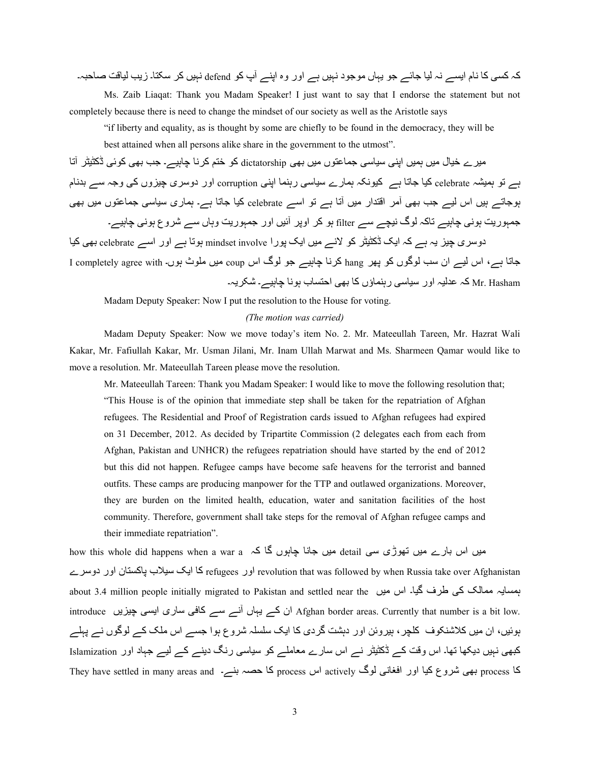کہ کسی کا نام ایسے نہ لیا جائے جو یہاں موجود نہیں ہے اور وہ اپنے آپ کو defend نہیں کر سکتا۔ زیب لیاقت صاحبہ۔

 Ms. Zaib Liaqat: Thank you Madam Speaker! I just want to say that I endorse the statement but not completely because there is need to change the mindset of our society as well as the Aristotle says

"if liberty and equality, as is thought by some are chiefly to be found in the democracy, they will be best attained when all persons alike share in the government to the utmost".

میر ے خیال میں ہمیں اپنی سیاسی جماعتوں میں بھی dictatorship کو ختم کر نا چاہیے۔ جب بھی کوئی ڈکٹیٹر آتا ہے تو ہمیشہ celebrate کیا جاتا ہے کیونکہ ہمارے سیاسی رہنما اپنی corruption اور دوسری چیزوں کی وجہ سے بدنام بوجاتے ہیں اس لیے جب بھی آمر اقتدار میں آتا ہے تو اسے celebrate کیا جاتا ہے۔ ہماری سیاسی جماعتوں میں بھی جمہوریت ہونی چاہیے تاکہ لوگ نیچے سے filter ہو کر اوپر آئیں اور جمہوریت وہاں سے شروع ہونی چاہیے۔ دوسری چیز یہ ہے کہ ایک ڈکٹیٹر کو لانے میں ایک پورا mindset involve ہوتا ہے اور اسے celebrate بھی کیا جاتا ہے۔، اس لیے ان سب لوگوں کو پھر hang کرنا چاہیے جو لوگ اس coup میں ملوث ہوں۔ I completely agree with ا Mr. Hasham کہ عدلیہ اور سیاسی رہنماؤں کا بھی احتساب ہونا چاہیے۔ شکریہ۔

Madam Deputy Speaker: Now I put the resolution to the House for voting.

#### *(The motion was carried)*

 Madam Deputy Speaker: Now we move today's item No. 2. Mr. Mateeullah Tareen, Mr. Hazrat Wali Kakar, Mr. Fafiullah Kakar, Mr. Usman Jilani, Mr. Inam Ullah Marwat and Ms. Sharmeen Qamar would like to move a resolution. Mr. Mateeullah Tareen please move the resolution.

Mr. Mateeullah Tareen: Thank you Madam Speaker: I would like to move the following resolution that; "This House is of the opinion that immediate step shall be taken for the repatriation of Afghan refugees. The Residential and Proof of Registration cards issued to Afghan refugees had expired on 31 December, 2012. As decided by Tripartite Commission (2 delegates each from each from Afghan, Pakistan and UNHCR) the refugees repatriation should have started by the end of 2012 but this did not happen. Refugee camps have become safe heavens for the terrorist and banned outfits. These camps are producing manpower for the TTP and outlawed organizations. Moreover, they are burden on the limited health, education, water and sanitation facilities of the host community. Therefore, government shall take steps for the removal of Afghan refugee camps and their immediate repatriation".

how this whole did happens when a war a ہیں جانا چاہوں گا کہ how this whole did happens when a war a revolution that was followed by when Russia take over Afghanistan اور دوسر ے refugees کا ایک سیلاب پاکستان اور دوسرے about 3.4 million people initially migrated to Pakistan and settled near the رہسایہ ممالک کی طرف گیا۔ اس میں introduce ان کے یہاں آنے سے کافی ساری ایسی چیزیں introduce سماری ایسی چیزیں introduce ان کے یہاں بوئیں، ان میں کلاشنکوف کلچر ، بیروئن اور دہشت گردی کا ایک سلسلہ شروع ہوا جسے اس ملک کے لوگوں نے پہلے کبھی نہیں دیکھا تھا۔ اس وقت کے ڈکٹیٹر نے اس سارے معاملے کو سیاسی رنگ دینے کے لیے جہاد اور Islamization کا process بھی شروع کیا اور افغانی لوگ actively اس process کا حصہ بنے۔ They have settled in many areas and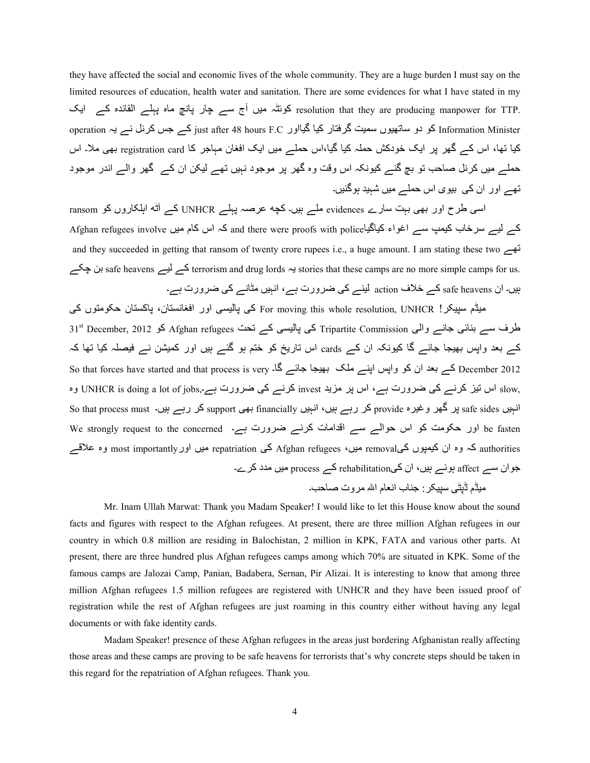they have affected the social and economic lives of the whole community. They are a huge burden I must say on the limited resources of education, health water and sanitation. There are some evidences for what I have stated in my resolution that they are producing manpower for TTP. کوئٹہ میں آج سے چار پانچ ماہ پہلے القائدہ کے ایک operation کو دو ساتھیوں سمیت گرفتار کیا گیااور just after 48 hours F.C کے جس کرنل نے یہ operation کو دو ساتھیوں کیا تھا، اس کے گھر پر ایک خودکش حملہ کیا گیا،اس حملے میں ایک افغان مہاجر کا registration card بھی ملا۔ اس حملے میں کرنل صاحب تو بچ گئے کیونکہ اس وقت وہ گھر پر موجود نہیں تھے لیکن ان کے گھر والے اندر موجود تھے اور ان کی بیوی اس حملے میں شہید ہوگئیں۔

اسی طرح اور بھی بہت سارے evidences ملے ہیں۔کچه عرصہ پہلے UNHCR کے آٹته اہلکاروں کو ransom کے لیے سرخاب کیمپ سے اغواء کیاگیاAfghan refugees involve کہ اس کام میں Afghan refugees involve and they succeeded in getting that ransom of twenty crore rupees i.e., a huge amount. I am stating these two  $\overline{c}$ terrorism and drug lords ∻ stories that these camps are no more simple camps for us. ہن چکے ہیں۔ ان safe heavens کے خلاف action لینے کی ضرورت ہے، انہیں مثانے کی ضرورت ہے۔

میڈم سیپکر! For moving this whole resolution, UNHCR کی پالیسی اور افغانستان، پاکستان حکومتوں کی 31st December, 2012 کو Afghan refugees کی پالیسی کے تحت afghan refugees کو 3012 Fripartite Commission کا ا کے بعد واپس بھیجا جائے گا کیونکہ ان کے cards اس تاریخ کو ختم ہو گئے ہیں اور کمیشن نے فیصلہ کیا تھا کہ So that forces have started and that process is very کے بعد ان کو واپس اپنے ملک بھیجا جائے گا۔ So <sub>slow,</sub> اس تیز کرنے کی ضرورت ہے، اس پر مزید invest کرنے کی ضرورت ہے۔,UNHCR is doing a lot of jobs وہ انہیں safe sides پر گھر وغیرہ provide کر رہے ہیں، انہیں financially بھی support کر رہے ہیں۔ So that process must be fasten اور حکومت کو اس حوالے سے اقدامات کرنے ضرورت ہے۔ We strongly request to the concerned authorities کہ وہ ان کیمپوں کیremoval میں، Afghan refugees کی repatriation میں اور most importantly وہ علاقے جوان سے affect ہوئے ہیں، ان کے،rehabilitation کے process میں مدد کرے۔ میڈم ڈیٹے سبیکر : جناب انعام اللہ مر و ت صاحب۔

Mr. Inam Ullah Marwat: Thank you Madam Speaker! I would like to let this House know about the sound facts and figures with respect to the Afghan refugees. At present, there are three million Afghan refugees in our country in which 0.8 million are residing in Balochistan, 2 million in KPK, FATA and various other parts. At present, there are three hundred plus Afghan refugees camps among which 70% are situated in KPK. Some of the famous camps are Jalozai Camp, Panian, Badabera, Sernan, Pir Alizai. It is interesting to know that among three million Afghan refugees 1.5 million refugees are registered with UNHCR and they have been issued proof of registration while the rest of Afghan refugees are just roaming in this country either without having any legal documents or with fake identity cards.

Madam Speaker! presence of these Afghan refugees in the areas just bordering Afghanistan really affecting those areas and these camps are proving to be safe heavens for terrorists that's why concrete steps should be taken in this regard for the repatriation of Afghan refugees. Thank you.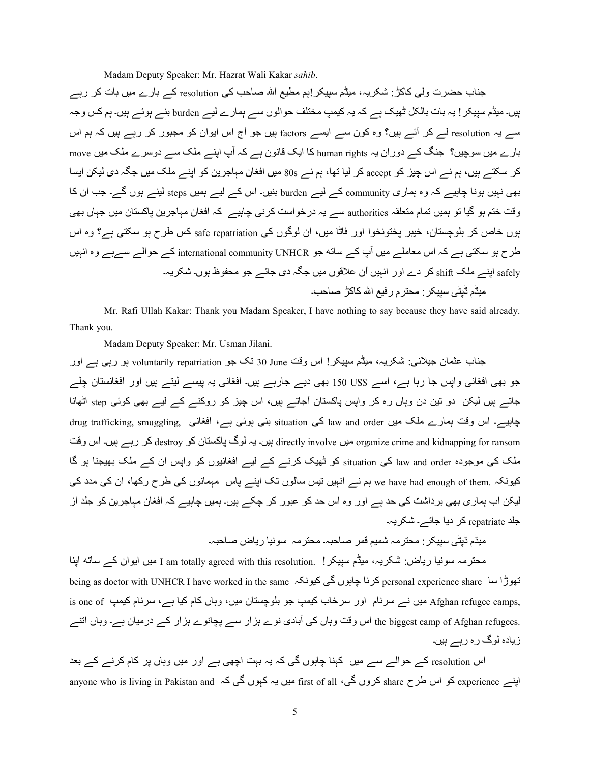Madam Deputy Speaker: Mr. Hazrat Wali Kakar *sahib*.

جناب حضرت ولی کاکڑ : شکریہ، میڈم سپیکر اہم مطیع اللہ صاحب کی resolution کے بارے میں بات کر رہے ہیں۔ میڈم سپیکر ! یہ بات بالکل ٹھیک ہے کہ یہ کیمپ مختلف حوالوں سے ہمارے لیے burden بنے ہوئے ہیں۔ ہم کس وجہ سے یہ resolution لے کر آئے ہیں؟ وہ کون سے ایسے factors ہیں جو آج اس ایوان کو مجبور کر رہے ہیں کہ ہم اس بارے میں سوچیں؟ جنگ کے دوران یہ human rights کا ایک قانون ہے کہ آپ اپنے ملک سے دوسرے ملک میں move کر سکتے ہیں، ہم نے اس چیز کو accept کر لیا تھا، ہم نے 80s میں افغان مہاجرین کو اپنے ملک میں جگہ دی لیکن ایسا بھی نہیں ہونا چاہیے کہ وہ ہماری community کے لیے burden بنیں۔ اس کے لیے ہمیں steps لینے ہوں گے۔ جب ان کا وقت ختم ہو گیا تو ہمیں تمام متعلقہ authorities سے یہ درخواست کرنے چاہیے کہ افغان مہاجرین پاکستان میں جہاں بھی بوں خاص کر بلوچستان، خیبر پختونخوا اور فاٹا میں، ان لوگوں کی safe repatriation کس طرح ہو سکتی ہے؟ وہ اس طرح ہو سکتی ہے کہ اس معاملے میں آپ کے ساته جو international community UNHCR کے حوالے سےہے وہ انہیں safely اپنے ملک shift کر دے اور انبیں اُن علاقوں میں جگہ دی جائے جو محفوظ ہوں۔ شکریہ۔ میڈم ڈیٹی سپیکر : محتر م ر فیع اللہ کاکڑ |صاحب۔

Mr. Rafi Ullah Kakar: Thank you Madam Speaker, I have nothing to say because they have said already. Thank you.

Madam Deputy Speaker: Mr. Usman Jilani.

جناب عثمان جیلانی: شکریہ، میڈم سپیکر! اس وقت 30 June ذک جو voluntarily repatriation ہو رہی ہے اور جو بھی افغانی واپس جا رہا ہے، اسے \$150 US بھی دیے جارہے ہیں۔ افغانی یہ پیسے لیتے ہیں اور افغانستان چلے جاتے ہیں لیکن دو تین دن وہاں رہ کر واپس پاکستان آجاتے ہیں، اس چیز کو روکنے کے لیے بھی کوئی step اٹھانا جابیے۔ اس وقت ہمارے ملک میں law and order کی situation بنی ہوئی ہے، افغانی drug trafficking, smuggling, جابیے ynو اس ں۔Aہ رہے? 2 destroy S2 ن4TU24V گS ہH ں۔Aہ directly involve ںA; organize crime and kidnapping for ransom ملک کی موجودہ law and order کی situation کو ٹھیک کرنے کے لیے افغانیوں کو واپس ان کے ملک بھیجنا ہو گا کیونکہ .we have had enough of them ہم نے انہیں نیس سالوں تک اپنے پاس مہمانوں کی طرح رکھا، ان کی مدد کی لیکن اب ہماری بھی برداشت کی حد ہے اور وہ اس حد کو عبور کر چکے ہیں۔ ہمیں چاہیے کہ افغان مہاجرین کو جلد از جلد repatriate کر دیا جائے۔ شکر یہ۔

میڈم ڈیٹی سپیکر : محترمہ شمیم قمر صاحبہ۔ محترمہ سونیا ریاض صاحبہ۔

محترمہ سونیا ریاض: شکریہ، میڈم سپیکر! .I am totally agreed with this resolution میں ایوان کے ساته اپنا being as doctor with UNHCR I have worked in the same کرنا چاہوں گی کیونکہ being as doctor with UNHCR I have worked in the same is one of میں نے سرنام اور سرخاب کیمپ جو بلوچستان میں، وہاں کام کیا ہے، سرنام کیمپ is one of ز .the biggest camp of Afghan refugees اس وفت وہاں کی آبادی نوے ہزار سے پچانوے ہزار کے درمیان ہے۔ وہاں انتے ز پادہ لوگ ر ہ ر بے ہیں۔

اس resolution کے حوالے سے میں کہنا چاہوں گی کہ یہ بہت اچھی ہے اور میں وہاں پر کام کرنے کے بعد anyone who is living in Pakistan and کروں گی، first of all میں یہ کہوں گی کہ anyone who is living in Pakistan and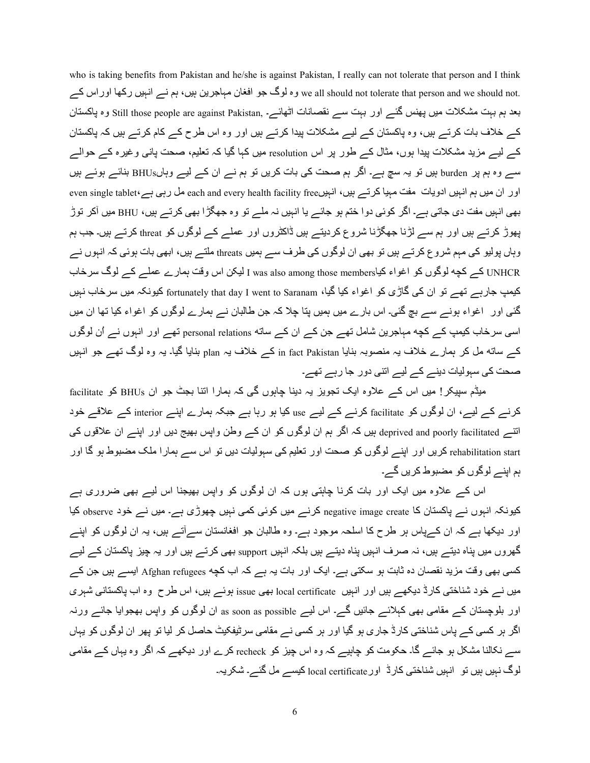who is taking benefits from Pakistan and he/she is against Pakistan, I really can not tolerate that person and I think we all should not tolerate that person and we should not. وہ لوگ جو افغان مہاجرین ہیں، ہم نے انہیں رکھا اوراس کے بعد ہم بہت مشکلات میں پھنس گئے اور بہت سے نقصانات اٹھائے۔ Still those people are against Pakistan, وہ پاکستان کے خلاف بات کرتے ہیں، وہ پاکستان کے لیے مشکلات پیدا کرتے ہیں اور وہ اس طرح کے کام کرتے ہیں کہ پاکستان کے لیے مزید مشکلات پیدا ہوں، مثال کے طور پر اس resolution میں کہا گیا کہ تعلیم، صحت یانی وغیرہ کے حوالے سے وہ ہم پر burden ہیں تو یہ سچ ہے۔ اگر ہم صحت کی بات کریں تو ہم نے ان کے لیے وہاںBHUs بنائے ہوئے ہیں even single tablet، اور ان میں ہم انہیں ادویات مفت مہیا کرتے ہیں، انہیںfree ،ہیں ہو each and every health facility free بھی انبیں مفت دی جاتی ہے۔ اگر کوئی دوا ختم ہو جائے یا انبیں نہ ملے تو وہ جھگڑا بھی کرتے ہیں، BHU میں آکر توڑ پھوڑ کرتے ہیں اور ہم سے لڑنا جھگڑنا شروع کردیتے ہیں ڈاکٹروں اور عملے کے لوگوں کو threat کرتے ہیں۔ جب ہم وہاں پولیو کی مہم شروع کرتے ہیں تو بھی ان لوگوں کی طرف سے ہمیں threats ملتے ہیں، ابھی بات ہوئی کہ انہوں نے UNHCR کے کچه لوگوں کو اغواء کیاl I was also among those members الیکن اس وقت ہمارے عملے کے لوگ سرخاب کیمپ جارہے تھے تو ان کی گاڑی کو اغواء کیا گیا، fortunately that day I went to Saranam کیونکہ میں سرخاب نہیں گئی اور اغواء ہونے سے بچ گئی۔ اس بارے میں ہمیں پتا چلا کہ جن طالبان نے ہمارے لوگوں کو اغواء کیا تھا ان میں اسی سرخاب کیمپ کے کچه مہاجرین شامل تھے جن کے ان کے ساته personal relations تھے اور انہوں نے اُن لوگوں کہ ساته مل کر ہمارے خلاف بہ منصوبہ بنایا in fact Pakistan کہ خلاف بہ plan بنایا گیا۔ یہ وہ لوگ تھہ جو انہیں صحت کی سہولیات دینے کے لیے اتنی دور جا رہے تھے۔

میڈم سپیکر! میں اس کے علاوہ ایک تجویز یہ دینا چاہوں گی کہ ہمارا اتنا بجٹ جو ان BHUs کو facilitate کرنے کے لیے، ان لوگوں کو facilitate کرنے کے لیے use کیا ہو رہا ہے جبکہ ہمارے اپنے interior کے علاقے خود اتنے deprived and poorly facilitated ہیں کہ اگر ہم ان لوگوں کو ان کے وطن واپس بھیج دیں اور اپنے ان علاقوں کی rehabilitation start کریں اور اپنے لوگوں کو صحت اور تعلیم کی سہولیات دیں تو اس سے ہمارا ملک مضبوط ہو گا اور ہم اپنے لوگوں کو مضبوط کریں گے۔

اس کے علاوہ میں ایک اور بات کرنا چاہتی ہوں کہ ان لوگوں کو واپس بھیجنا اس لیے بھی ضروری ہے کیونکہ انہوں نے پاکستان کا negative image create کرنے میں کوئی کمی نہیں چھوڑی ہے۔ میں نے خود observe کیا اور دیکھا ہے کہ ان کےپاس ہر طرح کا اسلحہ موجود ہے۔ وہ طالبان جو افغانستان سےآتے ہیں، یہ ان لوگوں کو اپنے گھروں میں پناہ دیتے ہیں، نہ صرف انہیں پناہ دیتے ہیں بلکہ انہیں support بھی کرتے ہیں اور یہ چیز پاکستان کے لیے کسی بھی وقت مزید نقصان دہ ثابت ہو سکتی ہے۔ ایک اور بات یہ ہے کہ اب کچه Afghan refugees ایسے ہیں جن کے میں نے خود شناختی کارڈ دیکھے ہیں اور انہیں local certificate بھی issue ہوئے ہیں، اس طرح وہ اب پاکستانی شہری اور بلوچستان کے مقامی بھی کہلائے جائیں گے۔ اس لیے as soon as possible ان لوگوں کو واپس بھجوایا جائے ورنہ اگر ہر کسی کے پاس شناختی کارڈ جاری ہو گیا اور ہر کسی نے مقامی سرٹیفکیٹ حاصل کر لیا تو پھر ان لوگوں کو پہاں سے نکالنا مشکل ہو جائے گا۔ حکومت کو چاہیے کہ وہ اس چیز کو recheck کرے اور دیکھے کہ اگر وہ یہاں کے مقامی لوگ نہیں ہیں تو انہیں شناختی کارڈ اور local certificate کیسے مل گئے۔ شکریہ۔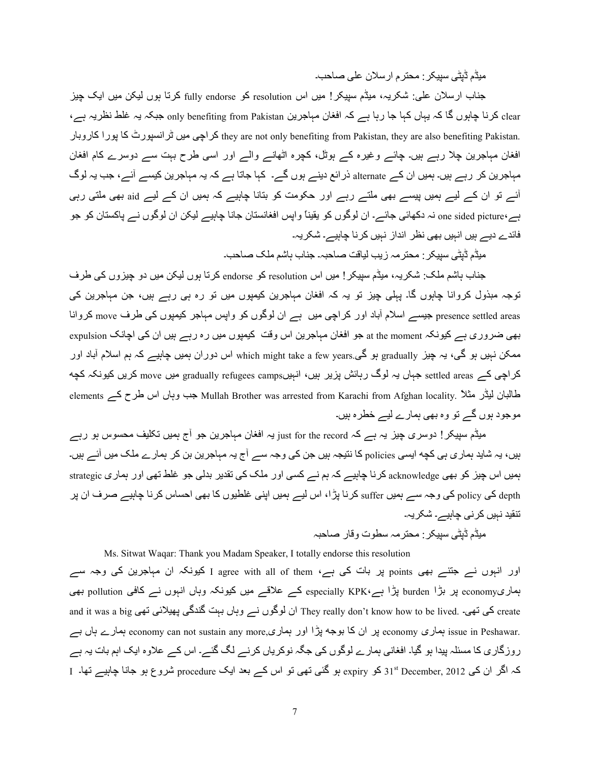میڈم ڈیٹی سپیکر : محتر م ار سلان علی صاحب۔

جناب ارسلان علی: شکریہ، میڈم سپیکر! میں اس resolution کو fully endorse کرتا ہوں لیکن میں ایک چیز clear کرنا چاہوں گا کہ یہاں کہا جا رہا ہے کہ افغان مہاجرین only benefiting from Pakistan جبکہ یہ غلط نظریہ ہے، راجی میں ٹرانسپورٹ کا بورا کاروبار they are not only benefiting from Pakistan, they are also benefiting Pakistan. افغان مہاجرین چلا رہے ہیں۔ چائے وغیرہ کے ہوٹل، کچرہ اٹھانے والے اور اسی طرح بہت سے دوسرے کام افغان مہاجرین کر رہے ہیں۔ ہمیں ان کے alternate ذرائع دینے ہوں گے۔ کہا جاتا ہے کہ یہ مہاجرین کیسے آئے، جب یہ لوگ آئے تو ان کے لیے ہمیں پیسے بھی ملتے رہے اور حکومت کو بتانا چاہیے کہ ہمیں ان کے لیے aid بھی ملتی رہی ہے،one sided picture نہ دکھائی جائے۔ ان لوگوں کو یقیناً واپس افغانستان جانا چاہیے لیکن ان لوگوں نے پاکستان کو جو فائدے دیے ہیں انہیں بھی نظر ِ انداز نہیں کر نا چاہیے۔ شکر یہ۔

میڈم ڈیٹے سبیکر : محتر مہ ز بب لیاقت صاحبہ۔ جناب باشم ملک صاحب۔

جناب ہاشم ملک: شکریہ، میڈم سیپکر! میں اس resolution کو endorse کرتا ہوں لیکن میں دو چیزوں کی طرف توجہ مبذول کروانا چاہوں گا۔ پہلی چیز تو یہ کہ افغان مہاجرین کیمپوں میں تو رہ ہی رہے ہیں، جن مہاجرین کی presence settled areas جیسے اسلام آباد اور کراچی میں ہے ان لوگوں کو واپس مہاجر کیمپوں کی طرف move کروانا بھی ضروری ہے کیونکہ at the moment جو افغان مہاجرین اس وقت کیمپوں میں رہ رہے ہیں ان کی اچانک expulsion ممکن نہیں ہو گی، یہ چیز gradually ہو گی.gradually اس سوران ہمیں چاہیے کہ ہم اسلام آباد اور کراچی کے settled areas جہاں یہ لوگ رہائش پزیر ہیں، انہیںgradually refugees camps میں move کریں کیونکہ کچه elements حب وہاں اس طرح کے Mullah Brother was arrested from Karachi from Afghan locality. نبات اس طرح کے موجود ہوں گے تو وہ بھی ہمارے لیے خطرہ ہیں۔

میڈم سپیکر ! دوسری چیز یہ ہے کہ just for the record یہ افغان مہاجرین جو آج ہمیں تکلیف محسوس ہو رہے ہیں، یہ شاید ہماری ہی کچه ایسی policies کا نتیجہ ہیں جن کی وجہ سے آج یہ مہاجرین بن کر ہمارے ملک میں آئے ہیں۔ ہمیں اس چیز کو بھی acknowledge کرنا چاہیے کہ ہم نے کسی اور ملک کی تقدیر بدلی جو غلط تھی اور ہماری strategic depth کی policy کی وجہ سے ہمیں suffer کرنا پڑا، اس لیے ہمیں اپنی غلطیوں کا بھی احساس کرنا چاہیے صرف ان پر تنقید نہیں کرنی چاہیے۔ شکر یہ۔

مبڈم ڈبٹے سببکر : محتر مہ سطوت و قار ۔صاحبہ

Ms. Sitwat Waqar: Thank you Madam Speaker, I totally endorse this resolution

اور انہوں نے جتنے بھی points پر بات کی ہے، I agree with all of them کیونکہ ان مہاجرین کی وجہ سے ہماریeconomy پر بڑا burden پڑا ہے،KPK کے علاقے میں کیونکہ وہاں انہوں نے کافی pollution بھی and it was a big کی تھی۔ .They really don't know how to be lived ان لوگوں نے وہاں بہت گندگی پھیلائی تھی and it ہ نہ وہ میں وہ economy can not sustain any more,پر ان کا بوجہ پڑا اور ہماری پہار رہی ہوں ہے جاں بے economy can روزگاری کا مسئلہ پیدا ہو گیا۔ افغانی ہمارے لوگوں کی جگہ نوکریاں کرنے لگ گئے۔ اس کے علاوہ ایک اہم بات یہ ہے کہ اگر ان کی December, 2012 کو expiry ہو گئی تھی تو اس کے بعد ایک procedure شروع ہو جانا چاہیے تھا۔ I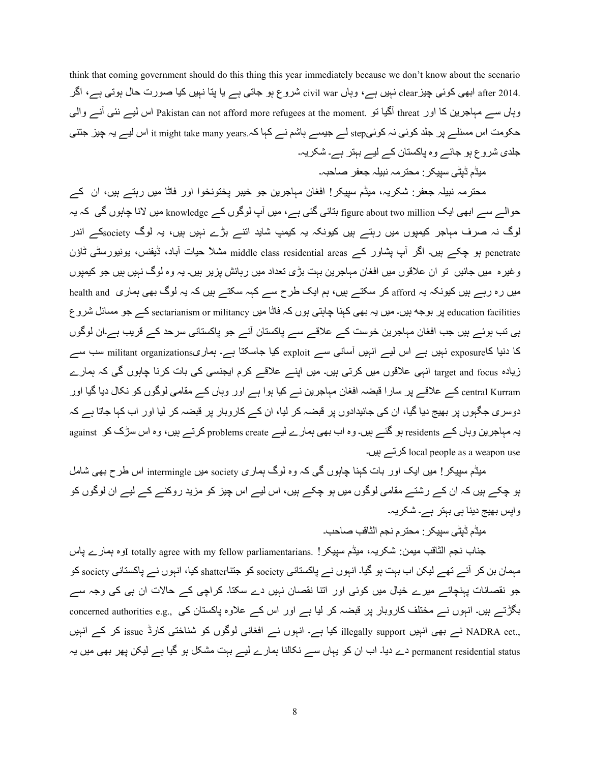think that coming government should do this thing this year immediately because we don't know about the scenario .after 2014 ابھی کوئی چیز clear نہیں ہے، وہاں civil war شروع ہو جاتی ہے یا پنا نہیں کیا صورت حال ہوتی ہے، اگر وہاں سہ مہاجرین کا اور threat آگیا تو .Pakistan can not afford more refugees at the moment اس لیسر نئی آنسر والمی حکومت اس مسئلے پر جلد کوئی نہ کوئیstep لے جیسے ہاشم نے کہا کہ it might take many years اس لیے یہ چیز جتنی جلدی شروع ہو جائے وہ پاکستان کے لیے بہتر ہے۔ شکریہ۔

میڈم ڈیٹے سبیکر : محتر مہ نبیلہ جعفر ۔صاحبہ۔

محترمہ نبیلہ جعفر : شکریہ، میڈم سیپکر! افغان مہاجرین جو خیبر پختونخوا اور فاٹا میں رہتـے ہیں، ان کـے حوالے سے ابھی ایک figure about two million بتائی گئی ہے، میں آپ لوگوں کے knowledge میں لانا جابوں گی کہ یہ لوگ نہ صرف مہاجر کیمپوں میں رہتے ہیں کیونکہ یہ کیمپ شاید اتنے بڑے نہیں ہیں، یہ لوگ societyکے اندر penetrate بو چکے ہیں۔ اگر آپ بِشاور کے middle class residential areas مشلاً حیات آباد، ڈیفنس، یونیورسٹی ٹاؤن وغیرہ میں جائیں تو ان علاقوں میں افغان مہاجرین بہت بڑی تعداد میں رہائش پزیر ہیں۔ یہ وہ لوگ نہیں ہیں جو کیمیوں میں رہ رہے ہیں کیونکہ یہ afford کر سکتے ہیں، ہم ایک طرح سے کہہ سکتے ہیں کہ یہ لوگ بھی ہماری health and education facilities پر بوجه ہیں۔ میں یہ بھی کہنا چاہتی ہوں کہ فاٹا میں sectarianism or militancy کے جو مسائل شروع ہی تب ہوئے ہیں جب افغان مہاجرین خوست کے علاقے سے پاکستان آئے جو پاکستانی سرحد کے قریب ہے۔ان لوگوں کا دنیا کاexposure نہیں ہے۔ اس لیے انہیں آسانی سے exploit کیا جاسکتا ہے۔ ہماریemilitant organizations سب سے زیادہ target and focus انہی علاقوں میں کرتی ہیں۔ میں اپنے علاقے کرم ایجنسی کی بات کرنا چاہوں گی کہ ہمارے central Kurram کے علاقے پر سارا قبضہ افغان مہاجرین نے کیا ہوا ہے اور وہاں کے مقامی لوگوں کو نکال دیا گیا اور دوسری جگہوں پر بھیج دیا گیا، ان کی جائیدادوں پر قبضہ کر لیا، ان کے کاروبار پر قبضہ کر لیا اور اب کہا جاتا ہے کہ یہ مہاجرین وہاں کے residents ہو گئے ہیں۔ وہ اب بھی ہمارے لیے problems create کرتے ہیں، وہ اس سڑک کو against دتے ہیں۔ local people as a weapon use

میڈم سپیکر ! میں ایک اور بات کہنا چاہوں گی کہ وہ لوگ ہماری society میں intermingle اس طرح بھی شامل ہو چکے ہیں کہ ان کے رشتے مقامی لوگوں میں ہو چکے ہیں، اس لیے اس چیز کو مزید روکنے کے لیے ان لوگوں کو واپس بھیج دینا ہے بہتر ہے۔ شکریہ۔

میڈم ڈیٹی سیپکر : محتر م نجم الثاقب صاحب۔

جناب نجم الثاقب میمن: شکریہ، میٹ<sup>ن</sup>م سپیکر! .totally agree with my fellow parliamentarians **اوہ ب**مارے پاس مہمان بن کر آئے تھے لیکن اب بہت ہو گیا۔ انہوں نے پاکستانی society کو جتناshatter کیا، انہوں نے پاکستانی society جو نقصانات پہنچائے میرے خیال میں کوئی اور اتنا نقصان نہیں دے سکتا۔ کراچی کے حالات ان ہی کی وجہ سے بگڑتے ہیں۔ انہوں نے مختلف کاروبار پر قبضہ کر لیا ہے اور اس کے علاوہ پاکستان کی ,concerned authorities e.g ,NADRA ect نے بھی انہیں illegally support کیا ہے۔ انہوں نے افغانی لوگوں کو شناختی کارڈ issue کر کے انہیں permanent residential status دے دیا۔ اب ان کو یہاں سے نکالنا ہمارے لیے بہت مشکل ہو گیا ہے لیکن پھر بھی میں یہ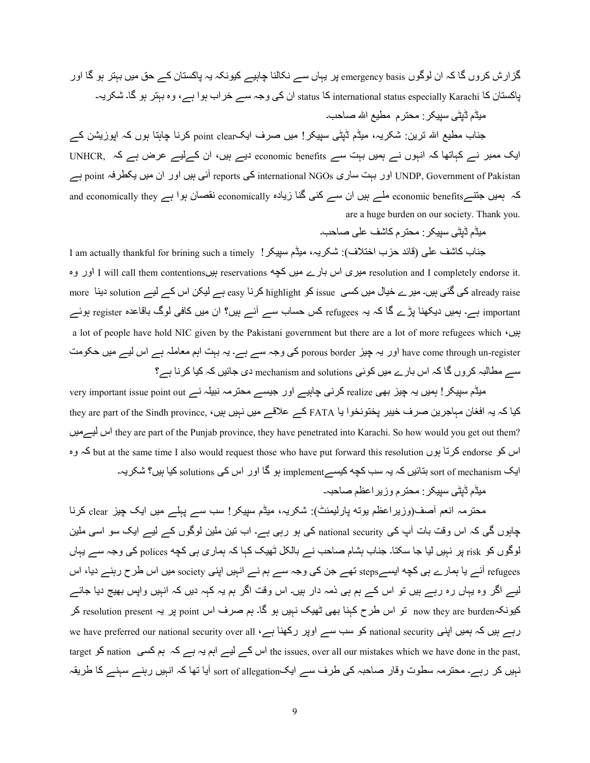گزارش کروں گا کہ ان لوگوں emergency basis پر یہاں سے نکالنا چاہیے کیونکہ یہ پاکستان کے حق میں بہتر ہو گا اور پاکستان کا international status especially Karachi کا status ان کی وجہ سے خراب ہوا ہے، وہ بہتر ہو گا۔ شکریہ۔

میڈم ڈیٹی سپیکر : محتر م مطیع الله صاحب۔

جناب مطیع اللہ ترین: شکریہ، میڈم ڈیٹی سیپکر! میں صرف ایکpoint clear کرنا چاہتا ہوں کہ اپوزیشن کے ایک ممبر نے کہاتھا کہ انہوں نے ہمیں بہت سے economic benefits دیے ہیں، ان کےلیے عرض ہے کہ UNHCR, ل ہے point ہ?@H ںA; ان اور ںAہ /wb reports /2 international NGOs kر4C yہh اور UNDP, Government of Pakistan کہ ہمیں جتنےeconomically they ملے ہیں ان سے کئی گنا زیادہ economically نقصان ہوا ہے and economically they are a huge burden on our society. Thank you.

میڈم ڈیٹی سیپکر : محتر م کاشف علی صاحب۔

جناب كاشف على (قائد حزب اختلاف): شكريہ، ميثم سييكر! I am actually thankful for brining such a timely resolution and I completely endorse it. میری اس بارے میں کچه reservations بیں resolution and I completely endorse it more کی گئی ہیں۔ میرے خیال میں کسی issue کو highlight کرنا easy ہے لیکن اس کے لیے solution دینا more important ہے۔ ہمیں دیکھنا پڑے گا کہ یہ refugees کس حساب سے آئے ہیں؟ ان میں کافی لوگ باقاعدہ register ہوئے a lot of people have hold NIC given by the Pakistani government but there are a lot of more refugees which  $\sqrt{v}$ have come through un-register اور یہ چیز porous border کی وجہ سے ہے۔ یہ بہت اہم معاملہ ہے اس لیے میں حکومت سے مطالبہ کروں گا کہ اس بارے میں کوئی mechanism and solutions دی جائیں کہ کیا کرنا ہے؟

very important issue point out کرنی چاہیے اور جیسے محترمہ نبیلہ نے very important issue point out نیا کہ یہ افغان مہاجرین صرف خیبر پختونخوا یا FATA کے علاقے میں نہیں ہیں، they are part of the Sindh province, ںA;ےA اس they are part of the Punjab province, they have penetrated into Karachi. So how would you get out them? اس کو endorse کرتا ہوں but at the same time I also would request those who have put forward this resolution کہ وہ ایک sort of mechanism بتائیں کہ یہ سب کچه کیسے implement ہو گا اور اس کی solutions کیا ہیں؟ شکریہ۔

مبڈم ڈبٹے سببکر : محتر م و ز بر اعظم صاحبہ۔

محترمہ انعم آصف(وزیراعظم بوته پارلیمنٹ): شکریہ، میٹم سپیکر! سب سے پہلے میں ایک چیز clear کرنا چاہوں گی کہ اس وقت بات آپ کی national security کی ہو رہی ہے۔ اب تین ملین لوگوں کے لیے ایک سو اسی ملین لوگوں کو risk پر نہیں لیا جا سکتا۔ جناب ہشام صاحب نے بالکل ٹھیک کہا کہ ہماری ہی کچه polices کی وجہ سے یہاں refugees آئسہ یا ہمارے ہی کچه ایسہsteps تھے جن کی وجہ سے ہم نے انہیں اپنی society میں اس طرح رہنے دیا، اس لیے اگر وہ یہاں رہ رہے ہیں تو اس کے ہم ہی ذمہ دار ہیں۔ اس وقت اگر ہم یہ کہہ دیں کہ انہیں واپس بھیج دیا جائے کیونکہnow they are burden تو اس طرح کہنا بھی ٹھیک نہیں ہو گا۔ ہم صرف اس point پر یہ resolution present کر use have preferred our national security over all ، کو سب سے اوپر رکھنا ہے 40x ve have preferred our national security over all target کو nation ہو ہے ہے کہ ہم کسی nation ہو target اس کے لیے اہم یہ ہے کہ ہم کسی نہیں کر رہے۔ محترمہ سطوت وقار صاحبہ کی طرف سے ایکsort of allegation آیا تھا کہ انہیں رہنے سہنے کا طریقہ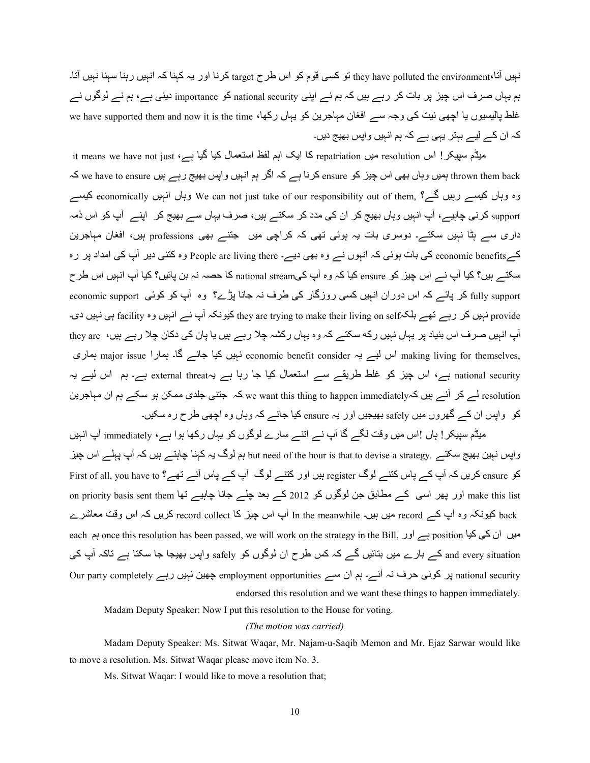نہیں آتا،they have polluted the environment تو کسی قوم کو اس طرح target کرنا اور یہ کہنا کہ انہیں رہنا سہنا نہیں آتا۔ ہم یہاں صرف اس چیز پر بات کر رہے ہیں کہ ہم نے اپنی national security کو importance دینی ہے، ہم نے لوگوں نے غلط پالیسیوں یا اچھی نیت کی وجہ سے افغان مہاجرین کو یہاں رکھا، we have supported them and now it is the time کہ ان کے لیے بہتر یہی ہے کہ ہم انہیں واپس بھیج دیں۔

it means we have not just ، $\frac{2}{\Delta}$  میں resolution کا ایک اہم لفظ استعمال کیا گیا ہے، it means we have not just hrown them back ہمیں وہاں بھی اس چیز کو ensure کرنا ہے کہ اگر ہم انہیں واپس بھیج رہے ہیں we have to ensure کہ وہ وہاں کیسے ربیں گے؟ ,We can not just take of our responsibility out of them وہاں کلیسے روہ وہ وہ کیسے support کرنی چاہیے، آپ انہیں وہاں بھیج کر ان کی مدد کر سکتے ہیں، صرف یہاں سے بھیج کر اپنے آپ کو اس ذمہ داری سے ہٹا نہیں سکتے۔ دوسری بات یہ ہوئی تھی کہ کراچی میں جتنے بھی professions ہیں، افغان مہاجرین كےeconomic benefits كى بات ہوئى كہ انہوں نے وہ بھى ديے۔ People are living there وہ كتنى دير آپ كى امداد پر رہ سکتے ہیں؟ کیا آپ نے اس چیز کو ensure کیا کہ وہ آپ کیnational stream کا حصہ نہ بن پائیں؟ کیا آپ انہیں اس طر ح fully support کر پائے کہ اس دوران انہیں کسی روزگار کی طرف نہ جانا پڑے؟ وہ آپ کو کوئی economic support provide نبیں کر رہے تھے بلکہfacility نبیں دی۔ they are trying to make their living on selfہے نبیں دی۔ آپ انہیں صرف اس بنیاد پر یہاں نہیں رکه سکتے کہ وہ یہاں رکشہ جلا رہے ہیں یا پان کی دکان جلا رہے ہیں، they are بصار major issue اس لیے یہ economic benefit consider نہیں کیا جائے گا۔ ہمارا major issue ہماری economic benefit consider national security ہے، اس چیز کو غلط طریقے سے استعمال کیا جا رہا ہے یہexternal threat ہے۔ ہم اس لیے یہ resolution لے کر آئے ہیں کہRe want this thing to happen immediatelyہ کہ جتنی جلدی ممکن ہو سکے ہم ان مہاجرین کو واپس ان کے گھروں میں safely بھیجیں اور یہ ensure کیا جائے کہ وہاں وہ اچھی طرح رہ سکیں۔

میڈم سیپکر ! باں !اس میں وقت لگے گا آپ نے انتے سارے لوگوں کو یہاں رکھا ہوا ہے، immediately آپ انہیں واپس نہیں بھیج سکتے ۔but need of the hour is that to devise a strategy ہم لوگ یہ کہنا چاہتے ہیں کہ آپ پہلے اس چیز کو ensure کریں کہ آپ کے پاس کتنے لوگ register ہیں اور کتنے لوگ آپ کے پاس آئے تھے؟ First of all, you have to on priority basis sent them اور بھر اسمی کے مطابق جن لوگوں کو 2012 کے بعد چلے جانا چاہیے تھا on priority basis sent them back کیونکہ وہ آپ کہ record میں ہیں۔ In the meanwhile آپ اس چیز کا record collect کریں کہ اس وقت معاشرے each ہے اور once this resolution has been passed, we will work on the strategy in the Bill, اور ہے اور ہے ان ک and every situation کے بارے میں بتائیں گے کہ کس طرح ان لوگوں کو safely واپس بھیجا جا سکتا ہے تاکہ آپ کی Our party completely پر کوئی حرف نہ آئے۔ ہم ان سے employment opportunities چین نہیں رہے our party completely endorsed this resolution and we want these things to happen immediately.

Madam Deputy Speaker: Now I put this resolution to the House for voting.

#### *(The motion was carried)*

 Madam Deputy Speaker: Ms. Sitwat Waqar, Mr. Najam-u-Saqib Memon and Mr. Ejaz Sarwar would like to move a resolution. Ms. Sitwat Waqar please move item No. 3.

Ms. Sitwat Waqar: I would like to move a resolution that;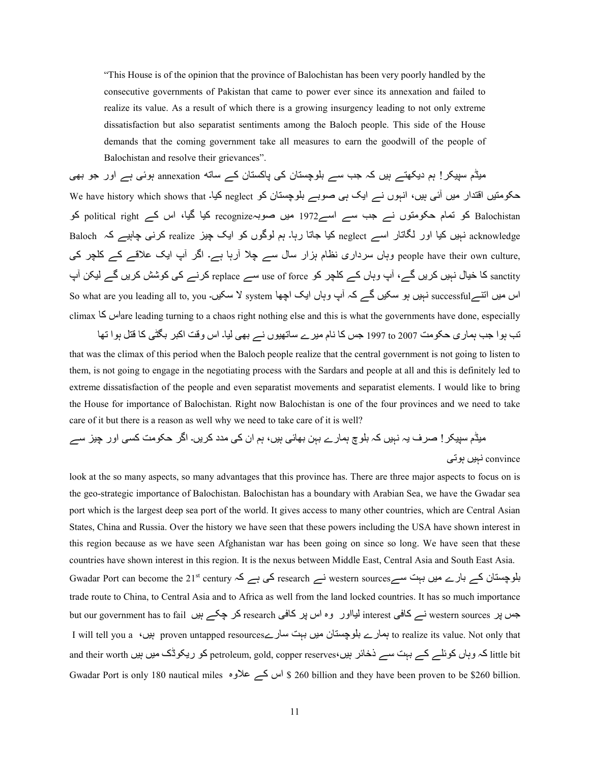"This House is of the opinion that the province of Balochistan has been very poorly handled by the consecutive governments of Pakistan that came to power ever since its annexation and failed to realize its value. As a result of which there is a growing insurgency leading to not only extreme dissatisfaction but also separatist sentiments among the Baloch people. This side of the House demands that the coming government take all measures to earn the goodwill of the people of Balochistan and resolve their grievances".

میڈم سپیکر ! ہم دیکھتے ہیں کہ جب سے بلوچستان کی پاکستان کے ساته annexation ہوئی ہے اور جو بھی حکومتیں اقتدار میں آئی ہیں، انہوں نے ایک ہی صوبے بلوچستان کو neglect کیا۔ We have history which shows that Balochistan کو تمام حکومتوں نے جب سے اسے1972 میں صوبہrecognize کیا گیا، اس کے political right کو acknowledge نہیں کیا اور لگاتار اسے neglect کیا جاتا رہا۔ ہم لوگوں کو ایک چیز realize کرنی چاہیے کہ Baloch ,people have their own culture وہاں سرداری نظام ہزار سال سے چلا آرہا ہے۔ اگر آپ ایک علاقے کے کلچر کی sanctity کا خیال نہیں کریں گے، آپ وہاں کے کلچر کو use of force سے replace کرنے کی کوشش کریں گے لیکن آپ So what are you leading all to, you سکیں۔ system اس میں انتے successful نہیں ہو سکیں۔ So what are you leading all to, you climax 42 اسare leading turning to a chaos right nothing else and this is what the governments have done, especially

تب ہوا جب ہماری حکومت 2007 to 1997 جس کا نام میرے ساتھیوں نے بھی لیا۔ اس وقت اکبر بگٹی کا قتل ہوا تھا that was the climax of this period when the Baloch people realize that the central government is not going to listen to them, is not going to engage in the negotiating process with the Sardars and people at all and this is definitely led to extreme dissatisfaction of the people and even separatist movements and separatist elements. I would like to bring the House for importance of Balochistan. Right now Balochistan is one of the four provinces and we need to take care of it but there is a reason as well why we need to take care of it is well?

میڈم سپیکر ! صرف یہ نہیں کہ بلو چ ہمار ے بہن بھائی ہیں، ہم ان کی مدد کریں۔ اگر حکومت کسی اور چیز سے convince نہیں ہوتی

look at the so many aspects, so many advantages that this province has. There are three major aspects to focus on is the geo-strategic importance of Balochistan. Balochistan has a boundary with Arabian Sea, we have the Gwadar sea port which is the largest deep sea port of the world. It gives access to many other countries, which are Central Asian States, China and Russia. Over the history we have seen that these powers including the USA have shown interest in this region because as we have seen Afghanistan war has been going on since so long. We have seen that these countries have shown interest in this region. It is the nexus between Middle East, Central Asia and South East Asia. Gwadar Port can become the 21st century  $\lambda$ ہے کہ ہے کہ research یاوچستان کے بارے میں بہت سے trade route to China, to Central Asia and to Africa as well from the land locked countries. It has so much importance لیااور وہ اس پر research نوالور وہ اس پر کافی research کر چکے ہیں but our government has to fail ہیااور وہ اس I will tell you a ،ںAہ proven untapped resourcesرے4C yہh ںA; ن4TUgS[h رے49ہ to realize its value. Not only that and their worth کہ وہاں کوئلے کے بہت سے ذخائر ہیں، petroleum, gold, copper reserves کو ریکوڈک میں ہیں and their Gwadar Port is only 180 nautical miles اس کے علاوہ \$ 260 billion and they have been proven to be \$260 billion.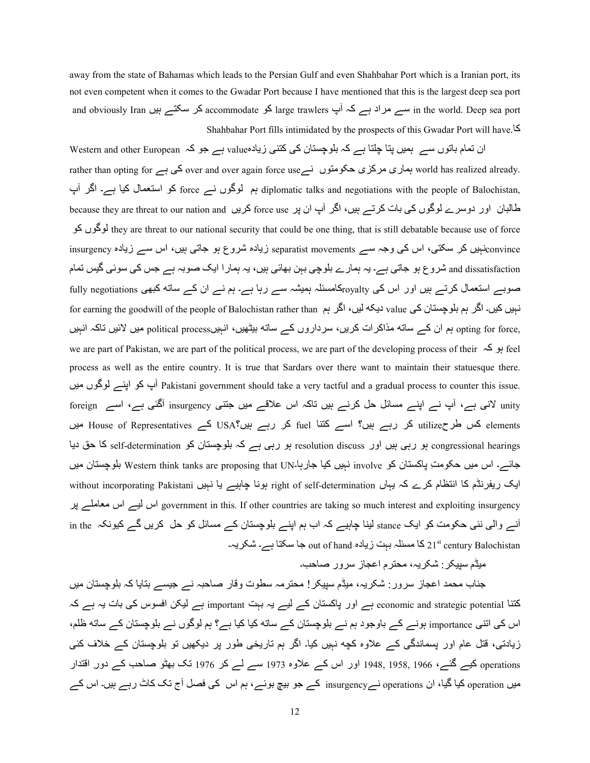away from the state of Bahamas which leads to the Persian Gulf and even Shahbahar Port which is a Iranian port, its not even competent when it comes to the Gwadar Port because I have mentioned that this is the largest deep sea port and obviously Iran سے مراد ہے کہ آپ large trawlers کو accommodate کر سکتے ہیں and obviously Iran سے مراد ہے کہ Shahbahar Port fills intimidated by the prospects of this Gwadar Port will have.42

ان تمام باتوں سے ہمیں پتا چلتا ہے کہ بلوچستان کی کتنی زیادہvalue ہے جو کہ Western and other European ان تمام rather than opting for ہماری مرکزی حکومتوں نے over and over again force use کی ہے , world has realized already بہ لوگوں نے force کو استعمال کیا ہے۔ اگر آپ diplomatic talks and negotiations with the people of Balochistan, لطالبان اور دوسرے لوگوں کی بات کرتے ہیں، اگر آپ ان پر force use کریں because they are threat to our nation and S2 ںS|S they are threat to our national security that could be one thing, that is still debatable because use of force insurgencyہبیں کر سکتی، اس کی وجہ سے separatist movements زیادہ شروع ہو جاتی ہیں، اس سے زیادہ insurgency and dissatisfaction شروع ہو جاتی ہے۔ یہ ہمارے بلوچی بہن بھائی ہیں، یہ ہمار ا ایک صوبہ ہے جس کی سوئی گیس تمام صوبے استعمال کرتے ہیں اور اس کی <sub>royalty</sub>کامسئلہ ہمیشہ سے رہا ہے۔ ہم نے ان کے ساته کبھی fully negotiations نہیں کیں۔ اگر ہم بلوچستان کی value دیکہ لیں، اگر ہم for earning the goodwill of the people of Balochistan rather than opting for force, ہم ان کے ساته مذاکرات کریں، سرداروں کے ساته بیٹھیں، انہیںpolitical process میں لائیں تاکہ انہیں we are part of Pakistan, we are part of the political process, we are part of the developing process of their  $\frac{2}{3}$  feel process as well as the entire country. It is true that Sardars over there want to maintain their statuesque there. ب کو اپنے لوگوں میں Pakistani government should take a very tactful and a gradual process to counter this issue. unity لانی ہے، آپ نے اپنے مسائل حل کرنے ہیں تاکہ اس علاقے میں جتنی insurgency آگئی ہے، اسے foreign elements کس طرحmilize کر رہے ہیں؟ اسے کتنا fuel کر رہے ہیں؟Aہ USA کے House of Representatives میں congressional hearings ہو رہی ہیں اور resolution discuss ہو رہی ہے کہ بلوچستان کو self-determination کا حق دیا جائے۔ اس میں حکومتِ پاکستان کو involve نہیں کیا جارہا۔Western think tanks are proposing that UN بلوچستان میں ایک ریفرنڈم کا انتظام کرے کہ یہاں right of self-determination ہونا چاہیے یا نہیں without incorporating Pakistani ?V ے;]4P; اس ےA اس government in this. If other countries are taking so much interest and exploiting insurgency in the (انی نئی حکومت کو ایک stance لینا چاہیے کہ اب ہم اپنے بلوچستان کے مسائل کو حل کریں گے کیونکہ out of hand داسمائلہ بہت زیادہ out of hand ہا سکتا ہے۔ شکریہ۔ Aut of hand د

میٹم سیپکر : شکر یہ، محتر م اعجاز ِ سرور ِ صاحب۔

جناب محمد اعجاز سرور : شکریہ، میڈم سیپکر ! محترمہ سطوت وقار صاحبہ نے جیسے بتایا کہ بلوچستان میں کتنا economic and strategic potential ہے اور پاکستان کے لیے یہ بہت important ہے لیکن افسوس کی بات یہ ہے کہ اس کی اتنی importance ہونے کے باوجود ہم نے بلوچستان کے ساته کیا کیا ہے؟ ہم لوگوں نے بلوچستان کے ساته ظلم، زیادتی، قتل عام اور بسماندگی کے علاوہ کچه نہیں کیا۔ اگر ہم تاریخی طور پر دیکھیں تو بلوچستان کے خلاف کئی operations کیے گئے، 1966, 1958, 1948 اور اس کے علاوہ 1973 سے لے کر 1976 تک بھٹو صاحب کے دورِ اقتدار میں operations کیا گیا، ان operations نےinsurgency کے جو بیچ بوئے، ہم اس کی فصل آج تک کاٹ رہے ہیں۔ اس کے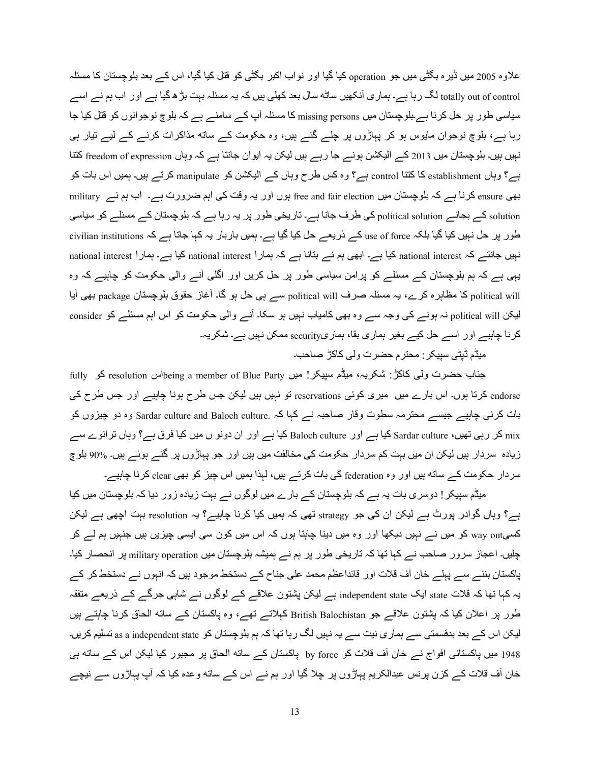علاوہ 2005 میں ڈیرہ بگٹی میں جو operation کیا گیا اور نواب اکبر بگٹی کو قتل کیا گیا، اس کے بعد بلوچستان کا مسئلہ totally out of control لگ رہا ہے۔ ہماری آنکھیں ساٹه سال بعد کھلی ہیں کہ یہ مسئلہ بہت بڑ ھ گیا ہے اور اب ہم نے اسے سیاسی طور پر حل کرنا ہے۔بلوچستان میں missing persons کا مسئلہ آپ کے سامنے ہے کہ بلوچ نوجوانوں کو قتل کیا جا رہا ہے، بلوچ نوجوان مایوس ہو کر پہاڑوں پر چلے گئے ہیں، وہ حکومت کے ساته مذاکرات کرنے کے لیے تیار ہی نبیں ہیں۔ بلوچستان میں 2013 کے الیکشن ہونے جا رہے ہیں لیکن یہ ایوان جانتا ہے کہ وہاں freedom of expression کتنا ہے؟ وہاں establishment کا کتنا control ہے؟ وہ کس طرح وہاں کے الیکشن کو manipulate کرتے ہیں۔ ہمیں اس بات کو بھی ensure کرنا ہے کہ بلوچستان میں free and fair election ہوں اور یہ وقت کی اہم ضرورت ہے۔ اب ہم نے military solution کے بجائے political solution کی طرف جانا ہے۔ تاریخی طور پر یہ رہا ہے کہ بلوچستان کے مسئلے کو سیاسی طور پر حل نہیں کیا گیا بلکہ use of force کے ذریعے حل کیا گیا ہے۔ ہمیں باربار یہ کہا جاتا ہے کہ civilian institutions نبیں جانتے کہ national interest کیا ہے۔ ابھی ہم نے بتانا ہے کہ ہمارا national interest کیا ہے۔ ہمارا national یہی ہے کہ ہم بلوچستان کے مسئلے کو پرامن سیاسی طور پر حل کریں اور اگلی آنے والی حکومت کو چاہیے کہ وہ political will کا مظاہرہ کرے، یہ مسئلہ صرف political will سے ہی حل ہو گا۔ آغاز حقوق بلوچستان package بھی أيا لیکن political will نہ ہونے کی وجہ سے وہ بھی کامیاب نہیں ہو سکا۔ آنے والی حکومت کو اس اہم مسئلے کو consider <u>5 کرنا چاہیے اور اسے حل کیے بغیر ہماری بقا، ہماریsecurity ممکن نہیں ہے۔ شکری</u>ہ

میڈم ڈیٹی سیپکر : محترم حضرت ولی کاکڑ صاحب۔

جناب حضرت ولمی کاکڑ : شکریہ، میڈم سپیکر ! میں being a member of Blue Party کو fully ک endorse کرتا ہوں۔ اس بارے میں میری کوئی reservations تو نہیں ہیں لیکن جس طرح ہونا چاہیے اور جس طرح کی بات کرنے چاہیے جیسے محترمہ سطوت وقار صاحبہ نے کہا کہ .Sardar culture and Baloch culture وہ دو چیزوں کو mix کر رہی تھیں، Sardar culture کیا ہے اور Baloch culture کیا ہے اور ان دونو ں میں کیا فرق ہے؟ وہاں ترانوے سے زیادہ سردار ہیں لیکن ان میں بہت کم سردار حکومت کی مخالفت میں ہیں اور جو پہاڑوں پر گئے ہوئے ہیں۔ %90 بلوچ سردار حکومت کے ساته ہیں اور وہ federation کی بات کرتے ہیں، لہذا ہمیں اس چیز کو بھی clear کرنا چاہیے۔

میڈم سپیکر ! دوسری بات یہ ہے کہ بلوچستان کے بارے میں لوگوں نے بہت زیادہ زور دیا کہ بلوچستان میں کیا ہے؟ وہاں گوادر پورٹ ہے لیکن ان کی جو strategy تھی کہ ہمیں کیا کرنا چاہیے؟ یہ resolution بہت اچھی ہے لیکن کسیway out کو میں نے نہیں دیکھا اور وہ میں دینا چاہتا ہوں کہ اس میں کون سی ایسی چیزیں ہیں جنہیں ہم لے کر چلیں۔ اعجاز سرور صاحب نے کہا تھا کہ تاریخی طور پر ہم نے ہمیشہ بلوچستان میں military operation پر انحصار کیا۔ پاکستان بننے سے پہلے خان آف قلات اور قائداعظم محمد علی جناح کے دستخط موجود ہیں کہ انہوں نے دستخط کر کے یہ کہا تھا کہ قلات state ایک independent state ہے لیکن پشتون علاقے کے لوگوں نے شاہی جرگے کے ذریعے متفقہ طور پر اعلان کیا کہ پشتون علاقے جو British Balochistan کہلاتے تھے، وہ پاکستان کے ساته الحاق کرنا چاہتے ہیں لیکن اس کے بعد بدقسمتی سے ہماری نیت سے یہ نہیں لگ رہا تھا کہ ہم بلوچستان کو as a independent state تسلیم کریں۔ 1948 میں پاکستانی افواج نے خان آف قلات کو by force پاکستان کے ساته الحاق پر مجبور کیا لیکن اس کے ساته ہی خان آف قلات کے کزن پرنس عبدالکریم پہاڑوں پر چلا گیا اور ہم نے اس کے ساته وعدہ کیا کہ آپ پہاڑوں سے نیچے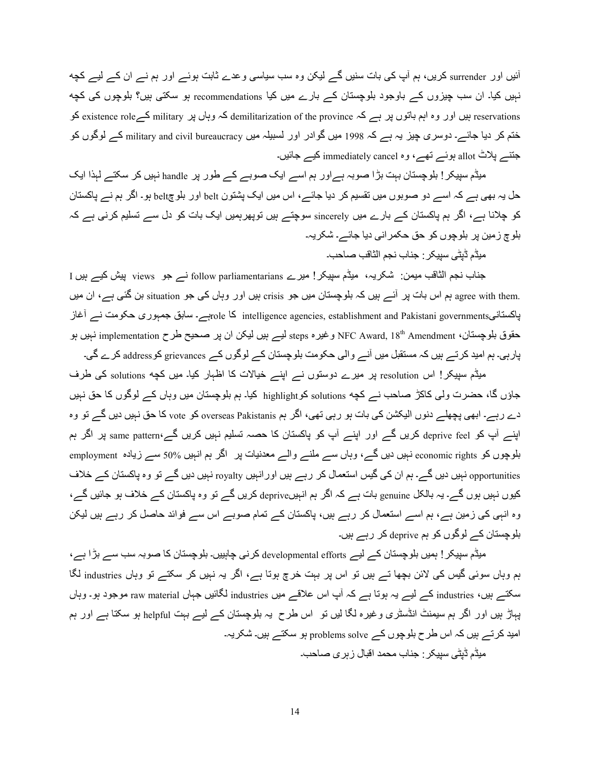آئیں اور surrender کریں، ہم آپ کی بات سنیں گے لیکن وہ سب سیاسی وعدے ثابت ہوئے اور ہم نے ان کے لیے کچه نہیں کیا۔ ان سب چیزوں کے باوجود بلوچستان کے بارے میں کیا recommendations ہو سکتی ہیں؟ بلوچوں کی کچه reservations بیں اور وہ اہم باتوں پر ہے کہ demilitarization of the province کہ وہاں پر military کے existence role ختم کر دیا جائے۔ دوسری چیز یہ ہے کہ 1998 میں گوادر اور لسبیلہ میں military and civil bureaucracy کے لوگوں کو جننسہ پلاٹ allot ہوئسہ تھے، وہ immediately cancel کیسہ جائیں۔

میڈم سپیکر ! بلوچستان بہت بڑا صوبہ ہے اور ہم اسے ایک صوبے کے طور پر handle نہیں کر سکتے لہذا ایک حل یہ بھی ہے کہ اسے دو صوبوں میں تقسیم کر دیا جائے ، اس میں ایک پشتون belt اور بلو چbelt ہو۔ اگر ہم نے پاکستان کو چلانا ہے، اگر ہم پاکستان کے بارے میں sincerely سوچتے ہیں توپھرہمیں ایک بات کو دل سے تسلیم کرنی ہے کہ ہلوچ زمین پر بلوچوں کو حق حکمر انی دیا جائے۔ شکر پہ۔

میڈم ڈیٹے سبیکر : جناب نجم الثاقب صاحب۔

جناب نجم الثاقب میمن: شکریہ، میڈم سپیکر ! میرے follow parliamentarians نے جو views پیش کیے ہیں I .agree with them ہم اس بات پر آئے ہیں کہ بلوچستان میں جو crisis ہیں اور وہاں کی جو situation بن گئی ہے، ان میں پاکستانی<sub>role</sub> کا intelligence agencies, establishment and Pakistani governments؛ کا <sub>ro</sub>leبہ سابق جمہوری حکومت ن*ے* حقوق بلوچستان، NFC Award, 18<sup>th</sup> Amendment وغیرہ <sub>steps</sub> لیے ہیں لیکن ان پر صحیح طرح implementation نہیں ہو پارہی۔ ہم امید کرتے ہیں کہ مستقبل میں آنے والی حکومت بلوچستان کے لوگوں کے grievances کو address کرے گی۔

میڈم سپیکر! اس resolution پر میرے دوستوں نے اپنے خیالات کا اظہار کیا۔ میں کچه solutions کی طرف جاؤں گا، حضرت ولی کاکڑ صاحب نے کچه solutions کو highlight کیا۔ ہم بلوچستان میں وہاں کے لوگوں کا حق نہیں دے رہے۔ ابھی پچھلے دنوں الیکشن کی بات ہو رہی تھی، اگر ہم overseas Pakistanis کو vote کا حق نہیں دیں گے تو وہ اپنے آپ کو deprive feel کریں گے اور اپنے آپ کو پاکستان کا حصہ تسلیم نہیں کریں گے۔same pattern پر اگر ہم بلوچوں کو economic rights نہیں دیں گے، وہاں سے ملنے والے معدنیات پر اگر ہم انہیں 50% سے زیادہ employment opportunities نہیں دیں گے۔ ہم ان کی گیس استعمال کر رہے ہیں اور انہیں royalty نہیں دیں گے تو وہ پاکستان کے خلاف کیوں نہیں ہوں گے۔ یہ بالکل genuine بات ہے کہ اگر ہم انہیںdeprive کریں گے تو وہ پاکستان کے خلاف ہو جائیں گے، وہ انہی کی زمین ہے، ہم اسے استعمال کر رہے ہیں، پاکستان کے تمام صوبے اس سے فوائد حاصل کر رہے ہیں لیکن بلوچستان کے لوگوں کو ہم deprive کر رہے ہیں۔

میڈم سپیکر ! ہمیں بلوچستان کے لیے developmental efforts کرنی چاہییں۔ بلوچستان کا صوبہ سب سے بڑا ہے، ہم وہاں سوئی گیس کی لائن بچھا تے ہیں تو اس پر بہت خرچ ہوتا ہے، اگر یہ نہیں کر سکتے تو وہاں industries لگا سکتسر بیں، industries کسر لیسر یہ ہوتا ہے کہ آپ اس علاقسر میں industries لگائیں جہاں raw material موجود ہو۔ وہاں پہاڑ بیں اور اگر ہم سیمنٹ انڈسٹری وغیرہ لگا لیں نو اس طرح یہ بلوچستان کے لیے بہت helpful ہو سکتا ہے اور ہم امید کرتے ہیں کہ اس طرح بلوچوں کے problems solve ہو سکتے ہیں۔ شکریہ۔ میڈم ڈیٹے، سبیکر : جناب محمد اقبال ز بر ی صاحب۔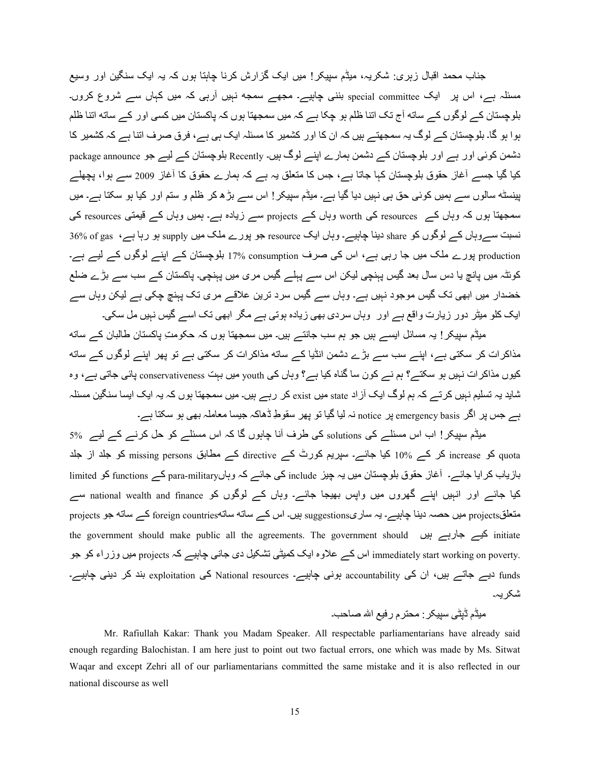جناب محمد اقبال زبری: شکریہ، میڈم سبیکر ! میں ایک گز ارش کرنا جابتا ہوں کہ یہ ایک سنگین اور وسیع مسئلہ ہے، اس پر ایک special committee بننی چاہیے۔ مجھے سمجه نہیں آرہی کہ میں کہاں سے شروع کروں۔ بلوچستان کے لوگوں کے ساته آج تک اتنا ظلم ہو چکا ہے کہ میں سمجھتا ہوں کہ پاکستان میں کسی اور کے ساته اتنا ظلم ہوا ہو گا۔ بلوچستان کے لوگ یہ سمجھتے ہیں کہ ان کا اور کشمیر کا مسئلہ ایک ہے، ہے، فرق صرف اتنا ہے کہ کشمیر کا دشمن کوئی اور ہے اور بلوچستان کے دشمن ہمارے اپنے لوگ ہیں۔ Recently بلوچستان کے لیے جو package announce کیا گیا جسے آغاز حقوق بلوچستان کہا جاتا ہے، جس کا متعلق یہ ہے کہ ہمارے حقوق کا آغاز 2009 سے ہوا، پچھلے پینسٹه سالوں سے ہمیں کوئی حق ہی نہیں دیا گیا ہے۔ میڈم سپیکر ! اس سے بڑھ کر ظلم و ستم اور کیا ہو سکتا ہے۔ میں سمجھتا ہوں کہ وہاں کے resources کی worth وہاں کے projects سے زیادہ ہے۔ ہمیں وہاں کے قیمتی resources کی نسبت سےروہاں کے لوگوں کو share دینا چاہیے۔ وہاں ایک resource جو پورے ملک میں supply ہو رہا ہے، 56% of gas کا production پورے ملک میں جا رہی ہے، اس کی صرف consumption %17 بلوچستان کے اپنے لوگوں کے لیے ہے۔ کوئٹہ میں پانچ یا دس سال بعد گیس پہنچی لیکن اس سے پہلے گیس مری میں پہنچی۔ پاکستان کے سب سے بڑے ضلع خضدار میں ابھی تک گیس موجود نہیں ہے۔ وہاں سے گیس سرد ترین علاقے مری تک پہنچ چکی ہے لیکن وہاں سے ایک کلو میٹر دور زیارت واقع ہے اور وہاں سردی بھی زیادہ ہوتی ہے مگر ابھی تک اسے گیس نہیں مل سکی۔

میڈم سپیکر ! یہ مسائل ایسے ہیں جو ہم سب جانتے ہیں۔ میں سمجھتا ہوں کہ حکومتِ پاکستان طالبان کے ساته مذاکر ات کر سکتی ہے، اپنے سب سے بڑے دشمن انڈیا کے ساته مذاکر ات کر سکتی ہے تو بھر اپنے لوگوں کے ساته کیوں مذاکر ات نہیں ہو سکتے؟ ہم نے کون سا گناہ کیا ہے؟ وہاں کی youth میں بہت conservativeness پائی جاتی ہے، وہ شاید یہ تسلیم نہیں کرتے کہ ہم لوگ ایک آز اد state میں exist کر رہے ہیں۔ میں سمجھتا ہوں کہ یہ ایک ایسا سنگین مسئلہ ہے جس پر اگر emergency basis ہز notice نہ لیا گیا تو پھر سقوطِ ڈھاکہ جیسا معاملہ بھی ہو سکتا ہے۔

میڈم سپیکر ! اب اس مسئلے کی solutions کی طرف آنا چاہوں گا کہ اس مسئلے کو حل کرنے کے لیے۔ 5% quota کو increase کر کے 10% کیا جائے۔ سپریم کورٹ کے directive کے مطابق missing persons کو جلد از جلد بازیاب کرایا جائے۔ آغاز حقوق بلوچستان میں یہ چیز include کی جائے کہ وہاںpara-military کے functions کو limited کیا جائے اور انہیں اپنے گھروں میں واپس بھیجا جائے۔ وہاں کے لوگوں کو national wealth and finance سے متعلقprojects میں حصہ دینا چاہیے۔ یہ ساریsuggestions ہیں۔ اس کے ساته ساتهSprojects کے ساته جو projects the government should make public all the agreements. The government should کیے جارہے ہیں48 initiate .immediately start working on poverty اس کے علاوہ ایک کمیٹی تشکیل دی جانبی چاہیے کہ projects میں وزراء کو جو funds دیے جاتے ہیں، ان کی accountability ہونی چاہیے۔ National resources کی exploitation بند کر دینی چاہیے۔ شکر یہ۔

# میڈم ڈیٹی سپیکر : محترم رفیع اللہ صاحب۔

Mr. Rafiullah Kakar: Thank you Madam Speaker. All respectable parliamentarians have already said enough regarding Balochistan. I am here just to point out two factual errors, one which was made by Ms. Sitwat Waqar and except Zehri all of our parliamentarians committed the same mistake and it is also reflected in our national discourse as well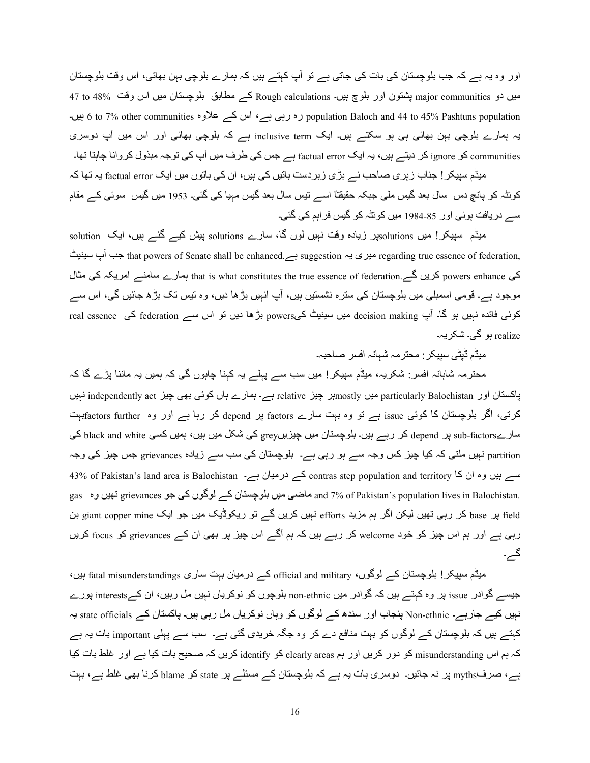اور وہ یہ ہے کہ جب بلوچستان کی بات کی جاتی ہے تو آپ کہتے ہیں کہ ہمارے بلوچی بہن بھائی، اس وقت بلوچستان میں دو major communities پشتون اور بلوچ ہیں۔ Rough calculations کہ مطابق بلوچستان میں اس وقت  $\sim$ 48 a7 to ں۔ رہ رہی ہے، اس کے علاوہ other communities وہ رہی ہے ، اس کے علاوہ (at o 7% other communities بیں۔ ) یہ ہمارے بلوچی بہن بھائی ہی ہو سکتے ہیں۔ ایک inclusive term ہے کہ بلوچی بھائی اور اس میں آپ دوسری communities کو ignore کر دیتے ہیں، یہ ایک factual error ہے جس کی طرف میں آپ کی توجہ مبذول کروانا چاہتا تھا۔

میڈم سپیکر ! جناب ز بر ی صاحب نے بڑ ی ز بر دست باتیں کی ہیں، ان کی باتوں میں ایک factual error یہ تھا کہ کوئٹہ کو پانچ دس سال بعد گیس ملی جبکہ حقیقتاً اسے تیس سال بعد گیس مہیا کی گئی۔ 1953 میں گیس سوئی کے مقام سے دریافت ہوئی اور 85-1984 میں کوئٹہ کو گیس فراہم کی گئی۔

میڈم سپیکر! میں solutionsپر زیادہ وقت نہیں لوں گا، سارے solutions پیش کیے گئے ہیں، ایک solution s ,egarding true essence of federation, ہیری یہ suggestion ہے suggestion ہوری یہ that powers of Senate shall be enhanced ہیری یہ کی powers enhance کریں گے, that is what constitutes the true essence of federation ہمارے سامنے امریکہ کی مثال موجود ہے۔ قومی اسمبلی میں بلوچستان کی سترہ نشستیں ہیں، آپ انہیں بڑھا دیں، وہ تیس تک بڑھ جائیں گی، اس سے کوئی فائدہ نہیں ہو گا۔ آپ decision making میں سینیٹ کیpowers بڑھا دیں تو اس سے federation کی real essence realize ہو گے۔ شکر بہ۔

;Aڈم ڈVٹ/ ABC?@:; :T;?ہ 7ہ4Kہ اU ?f4qہ۔

محترمہ شاہانہ افسر: شکریہ، میڈم سپیکر ! میں سب سے پہلے یہ کہنا چاہوں گی کہ ہمیں یہ ماننا پڑے گا کہ پاکستان اور particularly Balochistan میں mostly ہے۔ باطرے ہاں کوئی بھی چیز independently act نہیں کرتی، اگر بلوچستان کا کوئی issue ہے تو وہ بہت سارے factors پر depend کر رہا ہے اور وہ factors furtherبت سارےsub-factors پر depend کر رہے ہیں۔ بلوچستان میں چیزیں grey کی شکل میں ہیں، ہمیں کسی black and white کی partition نہیں ملتی کہ کیا چیز کس وجہ سے ہو رہی ہے۔ بلوچستان کی سب سے زیادہ grievances جس چیز کی وجہ 43% of Pakistan's land area is Balochistan کے درمیان ہے۔ contras step population and territory سے بیں وہ ان کا gas ماضی میں بلوچستان کے لوگوں کی جو grievances قهیں وہ and 7% of Pakistan's population lives in Balochistan. h giant copper mine لی giant copper mine انہیں کریں گے تو ریکوڈیک میں جو ایک giant copper mine بن p رہی ہے اور ہم اس چیز کو خود welcome کر رہے ہیں کہ ہم آگے اس چیز پر بھی ان کے grievances کو focus کریں گے۔

میڈم سپیکر ! بلوچستان کے لوگوں، official and military کے درمیان بہت ساری fatal misunderstandings بیں، جیسے گوادر issue پر وہ کہتے ہیں کہ گوادر میں non-ethnic بلوچوں کو نوکریاں نہیں مل رہیں، ان کےainterests پورے نہیں کیے جارہے۔ Non-ethnic پنجاب اور سندھ کے لوگوں کو وہاں نوکریاں مل رہی ہیں۔ پاکستان کے state officials یہ کہتے ہیں کہ بلوچستان کے لوگوں کو بہت منافع دے کر وہ جگہ خریدی گئی ہے۔ سب سے پہلی important بات یہ ہے کہ ہم اس misunderstanding کو دور کریں اور ہم clearly areas کو identify کریں کہ صحیح بات کیا ہے اور غلط بات کیا ہے، صرفmyths پر نہ جائیں۔ دوسری بات یہ ہے کہ بلوچستان کے مسئلے پر state کو blame کرنا بھی غلط ہے، بہت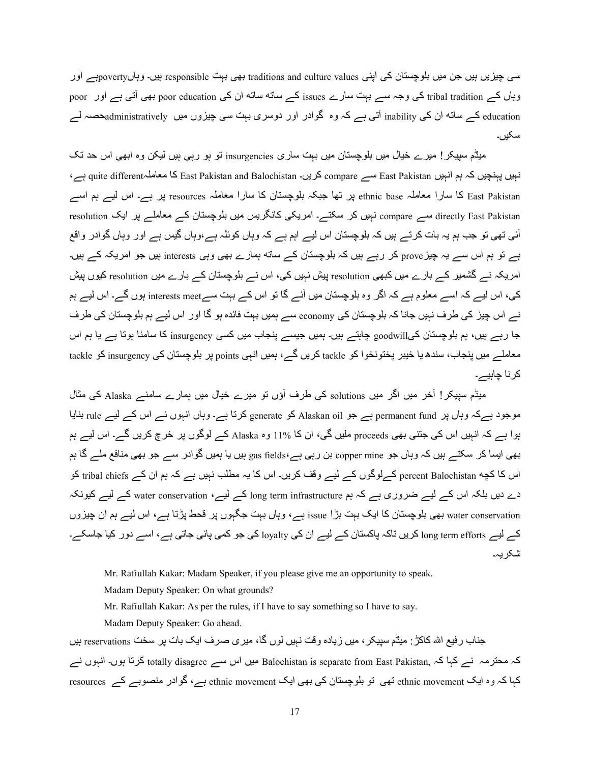سی چیزیں ہیں جن میں بلوچستان کی اپنی traditions and culture values بھی بہت responsible ہیں۔ وہاںpovertyہے اور وہاں کے tribal tradition کی وجہ سے بہت سارے issues کے ساته ساته ان کی poor education بھی أتنی ہے اور poor education کے ساته ان کی inability آتی ہے کہ وہ گوادر اور دوسری بہت سی چیزوں میں administrativelyعصہ لے سکیں۔

میڈم سپیکر ! میرے خیال میں بلوچستان میں بہت ساری insurgencies تو ہو رہی ہیں لیکن وہ ابھی اس حد تک نہیں پہنچیں کہ ہم انہیں East Pakistan سے compare کریں۔ East Pakistan and Balochistan کا معاملہguite different ہے، East Pakistan کا سارا معاملہ ethnic base ہز تھا جبکہ بلوچستان کا سارا معاملہ resources ہز ہے۔ اس لیے ہم اسے resolution سے compare نہیں کر سکتے۔ امریکی کانگریس میں بلوچستان کے معاملے پر ایک resolution آئی تھی تو جب ہم یہ بات کرتے ہیں کہ بلوچستان اس لیے اہم ہے کہ وہاں کوئلہ ہے،وہاں گیس ہے اور وہاں گوادر واقع ہے تو ہم اس سے یہ چیز prove کر رہے ہیں کہ بلوچستان کے ساته ہمارے بھی وہی interests ہیں جو امریکہ کے ہیں۔ امریکہ نے گشمیر کے بارے میں کبھی resolution پیش نہیں کی، اس نے بلوچستان کے بارے میں resolution کیوں پیش کی، اس لیے کہ اسے معلوم ہے کہ اگر وہ بلوچستان میں آئے گا تو اس کے بہت سےinterests meet ہوں گے۔ اس لیے ہم نے اس چیز کی طرف نہیں جانا کہ بلوچستان کی economy سے ہمیں بہت فائدہ ہو گا اور اس لیے ہم بلوچستان کی طرف جا رہے ہیں، ہم بلوچستان کیgoodwill چاہتے ہیں۔ ہمیں جیسے پنجاب میں کسی insurgency کا سامنا ہوتا ہے یا ہم اس معاملے میں پنجاب، سندھ یا خیبر پختونخوا کو tackle کریں گے، ہمیں انہی points پر بلوچستان کی insurgency کو tackle کر نا چاہیے۔

میڈم سیپکر ! آخر میں اگر میں solutions کی طرف آؤں تو میرے خیال میں ہمارے سامنے Alaska کی مثال موجود ہےکہ وہاں پر permanent fund ہے جو Alaskan oil کو generate کرتا ہے۔ وہاں انہوں نے اس کے لیے rule بنایا ہوا ہے کہ انہیں اس کی جتنی بھی proceeds ملیں گی، ان کا 11% وہ Alaska کے لوگوں پر خرچ کریں گے۔ اس لیے ہم بھی ایسا کر سکتے ہیں کہ وہاں جو copper mine بن رہی ہے،gas fields ہیں یا ہمیں گوادر سے جو بھی منافع ملے گا ہم اس کا کچه percent Balochistan کےلوگوں کے لیے وقف کریں۔ اس کا یہ مطلب نہیں ہے کہ ہم ان کے tribal chiefs کو دے دیں بلکہ اس کے لیے ضروری ہے کہ ہم long term infrastructure کے لیے، water conservation کے لیے کیونکہ water conservation بھی بلوچستان کا ایک بہت بڑا issue ہے، وہاں بہت جگہوں پر قحط پڑتا ہے، اس لیے ہم ان چیزوں کے لیے long term efforts کریں تاکہ پاکستان کے لیے ان کی loyalty کی جو کمی پائی جاتی ہے، اسے دور کیا جاسکے۔ شکر یہ۔

Mr. Rafiullah Kakar: Madam Speaker, if you please give me an opportunity to speak.

Madam Deputy Speaker: On what grounds?

Mr. Rafiullah Kakar: As per the rules, if I have to say something so I have to say.

Madam Deputy Speaker: Go ahead.

جناب ر فیع الله كاكڑ : میڈم سپیكر ، میں زیادہ وقت نہیں لوں گا، میر ی صرف ایک بات پر سخت reservations ہیں کہ محترمہ نے کہا کہ Balochistan is separate from East Pakistan, میں اس سے totally disagree کرتا ہوں۔ انہوں نے کہا کہ وہ ایک ethnic movement تھی تو بلوچستان کی بھی ایک ethnic movement ہے، گوادر منصوبے کے resources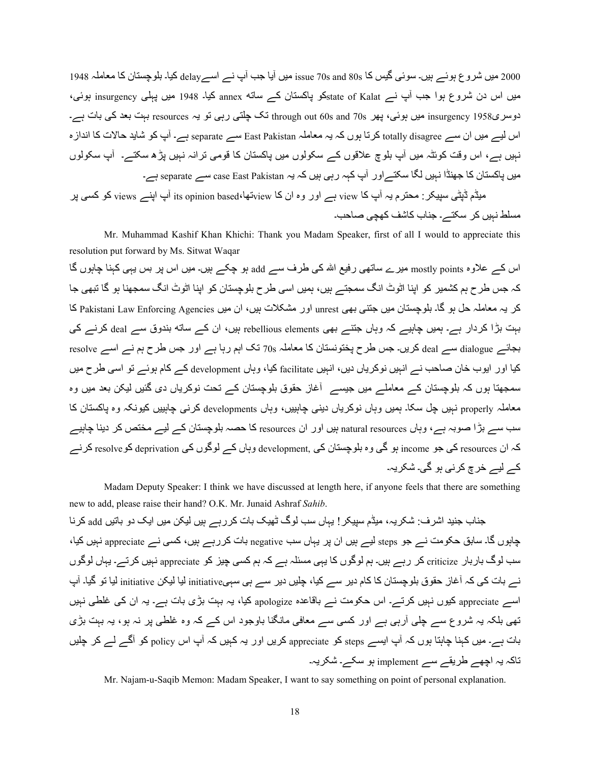2000 میں شروع ہوئے ہیں۔ سوئی گیس کا issue 70s and 80s میں آیا جب آپ نے اسےb delayکیا۔ بلوچستان کا معاملہ 1948 میں اس دن شروع ہوا جب آپ نسر state of Kalatکو پاکستان کسر ساته annex کیا۔ 1948 میں پہلی insurgency ہوئی، دوسری1958 insurgency میں ہوئی، پھر 70s and 70s dhrough out نک چلتی رہی تو یہ resources بہت بعد کی بات ہے۔ اس لیے میں ان سے totally disagree کرتا ہوں کہ یہ معاملہ East Pakistan سے separate ہے۔ آپ کو شاید حالات کا انداز ہ نہیں ہے، اس وقت کوئٹہ میں آپ بلوچ علاقوں کے سکولوں میں پاکستان کا قومی ترانہ نہیں پڑھ سکتے۔ آپ سکولوں میں پاکستان کا جھنڈا نہیں لگا سکتے اور آپ کہہ رہی ہیں کہ یہ case East Pakistan سے separate ہے۔ میڈم ڈپٹی سپیکر : محترم یہ آپ کا view ہے اور وہ ان کا viewتھا،ts opinion based، آپ اپنے views کو کسی پر

مسلط نہیں کر ِ سکتے۔ جناب کاشف کھچی صاحب۔

Mr. Muhammad Kashif Khan Khichi: Thank you Madam Speaker, first of all I would to appreciate this resolution put forward by Ms. Sitwat Waqar

اس کے علاوہ mostly points میرے ساتھی رفیع اللہ کی طرف سے add ہو چکے ہیں۔ میں اس پر بس یہی کہنا چاہوں گا کہ جس طرح ہم کشمیر کو اپنا اٹوٹ انگ سمجتے ہیں، ہمیں اسی طرح بلوچستان کو اپنا اٹوٹ انگ سمجھنا ہو گا تبھی جا كر يہ معاملہ حل ہو گا۔ بلوچستان ميں جتنبي بھي unrest اور مشكلات ہيں، ان ميں Pakistani Law Enforcing Agencies كا بہت بڑا کردار ہے۔ ہمیں چاہیے کہ وہاں جتنے بھی rebellious elements بیں، ان کے ساته بندوق سے deal کرنے کی بجائے deal سے deal کریں۔ جس طرح پختونستان کا معاملہ 70s تک اہم رہا ہے اور جس طرح ہم نے اسے resolve كيا اور ايوب خان صاحب نـــر انہيں نوكرياں ديں، انہيں facilitate كيا، وہاں development كـــر كام ہوئـــر تو اسى طرح ميں سمجھتا ہوں کہ بلوچستان کے معاملے میں جیسے ِ آغاز حقوق بلوچستان کے تحت نوکریاں دی گئیں لیکن بعد میں وہ معاملہ properly نہیں چل سکا۔ ہمیں وہاں نوکریاں دبنی چاہییں، وہاں developments کرنے چاہییں کیونکہ وہ پاکستان کا سب سے بڑا صوبہ ہے، وہاں natural resources ہیں اور ان resources کا حصہ بلوچستان کے لیے مختص کر دینا چاہیے کہ ان resources کی جو income ہو گی وہ بلوچستان کی ,development وہاں کے لوگوں کی deprivation کوresolve کرنے کے لیے خرچ کر ن*ے* ہو گے۔ شکر بہ۔

Madam Deputy Speaker: I think we have discussed at length here, if anyone feels that there are something new to add, please raise their hand? O.K. Mr. Junaid Ashraf *Sahib*.

جناب جنید اشرف: شکریہ، میڈم سییکر ! یہاں سب لوگ ٹھیک بات کررہے ہیں لیکن میں ایک دو باتیں add کرنا چاہوں گا۔ سابق حکومت نے جو steps لیے ہیں ان پر یہاں سب negative بات کررہے ہیں، کسی نے appreciate نہیں کیا، سب لوگ باربار criticize کر رہے ہیں۔ ہم لوگوں کا یہی مسئلہ ہے کہ ہم کسی چیز کو appreciate نہیں کرتے۔ یہاں لوگوں نے بات کی کہ آغاز حقوق بلوچستان کا کام دیر سے کیا، چلیں دیر سے ہی سہیinitiative لیا لیکن initiative لیا تو گیا۔ آپ اسے appreciate کیوں نہیں کرتے۔ اس حکومت نے باقاعدہ apologize کیا، یہ بہت بڑی بات ہے۔ یہ ان کی غلطی نہیں تھی بلکہ یہ شروع سے چلی آرہی ہے اور کسی سے معافی مانگنا باوجود اس کے کہ وہ غلطی پر نہ ہو، یہ بہت بڑی بات ہے۔ میں کہنا چاہتا ہوں کہ آپ ایسے steps کو appreciate کریں اور یہ کہیں کہ آپ اس policy کو آگے لے کر چلیں تاکہ یہ اچھے طریقے سے implement ہو سکے۔ شکریہ۔

Mr. Najam-u-Saqib Memon: Madam Speaker, I want to say something on point of personal explanation.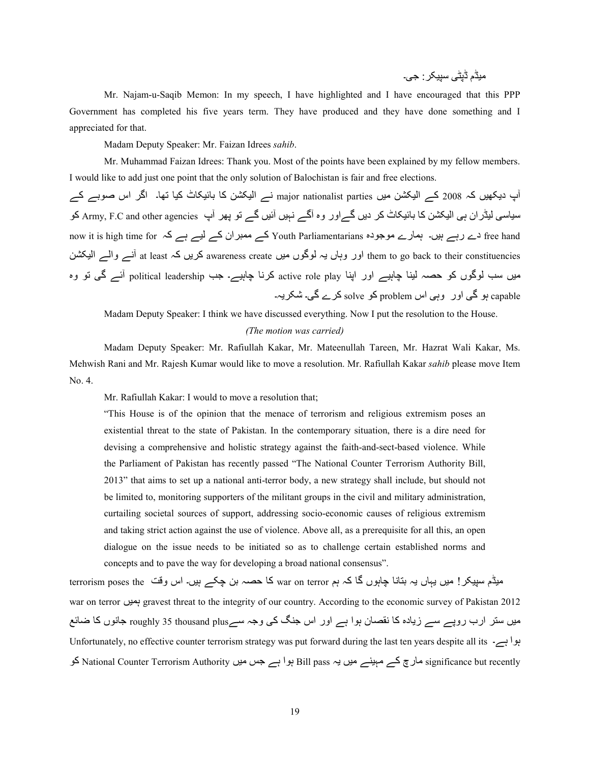;Aڈم ڈVٹ/ ABC?@:> /۔

 Mr. Najam-u-Saqib Memon: In my speech, I have highlighted and I have encouraged that this PPP Government has completed his five years term. They have produced and they have done something and I appreciated for that.

Madam Deputy Speaker: Mr. Faizan Idrees *sahib*.

 Mr. Muhammad Faizan Idrees: Thank you. Most of the points have been explained by my fellow members. I would like to add just one point that the only solution of Balochistan is fair and free elections.

آپ دیکھیں کہ 2008 کے الیکشن میں major nationalist parties نے الیکشن کا بائیکاٹ کیا تھا۔ اگر اس صوبے کے سیاسی لیڈر ان ہی الیکشن کا بائیکاٹ کر دیں گےاور وہ آگے نہیں آئیں گے تو پھر آپ Army, F.C and other agencies کو now it is high time for ہے رہے ہیں۔ ہمارے موجودہ Youth Parliamentarians کے معبران کے لیے ہے کہ free hand them to go back to their constituencies اور وہاں یہ لوگوں میں awareness create کریں کہ at least آنسے والسے الیکشن میں سب لوگوں کو حصہ لینا چاہیے اور اپنا active role play کرنا چاہیے۔ جب political leadership آئے گی تو وہ capable ہو گی اور وہی اس problem کو solve کرے گی۔ شکر یہ۔

 Madam Deputy Speaker: I think we have discussed everything. Now I put the resolution to the House. *(The motion was carried)* 

Madam Deputy Speaker: Mr. Rafiullah Kakar, Mr. Mateenullah Tareen, Mr. Hazrat Wali Kakar, Ms. Mehwish Rani and Mr. Rajesh Kumar would like to move a resolution. Mr. Rafiullah Kakar *sahib* please move Item No. 4.

Mr. Rafiullah Kakar: I would to move a resolution that;

"This House is of the opinion that the menace of terrorism and religious extremism poses an existential threat to the state of Pakistan. In the contemporary situation, there is a dire need for devising a comprehensive and holistic strategy against the faith-and-sect-based violence. While the Parliament of Pakistan has recently passed "The National Counter Terrorism Authority Bill, 2013" that aims to set up a national anti-terror body, a new strategy shall include, but should not be limited to, monitoring supporters of the militant groups in the civil and military administration, curtailing societal sources of support, addressing socio-economic causes of religious extremism and taking strict action against the use of violence. Above all, as a prerequisite for all this, an open dialogue on the issue needs to be initiated so as to challenge certain established norms and concepts and to pave the way for developing a broad national consensus".

میڈم سپیکر ! میں یہاں یہ بنانا چاہوں گا کہ ہم war on terror کا حصہ بن چکے ہیں۔ اس وقت terrorism poses the war on terror بعيل gravest threat to the integrity of our country. According to the economic survey of Pakistan 2012 میں سنّر ارب روپے سے زیادہ کا نقصان ہوا ہے اور اس جنگ کی وجہ سےenoughly 35 thousand plus جانوں کا ضائع Unfortunately, no effective counter terrorism strategy was put forward during the last ten years despite all its  $-$ بوا ہے۔ significance but recently مارچ کے مہینے میں یہ Bill pass ہوا ہے جس میں National Counter Terrorism Authority کو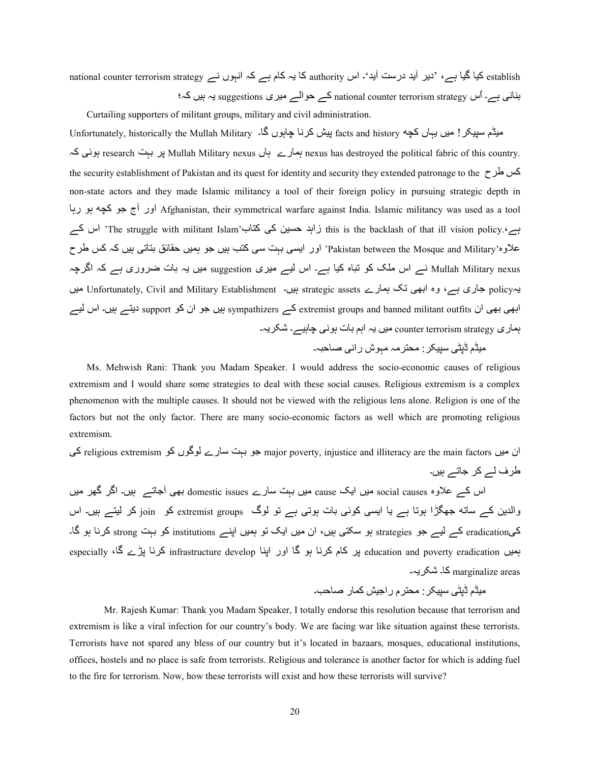establish کیا گیا ہے، 'دیر آید درست آید'۔ اس authority کا یہ کام ہے کہ انہوں نے establish کا تمامی اnational counter terrorism strategy بنانی ہے۔ اُس national counter terrorism strategy کے حوالے میری suggestions یہ ہیں کہ؛ Curtailing supporters of militant groups, military and civil administration.

Unfortunately, historically the Mullah Military ۔لاکچه facts and history پیش کرنا چاہوں گا۔ ہوئی کہ research بول ?V Mullah Military nexus ہمارے ہاں nexus has destroyed the political fabric of this country. the security establishment of Pakistan and its quest for identity and security they extended patronage to the  $\geq$ non-state actors and they made Islamic militancy a tool of their foreign policy in pursuing strategic depth in اور آج جو کچه ہو رہا Afghanistan, their symmetrical warfare against India. Islamic militancy was used as a tool ہے'.The struggle with militant Islam' زاہد حسین کی کتاب' this is the backlash of that ill vision policy. اس کے علاوہ'Pakistan between the Mosque and Military' اور ایسی بہت سی کتب ہیں جو ہمیں حقائق بتاتی ہیں کہ کس طر ح Mullah Military nexus نے اس ملک کو تباہ کیا ہے۔ اس لیے میری suggestion میں یہ بات ضروری ہے کہ اگرچہ یہpolicy جاری ہے، وہ ابھی تک ہمارے strategic assets ہیں۔ Unfortunately, Civil and Military Establishment میں ابھی بھی ان support support sympathizers کے sympathizers بیں جو ان کو support دیتے ہیں۔ اس لیے ہماری counter terrorism strategy میں یہ اہم بات ہونی جاہیے۔ شکر یہ۔

میڈم ڈیٹی سپیکر : محترمہ مہوش رانی صاحبہ۔

Ms. Mehwish Rani: Thank you Madam Speaker. I would address the socio-economic causes of religious extremism and I would share some strategies to deal with these social causes. Religious extremism is a complex phenomenon with the multiple causes. It should not be viewed with the religious lens alone. Religion is one of the factors but not the only factor. There are many socio-economic factors as well which are promoting religious extremism.

ان میں religious extremism واکی کو major poverty, injustice and illiteracy are the main factors کی طرف لے کر جاتے ہیں۔

اس کے علاوہ social causes میں ایک cause میں بہت سارے domestic issues بھی آجاتے ہیں۔ اگر گھر میں والدین کے ساته جھگڑا ہوتا ہے یا ایسی کوئی بات ہوتی ہے تو لوگ extremist groups کو join کر لیتے ہیں۔ اس کےeradication کے لیے جو strategies ہو سکتی ہیں، ان میں ایک تو ہمیں اپنے institutions کو بہت strong کرنا ہو گا۔ especially ،4 ڈرنا پڑے گا، بو 18 especially بر کام کرنا ہو گا اور اپنا despecially کرنا پڑے گا، especially marginalize areas کا۔ شکر یہ۔

;Aڈم ڈVٹ/ ABC?@:; :T?م را<A ¼492ر f4dq۔

Mr. Rajesh Kumar: Thank you Madam Speaker, I totally endorse this resolution because that terrorism and extremism is like a viral infection for our country's body. We are facing war like situation against these terrorists. Terrorists have not spared any bless of our country but it's located in bazaars, mosques, educational institutions, offices, hostels and no place is safe from terrorists. Religious and tolerance is another factor for which is adding fuel to the fire for terrorism. Now, how these terrorists will exist and how these terrorists will survive?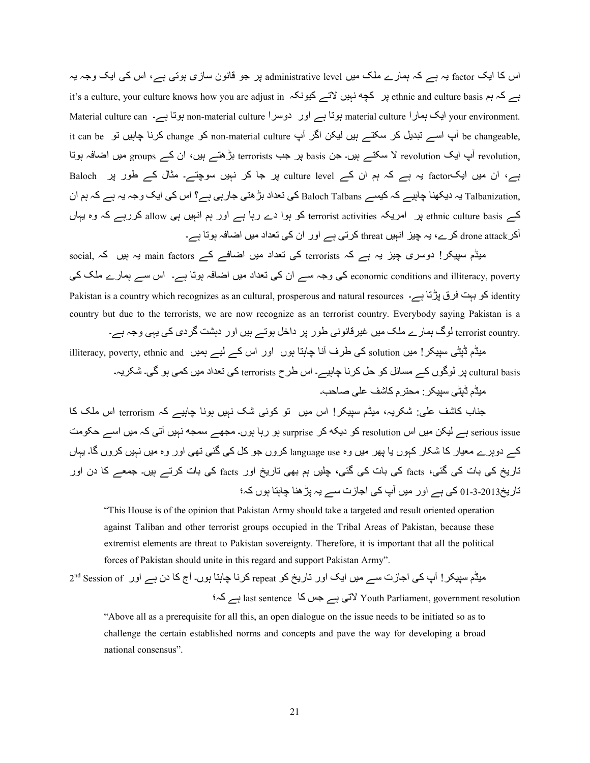اس کا ایک factor یہ ہے کہ ہمارے ملک میں administrative level پر جو قانون سازی ہوتی ہے، اس کی ایک وجہ یہ it's a culture, your culture knows how you are adjust in ہیں کچه نہیں لاتے کیونکہ بابن اسم علی ہو ethnic and culture basis ہے کہ ہم Material culture can ایک ہمارا material culture ہوتا ہے۔ 4your environment ہوتا ہے۔ 5xh material culture m it can be آپ اسے تبدیل کر سکتے ہیں لیکن اگر آپ non-material culture کو change کرنا چاہیں تو it can be ,revolution آپ ایک revolution لا سکتے ہیں۔ جن basis پر جب terrorists بڑھتے ہیں، ان کے groups میں اضافہ ہوتا ہے، ان میں ایکfactor یہ ہے کہ ہم ان کے culture level پر جا کر نہیں سوچتے۔ مثال کے طور پر Baloch ,Talbanization بہ دیکھنا چاہیے کہ کیسے Baloch Talbans کی تعداد بڑ ھتی جارہی ہے؟ اس کی ایک وجہ یہ ہے کہ ہم ان کے ethnic culture basis پر امریکہ terrorist activities کو ہوا دے رہا ہے اور ہم انہیں ہی allow کررہے کہ وہ یہاں آکر drone attack کرے، یہ چیز ِ انہیں threat کر نے سے اور ان کی تعداد میں اضافہ ہوتا ہے۔

میڈم سپیکر! دوسری چیز یہ ہے کہ terrorists کی تعداد میں اضافے کے main factors یہ بیں کہ ,social economic conditions and illiteracy, poverty کی وجہ سے ان کی تعداد میں اضافہ ہوتا ہے۔ اس سے ہمارے ملک کی Pakistan is a country which recognizes as an cultural, prosperous and natural resources کو بہت فرق پڑتا ہے۔  $\rm{identity}$ country but due to the terrorists, we are now recognize as an terrorist country. Everybody saying Pakistan is a .terrorist country لوگ ہمارے ملک میں غیرقانونی طور پر داخل ہوتے ہیں اور دہشت گردی کی یہی وجہ ہے۔

میڈم ڈپٹی سپیکر ! میں solution کی طرف آنا چاہتا ہوں اور اس کے لیے ہمیں illiteracy, poverty, ethnic and ، ultural basis پر لوگوں کے مسائل کو حل کرنا چاہیے۔ اس طرح terrorists کی تعداد میں کمی ہو گی۔ شکریہ۔

میڈم ڈیٹی سیپکر : محتر م کاشف علی صاحب۔

جناب کاشف علی: شکریہ، میڈم سبیکر! اس میں تو کوئی شک نہیں ہونا چاہیے کہ terrorism اس ملک کا serious issue ہے لیکن میں اس resolution کو دیکه کر surprise ہو رہا ہوں۔ مجھے سمجه نہیں آتی کہ میں اسے حکومت کے دوہرے معیار کا شکار کہوں یا بھر میں وہ language use کروں جو کل کی گئی تھی اور وہ میں نہیں کروں گا۔ یہاں تاریخ کی بات کی گئی، facts کی بات کی گئی، چلیں ہم بھی تاریخ اور facts کی بات کرتے ہیں۔ جمعے کا دن اور تار پخ2013-3-01 کی ہے اور میں آپ کی اجازت سے یہ بڑ ھنا جاہتا ہوں کہ؛

"This House is of the opinion that Pakistan Army should take a targeted and result oriented operation against Taliban and other terrorist groups occupied in the Tribal Areas of Pakistan, because these extremist elements are threat to Pakistan sovereignty. Therefore, it is important that all the political forces of Pakistan should unite in this regard and support Pakistan Army".

2nd Session of ) میڈم سپیکر ! آپ کی اجازت سے میں ایک اور تاریخ کو repeat کرنا چاہتا ہوں۔ آج کا دن ہے اور ہ؛2 ہے last sentence 42 c> ہے /Y Youth Parliament, government resolution

"Above all as a prerequisite for all this, an open dialogue on the issue needs to be initiated so as to challenge the certain established norms and concepts and pave the way for developing a broad national consensus".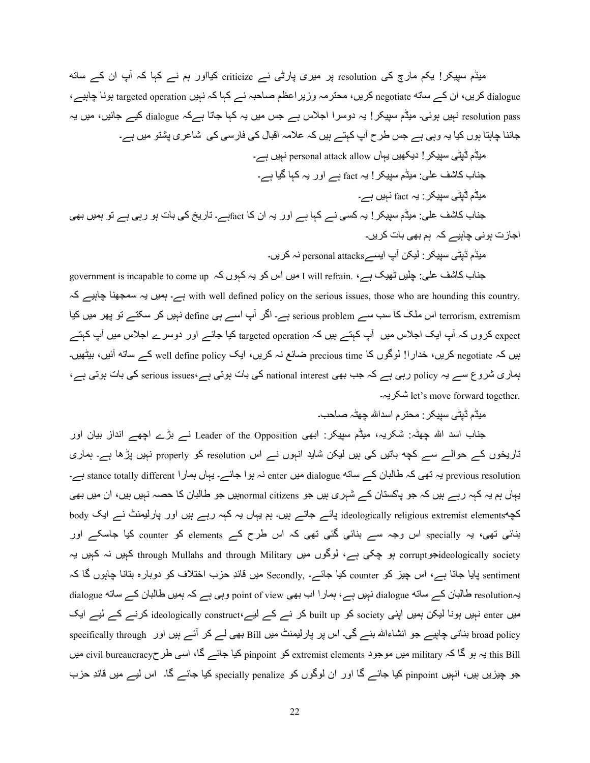میڈم سپیکر! یکم مارچ کی resolution پر میری پارٹی نے criticize کیااور ہم نے کہا کہ آپ ان کے ساته dialogue کریں، ان کے ساته negotiate کریں، محترمہ وزیر اعظم صاحبہ نے کہا کہ نہیں targeted operation ہونا چاہیے، resolution pass نہیں ہوئی۔ میڈم سپیکر ! یہ دوسر ا اجلاس ہے جس میں یہ کہا جاتا ہےکہ dialogue کیے جائیں، میں یہ جاننا چاہتا ہوں کیا یہ وہی ہے جس طرح آپ کہتے ہیں کہ علامہ اقبال کی فارسی کی شاعری پشتو میں ہے۔

- میڈم ڈپٹی سپیکر ! دیکھیں یہاں personal attack allow نہیں ہے۔ جناب کاشف علی: میڈم سپیکر ! یہ fact ہے اور یہ کہا گیا ہے۔ میڈم ڈپٹی سپیکر : یہ fact نہیں ہے۔ جناب کاشف علی: میڈم سپیکر ! یہ کسی نے کہا ہے اور یہ ان کا factہے۔ تاریخ کی بات ہو رہی ہے تو ہمیں بھی اجازت ہونی چاہیے کہ ہم بھی بات کر یں۔
	- میڈم ڈیٹی سیبکر : لیکن آپ ایسے personal attacks نہ کریں۔

government is incapable to come up ، ہیں اس کو یہ کہوں کہ government is incapable to come up ہے: J will refrain ہ2 ےAہ4g 4=1}9C ہH ںA9ہ ہے۔ with well defined policy on the serious issues, those who are hounding this country. terrorism, extremism اس ملک کا سب سے serious problem ہے۔ اگر آپ اسے ہی define نہیں کر سکتے تو پھر میں کیا expect کروں کہ آپ ایک اجلاس میں آپ کہتے ہیں کہ targeted operation کیا جائے اور دوسر ے اجلاس میں آپ کہتے ہیں کہ negotiate کریں، خدارا! لوگوں کا precious time ضائع نہ کریں، ایک well define policy کے ساته آئیں، بیٹھیں۔ ہماری شروع سے یہ policy رہی ہے کہ جب بھی national interest کی بات ہوتی ہے،serious issues کی بات ہوتی ہے، ۔۔ let's move forward together.

میڈم ڈیٹی سیپکر : محتر م اسداش چھٹہ صباحب۔

جناب اسد اللہ چھٹہ: شکریہ، میڈم سپیکر: ابھی Leader of the Opposition نے بڑے اچھے انداز بیان اور تاریخوں کے حوالے سے کچه باتیں کی ہیں لیکن شاید انہوں نے اس resolution کو properly نہیں پڑھا ہے۔ ہماری previous resolution یہ نہی کہ طالبان کے ساته dialogue میں enter نہ ہوا جائے۔ یہاں ہمارا stance totally different ہے۔ یہاں ہم یہ کہہ رہے ہیں کہ جو پاکستان کے شہری ہیں جو normal citizensہیں جو طالبان کا حصہ نہیں ہیں، ان میں بھی 02elementss extremist religious ideologically V4wے <4Yے ہAں۔ ہO Hہ4ں Hہ 2ہہ رہے ہAں اور V4رA9=ٹ Kے اZH body بنائی تھی، یہ specially اس وجہ سے بنائی گئی تھی کہ اس طرح کے elements کو counter کیا جاسکے اور deologically societyکہیں نہ کہیں یہ اوگوں میں through Mullahs and through Military کہیں یہ (corrupt کہیں یہ  $\alpha$ sentiment بابا جاتا ہے، اس چیز کو counter کیا جائے۔ Secondly, میں قائدِ حزب اختلاف کو دوبارہ بنانا چاہوں گا کہ یہresolution طالبان کے ساته dialogue نہیں ہے، ہمارا اب بھی point of view وہی ہے کہ ہمیں طالبان کے ساته dialogue میں enter نہیں ہونا لیکن ہمیں اپنی society کو built up کر نے کے لیے ideologically construct، کرنے کے لیے ایک specifically through ابنانی چاہیے جو انشاءاللہ بنے گی۔ اس پر پارلیمنٹ میں Bill بھی لے کر آئے ہیں اور specifically through this Bill یہ ہو گا کہ military میں موجود extremist elements کو pinpoint کیا جائے گا، اسی طرحeivil bureaucracy میں جو چیزیں ہیں، انہیں pinpoint کیا جائے گا اور ان لوگوں کو specially penalize کیا جائے گا۔ اس لیے میں قائدِ حزب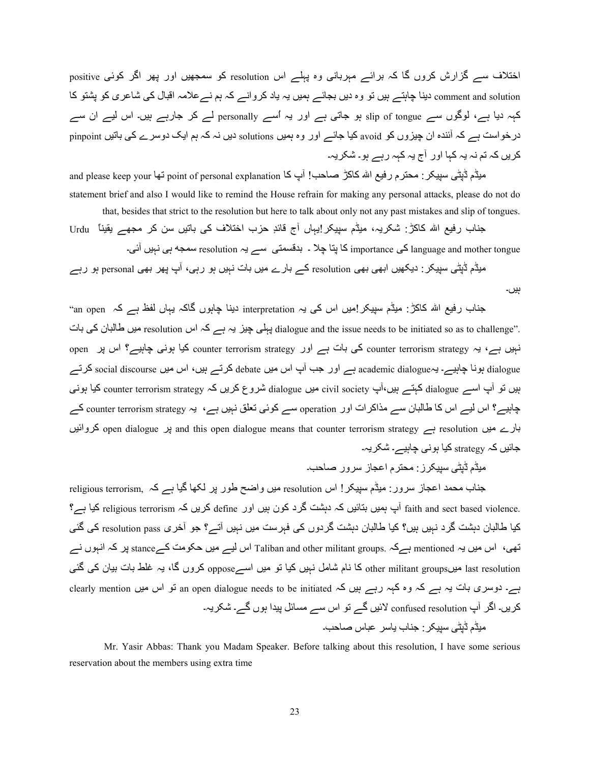اختلاف سے گزارش کروں گا کہ برائے مہربانی وہ پہلے اس resolution کو سمجھیں اور پھر اگر کوئی positive comment and solution دینا جاہتے ہیں تو وہ دیں بجائے ہمیں یہ یاد کروانے کہ ہم نےعلامہ اقبال کی شاعری کو یشتو کا کہہ دیا ہے، لوگوں سے slip of tongue ہو جاتی ہے اور یہ اُسے personally لے کر جارہے ہیں۔ اس لیے ان سے در خواست ہے کہ آئندہ ان چیزوں کو avoid کیا جائے اور وہ ہمیں solutions دیں نہ کہ ہم ایک دوسر ے کی باتیں pinpoint کر یں کہ تم نہ یہ کہا اور آج یہ کہہ رہے ہو۔ شکریہ۔

and please keep your لَّذِيْنَ سِيبِكِر : محترم رفيع الله كاكرْ صاحب! آپ كا point of personal explanation نَّها statement brief and also I would like to remind the House refrain for making any personal attacks, please do not do that, besides that strict to the resolution but here to talk about only not any past mistakes and slip of tongues.

Urdu ً4=AH ے1? ;{2 C ںAY4h /2 فuT5ا بq ٕ8w4n جb ں4ہH!?@ABC ڈمA; ،ہH?@7 :ڑ242 Àا vAر ب4 <= ۔/wb ںAہK /ہ s}9C resolution ہH ےC /T9Un8h ۔ ug 4TV 42 importance /2 language and mother tongue

میڈم ڈیٹی سپیکر : دیکھیں ابھی بھی resolution کے بارے میں بات نہیں ہو رہی، آپ پھر بھی personal ہو رہے

جناب رفیع اللہ کاکڑ: میڈم سپیکر اِمیں اس کی یہ interpretation دینا چاہوں گاکہ یہاں لفظ ہے کہ an open" tialogue and the issue needs to be initiated so as to challenge". بہلی چیز یہ ہے کہ اس resolution میں طالبان کی بات open نبیں ہے، یہ counter terrorism strategy کی بات ہے اور counter terrorism strategy کیا ہونی چابیے؟ اس پر open dialogue ہونا چاہیے۔ یہcademic dialogueہے اور جب آپ اس میں debate کرتے ہیں، اس میں social discourse کرتے ہیں تو آپ اسے dialogue کہتے ہیں،آپ civil society میں dialogue شروع کریں کہ counter terrorism strategy کیا ہونی چاہیے؟ اس لیے اس کا طالبان سے مذاکر ات اور operation سے کوئی تعلق نہیں ہے، یہ counter terrorism strategy کے بارے میں resolution ہے open dialogue means that counter terrorism strategy ہیں open dialogue کروائیں جائیں کہ strategy کیا ہونی چاہیے۔ شکریہ۔

;Aڈم ڈVٹ/ ABC?@ز: ;:T?م اQ}4ز C?ور f4dq۔

ہیں۔

جناب محمد اعجاز سرور : میڈم سیپکر ! اس resolution میں واضح طور پر لکھا گیا ہے کہ ,religious terrorism . faith and sect based violence آپ ہمیں بتائیں کہ دہشت گرد کون ہیں اور define کریں کہ religious terrorism کیا ہے؟ كيا طالبان دہشت گرد نہيں ہيں؟ كيا طالبان دہشت گردوں كى فہرست ميں نہيں آتـــر؟ جو آخرى resolution pass كى گئى تھی، اس میں یہ mentioned ہےکہ .Taliban and other militant groups اس لیے میں حکومت کےstance پر کہ انہوں نے last resolution میںother militant groups کا نام شامل نہیں کیا تو میں اسےoppose کروں گا، یہ غلط بات بیان کی گئی بے۔ دوسری بات یہ ہے کہ وہ کہہ رہے ہیں کہ an open dialogue needs to be initiated تو اس میں clearly mention كريں۔ اگر آپ confused resolution لائيں گے تو اس سے مسائل پيدا ہوں گے۔ شكريہ۔ میڈم ڈیٹے سینکر <sup>۔</sup> جناب باسر عباس صباحب۔

Mr. Yasir Abbas: Thank you Madam Speaker. Before talking about this resolution, I have some serious reservation about the members using extra time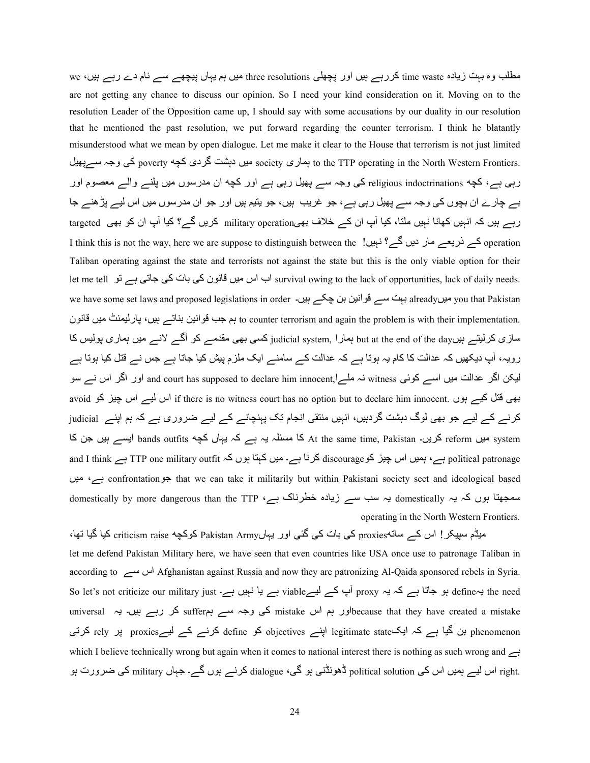مطلب وہ بہت زیادہ time waste کررہے ہیں اور پچھلی three resolutions میں ہم یہاں پیچھے سے نام دے رہے ہیں، we are not getting any chance to discuss our opinion. So I need your kind consideration on it. Moving on to the resolution Leader of the Opposition came up, I should say with some accusations by our duality in our resolution that he mentioned the past resolution, we put forward regarding the counter terrorism. I think he blatantly misunderstood what we mean by open dialogue. Let me make it clear to the House that terrorism is not just limited to the TTP operating in the North Western Frontiers. میں دہشت گردی کچه poverty کی وجہ ســـرپھیل رہی ہے، کچه religious indoctrinations کی وجہ سے پھیل رہی ہے اور کچه ان مدرسوں میں پلنے والے معصوم اور بے چارے ان بچوں کی وجہ سے پھیل رہی ہے، جو غریب ہیں، جو یتیم ہیں اور جو ان مدرسوں میں اس لیے پڑھنے جا رہے ہیں کہ انہیں کھانا نہیں ملتا، کیا آپ ان کے خلاف بھیmilitary operation کریں گے؟ کیا آپ ان کو بھی targeted I think this is not the way, here we are suppose to distinguish between the  $\frac{9}{2}$  ؛ فہیں گے؟ فہیں ا $\frac{9}{2}$  operation Taliban operating against the state and terrorists not against the state but this is the only viable option for their let me tell اب اس میں قانون کی بات کی جاتی ہے تو let me tell اب survival owing to the lack of opportunities, lack of daily needs. we have some set laws and proposed legislations in order ۔ ہیں۔ alreadyہ میںalreadyہ میں alreadyہ کیا already to counter terrorism and again the problem is with their implementation. ہم جب قوانین بناتے ہیں، پارلیمنٹ میں قانون سازی کرلیتے ہیںbut at the end of the day ہمار ا .judicial system, کسی بھی مقدمے کو آگے لانے میں ہماری پولیس کا رویہ، آپ دیکھیں کہ عدالت کا کام یہ ہوتا ہے کہ عدالت کے سامنے ایک ملزم پیش کیا جاتا ہے جس نے قتل کیا ہوتا ہے لیکن اگر عدالت میں اسے کوئی witness نہ ملے!,www.bead to declare him innocent اور اگر اس نے سو avoid بھی قتل کیے ہوں .if there is no witness court has no option but to declare him innocent اس لیے اس چیز کو کرنے کے لیے جو بھی لوگ دہشت گردہیں، انہیں منتقی انجام تک پہنچانے کے لیے ضروری ہے کہ ہم اپنے judicial system میں reform کریں۔ At the same time, Pakistan ایسے ہیں جن کا At ہو bands outfits ایسے بیں جن کا and I think ہے، ہمیں اس چیز کو discourage کرنا ہے۔ میں کہتا ہوں کہ TTP one military outfit ہے and I think ںA; ،ہے confrontationS> that we can take it militarily but within Pakistani society sect and ideological based domestically by more dangerous than the TTP ،ہے  $\zeta$ ید مخطرناک ہے ater  $\zeta$  domestically ہا میں کہ یہ operating in the North Western Frontiers.

میڈم سپیکر! اس کے ساتهproxies کی بات کی گئی اور بہاںPakistan Army کوکچه criticism raise کیا گیا تھا، let me defend Pakistan Military here, we have seen that even countries like USA once use to patronage Taliban in according to اس سے Afghanistan against Russia and now they are patronizing Al-Qaida sponsored rebels in Syria. So let's not criticize our military just ۔ ہے یا نہیں ہے۔ viable ہے یا اس broxy ہے 4Ye fine ہو جاتا ہے کہ یہ universal ہوں ہم اسے ہم suffer کے وجہ سے ہم suffer کی رہے ہیں۔ یہ universal اور بم اس phenomenon بن گیا ہے کہ ایکlegitimate state اپنے objectives کو define کرنے کے لیےproxies پر rely کرتی which I believe technically wrong but again when it comes to national interest there is nothing as such wrong and ہے .right اس لیے ہمیں اس کی political solution ڈھونڈنی ہو گی، dialogue کرنے ہوں گے۔ جہاں military کی ضرورت ہو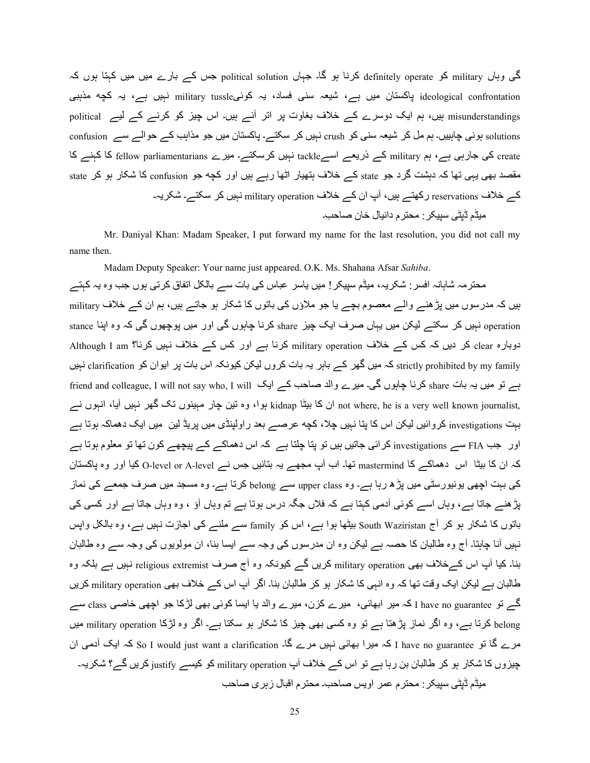گی وہاں military کو definitely operate کرنا ہو گا۔ جہاں political solution جس کے بارے میں میں کہتا ہوں کہ ideological confrontation پاکستان میں ہے، شیعہ سنی فساد، یہ کوئیmilitary tussle نہیں ہے، یہ کچه مذہبی misunderstandings ہیں، ہم ایک دوسرے کے خلاف بغاوت پر اتر آئے ہیں۔ اس چیز کو کرنے کے لیے political solutions ہونی چاہییں۔ ہم مل کر شیعہ سنی کو crush نہیں کر سکتے۔ پاکستان میں جو مذاہب کے حوالے سے confusion create کی جارہی ہے، ہم military کے ذریعے اسےtackle نہیں کرسکتے۔ میرے fellow parliamentarians کا کہنے کا مقصد بھی بہی تھا کہ دہشت گرد جو state کے خلاف ہتھیار اٹھا رہے ہیں اور کچه جو confusion کا شکار ہو کر state کے خلاف reservations رکھتے ہیں، آپ ان کے خلاف military operation نہیں کر سکتے۔ شکریہ۔ میڈم ڈیٹی سیپکر : محنر م دانیال خان صاحب۔

 Mr. Daniyal Khan: Madam Speaker, I put forward my name for the last resolution, you did not call my name then.

 Madam Deputy Speaker: Your name just appeared. O.K. Ms. Shahana Afsar *Sahiba*. محترمہ شاہانہ افسر : شکریہ، میڈم سپیکر ! میں یاسر عباس کی بات سے بالکل اتفاق کرتی ہوں جب وہ یہ کہتے ہیں کہ مدرسوں میں پڑ ھنے والے معصوم بچے یا جو ملاؤں کی باتوں کا شکار ہو جاتے ہیں، ہم ان کے خلاف military operation نہیں کر سکتے لیکن میں یہاں صرف ایک چیز share کرنا چاہوں گی اور میں پوچھوں گی کہ وہ اپنا stance دوبارہ clear کر دیں کہ کس کے خلاف military operation کرنا ہے اور کس کے خلاف نہیں کرنا؟ Although I am کہ میں گھر کے باہر یہ بات کروں لیکن کیونکہ اس بات پر ایوان کو clarification نہیں کا ہے تہیں clarification کہ میں گھر کے باہر یہ بات کروں لیکن کیونکہ اس بات پر بہ تو میں یہ بات share کرنا چاہوں گی۔ میرے والد صاحب کہ ایک friend and colleague, I will not say who, I will ان کا بیٹا kidnap ہوا، وہ نین چار مہینوں نک گھر نہیں آیا، انہوں نہ hot where, he is a very well known journalist, بہت investigations کر وائیں لیکن اس کا پتا نہیں چلا، کچه عرصــــر بعد ر اولینڈی میں پریڈ لین میں ایک دهماکہ ہوتا ہے اور جب FIA سے investigations کرائی جاتیں ہیں تو پتا چلتا ہے کہ اس دھماکے کے پیچھے کون تھا تو معلوم ہوتا ہے کہ ان کا بیٹا اس دھماکے کا mastermind نبھا۔ اب آپ مجھے یہ بنائیں جس نے O-level or A-level کیا اور وہ پاکستان کی بہت اچھی پونیورسٹی میں پڑھ رہا ہے۔ وہ upper class سے belong کرتا ہے۔ وہ مسجد میں صرف جمعے کی نماز بڑ ہنے جاتا ہے، وہاں اسے کوئی آدمی کہتا ہے کہ فلاں جگہ درس ہوتا ہے تم وہاں آؤ ، وہ وہاں جاتا ہے اور کسی کی باتوں کا شکار ہو کر آج South Waziristan بیٹھا ہوا ہے، اس کو family سے ملنے کی اجازت نہیں ہے، وہ بالکل واپس نہیں آنا چاہتا۔ آج وہ طالبان کا حصہ ہے لیکن وہ ان مدرسوں کی وجہ سے ایسا بنا، ان مولویوں کی وجہ سے وہ طالبان بنا۔ کیا آپ اس کےخلاف بھی military operation کریں گے کیونکہ وہ آج صرف religious extremist نہیں ہے بلکہ وہ طالبان ہے لیکن ایک وقت تھا کہ وہ انہی کا شکار ہو کر طالبان بنا۔ اگر آپ اس کے خلاف بھی military operation کریں گے تو I have no guarantee کہ میں ابھائی، میں ے کزن، میں ے والد یا ایسا کوئی بھی لڑکا جو اچھی خاصبی class سے belong کرتا ہے، وہ اگر نماز پڑھتا ہے تو وہ کسی بھی چیز کا شکار ہو سکتا ہے۔ اگر وہ لڑکا military operation میں مرے گا تو I have no guarantee کہ میرا بھائی نہیں مرے گا۔ So I would just want a clarification کہ ایک آدمی ان چیزوں کا شکار ہو کر طالبان بن رہا ہے تو اس کے خلاف آپ military operation کو کیسے justify کریں گے؟ شکریہ۔ میڈم ڈیٹی سپیکر : محتر م عمر اویس صاحب۔ محتر م اقبال ز بر ی صاحب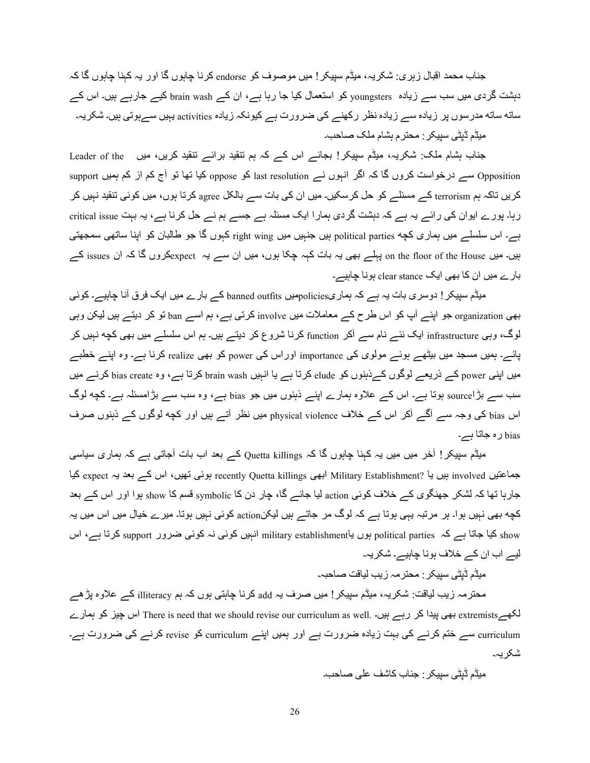جناب محمد اقبال زہری: شکریہ، میڈم سپیکر ! میں موصوف کو endorse کرنا چاہوں گا اور یہ کہنا چاہوں گا کہ دہشت گردی میں سب سے زیادہ youngsters کو استعمال کیا جا رہا ہے، ان کے brain wash کیے جارہے ہیں۔ اس کے ساته ساته مدرسوں پر زیادہ سے زیادہ نظر رکھنے کی ضرورت ہے کیونکہ زیادہ activities بہیں سےہوتی ہیں۔ شکریہ۔ میڈم ڈیٹی سیپکر ; محتر م ہشام ملک صاحب۔

جناب بشام ملک: شکریہ، میڈم سپیکر! بجائے اس کے کہ ہم تنقید برائے تنقید کریں، میں Leader of the opposition سے درخواست کروں گا کہ اگر انبوں نے last resolution کو oppose کیا تھا تو آج کم از کم ہمیں support کریں تاکہ ہم terrorism کے مسئلے کو حل کرسکیں۔ میں ان کی بات سے بالکل agree کرتا ہوں، میں کوئی تنقید نہیں کر رہا۔ پورے ایوان کی رائے یہ ہے کہ دہشت گردی ہمارا ایک مسئلہ ہے جسے ہم نے حل کرنا ہے، یہ بہت critical issue ہے۔ اس سلسلے میں ہماری کچه political parties بیں جنہیں میں right wing کبوں گا جو طالبان کو اپنا ساتھی سمجھتی بیں۔ میں on the floor of the House پہلے بھی یہ بات کہہ چکا ہوں، میں ان سے یہ expectکروں گا کہ ان issues کے بارے میں ان کا بھی ایک clear stance ہونا چاہیے۔

میڈم سپیکر ! دوسری بات یہ ہے کہ ہماریpoliciesہیں banned outfits کے بارے میں ایک فرق آنا چاہیے۔ کوئی بھی organization جو اپنے آپ کو اس طرح کے معاملات میں involve کرتی ہے، ہم اسے ban تو کر دیتے ہیں لیکن وہی لوگ، وہی infrastructure ایک نئے نام سے آکر function کرنا شروع کر دیتے ہیں۔ ہم اس سلسلے میں بھی کچه نہیں کر پائے۔ ہمیں مسجد میں بی<del>ٹ</del>ھے ہوئے مولوی کی importance اوراس کی power کو بھی realize کرنا ہے۔ وہ اپنے خطبے میں اپنی power کے ذریعے لوگوں کے ذہنوں کو elude کرتا ہے با انہیں brain wash کرتا ہے، وہ bias create کرنے میں سب سے بڑاsource ہوتا ہے۔ اس کے علاوہ ہمارے اپنے ذہنوں میں جو bias ہے، وہ سب سے بڑامسئلہ ہے۔ کچه لوگ اس bias کی وجہ سے آگے آکر اس کے خلاف physical violence میں نظر آتے ہیں اور کچه لوگوں کے ذہنوں صرف bias رہ <4Y4 ہے۔

میڈم سپیکر ! آخر میں میں یہ کہنا چاہوں گا کہ Quetta killings کے بعد اب بات آجاتی ہے کہ ہماری سیاسی جماعتیں involved ہیں یا ?Military Establishment ابھی recently Quetta killings ہوئی نھیں، اس کے بعد یہ expect کیا جارہا تھا کہ لشکر جھنگوی کے خلاف کوئی action لیا جائے گا، چار دن کا symbolic قسم کا show ہوا اور اس کے بعد کچه بھی نہیں ہوا۔ ہر مرتبہ یہی ہوتا ہے کہ لوگ مر جاتے ہیں لیکنaction کوئی نہیں ہوتا۔ میرے خیال میں اس میں یہ show کیا جاتا ہے کہ political parties ہوں یاmilitary establishment انہیں کوئی نہ کوئی ضرور support کرتا ہے، اس لیے اب ان کے خلاف ہونا چاہیے۔ شکریہ۔

میڈم ڈیٹی سییکر : محترمہ زیب لیاقت صاحبہ۔

محترمہ زیب لیاقت: شکریہ، میڈم سپیکر ! میں صرف یہ add کرنا چاہتی ہوں کہ ہم illiteracy کے علاوہ پڑھے لکھےextremists بھی پیدا کر رہے ہیں۔ There is need that we should revise our curriculum as well. اس چیز کو ہمارے curriculum سے ختم کرنے کی بہت زیادہ ضرورت ہے اور ہمیں اپنے curriculum کو revise کرنے کی ضرورت ہے۔ شکر یہ۔

۔ dq4f /[Q 6742 ب4 <=:@?ABC /ٹVڈ ڈمA;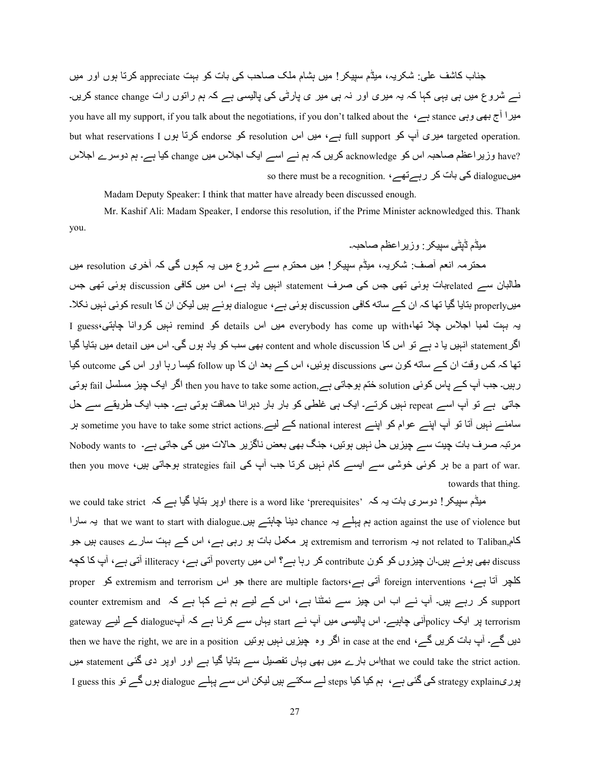جناب کاشف علی: شکریہ، میڈم سپیکر ! میں بِشام ملک صاحب کی بات کو بہت appreciate کرتا ہوں اور میں نے شروع میں ہی یہی کہا کہ یہ میری اور نہ ہی میر ی پارٹی کی پالیسی ہے کہ ہم راتوں رات stance change کریں۔ you have all my support, if you talk about the negotiations, if you don't talked about the ،ہے وہی stance ہے ہ but what reservations I سیری اب کو full support اس resolution کرتا ہوں but what reservations I کرتا ہوں ?have وزیر اعظم صاحبہ اس کو acknowledge کریں کہ ہم نے اسے ایک اجلاس میں change کیا ہے۔ ہم دوسرے اجلاس so there must be a recognition. کی بات کر رہےتھے، so there must be a recognition.

Madam Deputy Speaker: I think that matter have already been discussed enough.

 Mr. Kashif Ali: Madam Speaker, I endorse this resolution, if the Prime Minister acknowledged this. Thank you.

مبڈم ڈیٹے سیپکر <sup>۔</sup> وزیر اعظم صباحیہ۔ محترمہ انعم آصف: شکریہ، میٹم سپیکر! میں محترم سے شروع میں یہ کہوں گی کہ آخری resolution میں طالبان سے relatedبات ہوئی تھی جس کی صرف statement انہیں یاد ہے، اس میں کافی discussion ہوئی تھی جس میںproperly بتایا گیا تھا کہ ان کے ساته کافی discussion ہوئی ہے، dialogue ہوئے ہیں لیکن ان کا result کوئی نہیں نکلا۔ یہ بہت لمبا اجلاس چلا نھا،everybody has come up with اس details کو remind نہیں کروانا چاہتی،I guess اگر statement انہیں یا د ہے تو اس کا content and whole discussion بھی سب کو یاد ہوں گی۔ اس میں detail میں بتایا گیا تھا کہ کس وقت ان کے ساته کون سی discussions ہوئیں، اس کے بعد ان کا follow up کیسا رہا اور اس کی outcome کیا ربیں۔ جب آپ کے پاس کوئی solution ختم ہوجاتی ہے,then you have to take some action اگر ایک چیز مسلسل fail ہوتی جاتی ہے تو آپ اسے repeat نہیں کرتے۔ ایک ہی غلطی کو بار بار دہرانا حماقت ہوتی ہے۔ جب ایک طریقے سے حل ہ سامنے نہیں آتا تو آپ اپنے عوام کو اپنے national interest کے لیے sometime you have to take some strict actions مر تبہ صر ف بات چیت سے چیزیں حل نہیں ہوتیں، جنگ بھی بعض ناگزیر حالات میں کی جاتی ہے۔ Nobody wants to then you move ،پر کوئی خوشی سے ایسے کام نہیں کرتا جب آپ کی strategies fail ہوجاتی ہیں، then you move towards that thing.

we could take strict ہیڈم سپیکر ! دوسری بات یہ کہ ' there is a word like 'prerequisites' اوپر بنایا گیا ہے کہ رہا + that we want to start with dialogue. ہم پہلے یہ chance دینا چاہتے ہیں chance ہے مسارا کام,causes یا اس کے بہت سارے causes ہیں جو extremism and terrorism ہو مہ تھی ہو رہی ہے، اس کے بہت سارے causes ہیں discuss بھی ہوئے ہیں۔ان چیزوں کو کون contribute کر رہا ہے؟ اس میں poverty آتی ہے، illiteracy آتی ہے، آپ کا کچه کلچر آنا ہے، foreign interventions آتی ہے، there are multiple factors آتی ہے there are multiple factors کو support کر رہے ہیں۔ آپ نے اب اس چیز سے نمٹنا ہے، اس کے لیے ہم نے کہا ہے کہ counter extremism and terrorism پر ایک policyآنی چاہیے۔ اس پالیسی میں آپ نے start یہاں سے کرنا ہے کہ آپdialogue کے لیے gateway then we have the right, we are in a position کر وہ چیزیں نہیں ہوتیں (in case at the end ،دیں گے۔ اب بات کریں hat we could take the strict action. اس بارے میں بھی یہاں تفصیل سے بتایا گیا ہے اور اوپر دی گئی statement میں پوریiguess this کی گئی ہے، ہم کیا کیا steps لے سکتے ہیں لیکن اس سے پہلے dialogue ہوں گے تو I guess this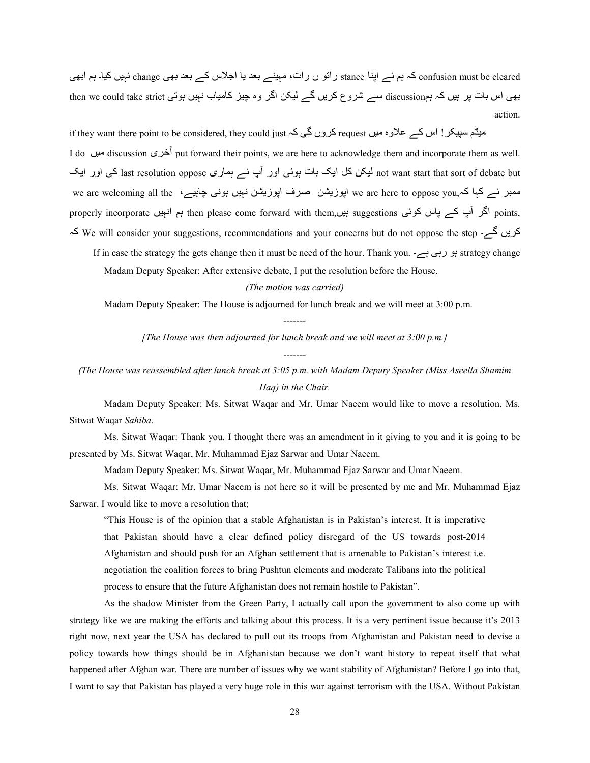confusion must be cleared کہ ہم نے اپنا stance راتو ں رات، مہینے بعد یا اجلاس کے بعد بھی change نہیں کیا۔ ہم ابھی بھی اس بات پر ہیں کہ ہمdiscussion سے شروع کریں گے لیکن اگر وہ چیز کامیاب نہیں ہوتی then we could take strict action.

if they want there point to be considered, they could just کروں گی کہ request دوں گی کہ if they want there point to be considered, they could just

I do أخرى discussion أخرى put forward their points, we are here to acknowledge them and incorporate them as well. not want start that sort of debate but لیکن کل ایک بات ہوئی اور آپ نے ہماری last resolution oppose کی اور ایک we are welcoming all the ، ہمبر نے کہا کہ we are here to oppose you اپوزیشن صرف اپوزیشن نہیں ہونی چاہیے properly incorporate اکر آپ کے پاس کوئی suggestions ہیں,suggestions ہم انہیں points ہ2 We will consider your suggestions, recommendations and your concerns but do not oppose the step ے۔ |ںH?2

If in case the strategy the gets change then it must be need of the hour. Thank you. ہو رہی ہے۔ /rin case the strategy the gets change then it must be need of the hour. Thank you

Madam Deputy Speaker: After extensive debate, I put the resolution before the House.

*(The motion was carried)* 

Madam Deputy Speaker: The House is adjourned for lunch break and we will meet at 3:00 p.m.

*-------* 

*[The House was then adjourned for lunch break and we will meet at 3:00 p.m.]* 

*-------* 

*(The House was reassembled after lunch break at 3:05 p.m. with Madam Deputy Speaker (Miss Aseella Shamim Haq) in the Chair.* 

 Madam Deputy Speaker: Ms. Sitwat Waqar and Mr. Umar Naeem would like to move a resolution. Ms. Sitwat Waqar *Sahiba*.

 Ms. Sitwat Waqar: Thank you. I thought there was an amendment in it giving to you and it is going to be presented by Ms. Sitwat Waqar, Mr. Muhammad Ejaz Sarwar and Umar Naeem.

Madam Deputy Speaker: Ms. Sitwat Waqar, Mr. Muhammad Ejaz Sarwar and Umar Naeem.

 Ms. Sitwat Waqar: Mr. Umar Naeem is not here so it will be presented by me and Mr. Muhammad Ejaz Sarwar. I would like to move a resolution that;

"This House is of the opinion that a stable Afghanistan is in Pakistan's interest. It is imperative that Pakistan should have a clear defined policy disregard of the US towards post-2014 Afghanistan and should push for an Afghan settlement that is amenable to Pakistan's interest i.e. negotiation the coalition forces to bring Pushtun elements and moderate Talibans into the political process to ensure that the future Afghanistan does not remain hostile to Pakistan".

As the shadow Minister from the Green Party, I actually call upon the government to also come up with strategy like we are making the efforts and talking about this process. It is a very pertinent issue because it's 2013 right now, next year the USA has declared to pull out its troops from Afghanistan and Pakistan need to devise a policy towards how things should be in Afghanistan because we don't want history to repeat itself that what happened after Afghan war. There are number of issues why we want stability of Afghanistan? Before I go into that, I want to say that Pakistan has played a very huge role in this war against terrorism with the USA. Without Pakistan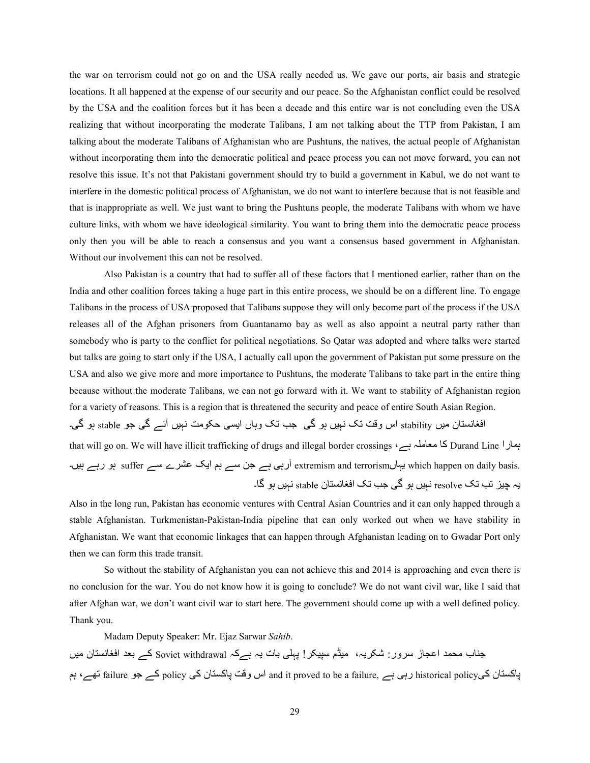the war on terrorism could not go on and the USA really needed us. We gave our ports, air basis and strategic locations. It all happened at the expense of our security and our peace. So the Afghanistan conflict could be resolved by the USA and the coalition forces but it has been a decade and this entire war is not concluding even the USA realizing that without incorporating the moderate Talibans, I am not talking about the TTP from Pakistan, I am talking about the moderate Talibans of Afghanistan who are Pushtuns, the natives, the actual people of Afghanistan without incorporating them into the democratic political and peace process you can not move forward, you can not resolve this issue. It's not that Pakistani government should try to build a government in Kabul, we do not want to interfere in the domestic political process of Afghanistan, we do not want to interfere because that is not feasible and that is inappropriate as well. We just want to bring the Pushtuns people, the moderate Talibans with whom we have culture links, with whom we have ideological similarity. You want to bring them into the democratic peace process only then you will be able to reach a consensus and you want a consensus based government in Afghanistan. Without our involvement this can not be resolved.

Also Pakistan is a country that had to suffer all of these factors that I mentioned earlier, rather than on the India and other coalition forces taking a huge part in this entire process, we should be on a different line. To engage Talibans in the process of USA proposed that Talibans suppose they will only become part of the process if the USA releases all of the Afghan prisoners from Guantanamo bay as well as also appoint a neutral party rather than somebody who is party to the conflict for political negotiations. So Qatar was adopted and where talks were started but talks are going to start only if the USA, I actually call upon the government of Pakistan put some pressure on the USA and also we give more and more importance to Pushtuns, the moderate Talibans to take part in the entire thing because without the moderate Talibans, we can not go forward with it. We want to stability of Afghanistan region for a variety of reasons. This is a region that is threatened the security and peace of entire South Asian Region. افغانستان میں stability اس وقت تک نہیں ہو گی جب تک وہاں ایسی حکومت نہیں آئے گی جو stable ہو گی۔ that will go on. We will have illicit trafficking of drugs and illegal border crossings ،کا معاملہ ہے کہ burand Line ِسے جن سے ہم ایک عشرے سے suffer کی رہے ہیں۔ (extremism and terrorism ہو رہے ہیں۔ (anter سیاء suffer ہو رہے ہیں یہ چیز تب تک resolve نہیں ہو گی جب تک افغانستان stable نہیں ہو گا۔

Also in the long run, Pakistan has economic ventures with Central Asian Countries and it can only happed through a stable Afghanistan. Turkmenistan-Pakistan-India pipeline that can only worked out when we have stability in Afghanistan. We want that economic linkages that can happen through Afghanistan leading on to Gwadar Port only then we can form this trade transit.

So without the stability of Afghanistan you can not achieve this and 2014 is approaching and even there is no conclusion for the war. You do not know how it is going to conclude? We do not want civil war, like I said that after Afghan war, we don't want civil war to start here. The government should come up with a well defined policy. Thank you.

Madam Deputy Speaker: Mr. Ejaz Sarwar *Sahib*.

جناب محمد اعجاز سرور : شکریہ، میڈم سپیکر ! پہلی بات یہ ہےکہ Soviet withdrawal کے بعد افغانستان میں پاکستان کےpolicy وہے ہے and it proved to be a failure, ہیں ہے policy کے جو failure نہے، ہم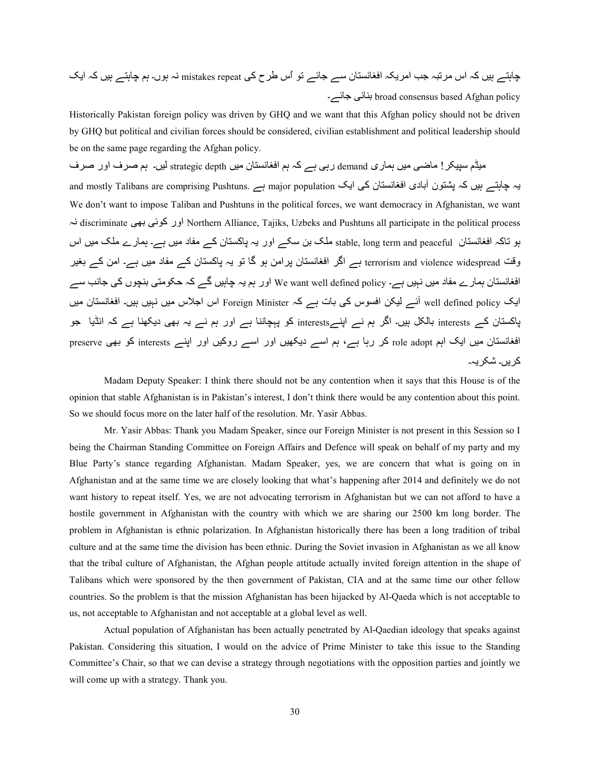چاہتے ہیں کہ اس مرتبہ جب امریکہ افغانستان سے جائے تو اُس طرح کی mistakes repeat نہ ہوں۔ ہم چاہتے ہیں کہ ایک -سلسر broad consensus based Afghan policy بذائبى جائسر

Historically Pakistan foreign policy was driven by GHQ and we want that this Afghan policy should not be driven by GHQ but political and civilian forces should be considered, civilian establishment and political leadership should be on the same page regarding the Afghan policy.

میڈم سپیکر ! ماضی میں ہمار ی demand رہی ہے کہ ہم افغانستان میں strategic depth لیں۔ ہم صرف اور صرف یہ چاہتے ہیں کہ پشتون آبادی افغانستان کی ایک major population ہے and mostly Talibans are comprising Pushtuns. We don't want to impose Taliban and Pushtuns in the political forces, we want democracy in Afghanistan, we want ہK discriminate /1h /wS2 اور Northern Alliance, Tajiks, Uzbeks and Pushtuns all participate in the political process ہو تاکہ افغانستان stable, long term and peaceful ملک بن سکے اور یہ پاکستان کے مفاد میں ہے۔ ہمارے ملک میں اس وقت terrorism and violence widespread ہے اگر افغانستان پرامن ہو گا تو یہ پاکستان کے مفاد میں ہے۔ امن کے بغیر افغانستان ہمار ے مفاد میں نہیں ہے۔ We want well defined policy اور ہم یہ چاہیں گے کہ حکومتی بنچوں کی جانب سے ایک well defined policy آئے لیکن افسوس کی بات ہے کہ Foreign Minister اس اجلاس میں نہیں ہیں۔ افغانستان میں پاکستان کے interests بالکل ہیں۔ اگر ہم نے اپنےinterests کو پہچاننا ہے اور ہم نے یہ بھی دیکھنا ہے کہ انڈیا جو افغانستان میں ایک اہم role adopt کر رہا ہے، ہم اسے دیکھیں اور اسے روکیں اور اپنے interests کو بھی preserve کر پر،۔ شکر پہ۔

 Madam Deputy Speaker: I think there should not be any contention when it says that this House is of the opinion that stable Afghanistan is in Pakistan's interest, I don't think there would be any contention about this point. So we should focus more on the later half of the resolution. Mr. Yasir Abbas.

 Mr. Yasir Abbas: Thank you Madam Speaker, since our Foreign Minister is not present in this Session so I being the Chairman Standing Committee on Foreign Affairs and Defence will speak on behalf of my party and my Blue Party's stance regarding Afghanistan. Madam Speaker, yes, we are concern that what is going on in Afghanistan and at the same time we are closely looking that what's happening after 2014 and definitely we do not want history to repeat itself. Yes, we are not advocating terrorism in Afghanistan but we can not afford to have a hostile government in Afghanistan with the country with which we are sharing our 2500 km long border. The problem in Afghanistan is ethnic polarization. In Afghanistan historically there has been a long tradition of tribal culture and at the same time the division has been ethnic. During the Soviet invasion in Afghanistan as we all know that the tribal culture of Afghanistan, the Afghan people attitude actually invited foreign attention in the shape of Talibans which were sponsored by the then government of Pakistan, CIA and at the same time our other fellow countries. So the problem is that the mission Afghanistan has been hijacked by Al-Qaeda which is not acceptable to us, not acceptable to Afghanistan and not acceptable at a global level as well.

Actual population of Afghanistan has been actually penetrated by Al-Qaedian ideology that speaks against Pakistan. Considering this situation, I would on the advice of Prime Minister to take this issue to the Standing Committee's Chair, so that we can devise a strategy through negotiations with the opposition parties and jointly we will come up with a strategy. Thank you.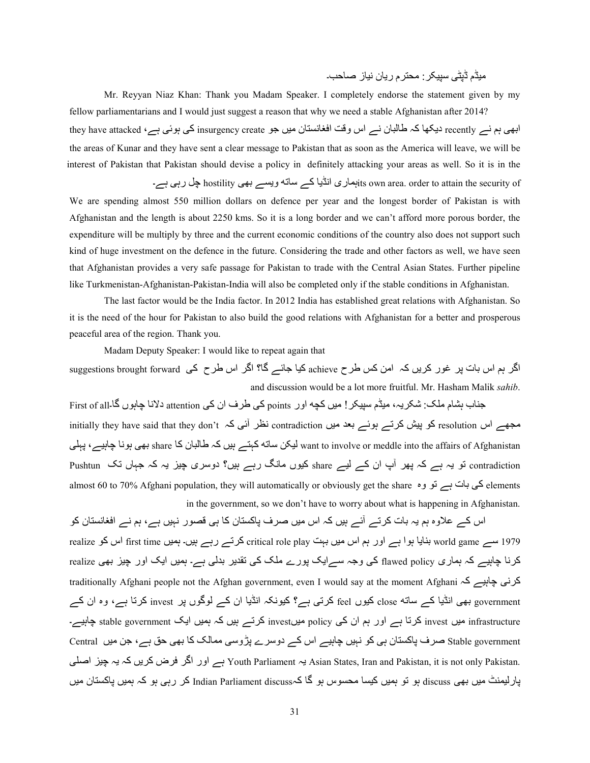;Aڈم ڈVٹ/ ABC?@:; :T?م رH4ن AK4ز f4dq۔

Mr. Reyyan Niaz Khan: Thank you Madam Speaker. I completely endorse the statement given by my fellow parliamentarians and I would just suggest a reason that why we need a stable Afghanistan after 2014?

ابھی ہم نے recently دیکھا کہ طالبان نے اس وقت افغانستان میں جو insurgency create کی ہوئی ہے، they have attacked the areas of Kunar and they have sent a clear message to Pakistan that as soon as the America will leave, we will be interest of Pakistan that Pakistan should devise a policy in definitely attacking your areas as well. So it is in the

its own area. order to attain the security ofبہاری انڈیا کے ساتہ ویسے بھی hostility چل رہی ہے۔ We are spending almost 550 million dollars on defence per year and the longest border of Pakistan is with Afghanistan and the length is about 2250 kms. So it is a long border and we can't afford more porous border, the expenditure will be multiply by three and the current economic conditions of the country also does not support such kind of huge investment on the defence in the future. Considering the trade and other factors as well, we have seen that Afghanistan provides a very safe passage for Pakistan to trade with the Central Asian States. Further pipeline like Turkmenistan-Afghanistan-Pakistan-India will also be completed only if the stable conditions in Afghanistan.

 The last factor would be the India factor. In 2012 India has established great relations with Afghanistan. So it is the need of the hour for Pakistan to also build the good relations with Afghanistan for a better and prosperous peaceful area of the region. Thank you.

Madam Deputy Speaker: I would like to repeat again that

اگر ہم اس بات پر غور کریں کہ امن کس طرح achieve کیا جائے گا؟ اگر اس طرح کی suggestions brought forward and discussion would be a lot more fruitful. Mr. Hasham Malik *sahib*.

جناب بشام ملک: شکریہ، میڈم سپیکر ! میں کچه اور points کی طرف ان کی attention دلانا چاہوں گا۔First of all initially they have said that they don't ہمچے اس resolution ہے۔ اس کرتے ہوئے بعد میں contradiction نظر آئی کہ س کہتے ہیں کہ طالبان کا share ہھی ہونا چاہیے ، یہلی want to involve or meddle into the affairs of Afghanistan contradiction تو یہ ہے کہ پھر آپ ان کے لیے share کیوں مانگ رہے ہیں؟ دوسری چیز یہ کہ جہاں تک Pushtun almost 60 to 70% Afghani population, they will automatically or obviously get the share کی بات ہے تو وہ salmos in the government, so we don't have to worry about what is happening in Afghanistan.

اس کے علاوہ ہم یہ بات کرتے آئے ہیں کہ اس میں صرف پاکستان کا ہی قصور نہیں ہے، ہم نے افغانستان کو realize سے world game بنایا ہوا ہے اور ہم اس میں بہت critical role play کرتے رہے ہیں۔ ہمیں first time اس کو realize کرنا چاہیے کہ ہماری flawed policy کی وجہ سے ایک پورے ملک کی تقدیر بدلی ہے۔ ہمیں ایک اور چیز بھی realize traditionally Afghani people not the Afghan government, even I would say at the moment Afghani کرنی چاہیے کہ government بھی انڈیا کے ساته close کیوں feel کرتی ہے؟ کیونکہ انڈیا ان کے لوگوں پر invest کرتا ہے، وہ ان کے invest میں invest کرتا ہے اور ہم ان کی policy میںinvest کرتے ہیں کہ ہمیں ایک stable government چاہیے۔ Stable government صرف پاکستان ہی کو نہیں چاہیے اس کے دوسرے پڑوسی ممالک کا بھی حق ہے، جن میں Central /[fا Ag ہH ہ2 ںH?2 ض|? ?ا اور ہے Youth Parliament ہH Asian States, Iran and Pakistan, it is not only Pakistan. پارلیمنٹ میں بھی discuss ہو تو ہمیں کیسا محسوس ہو گا کہIndian Parliament discuss کر رہی ہو کہ ہمیں پاکستان میں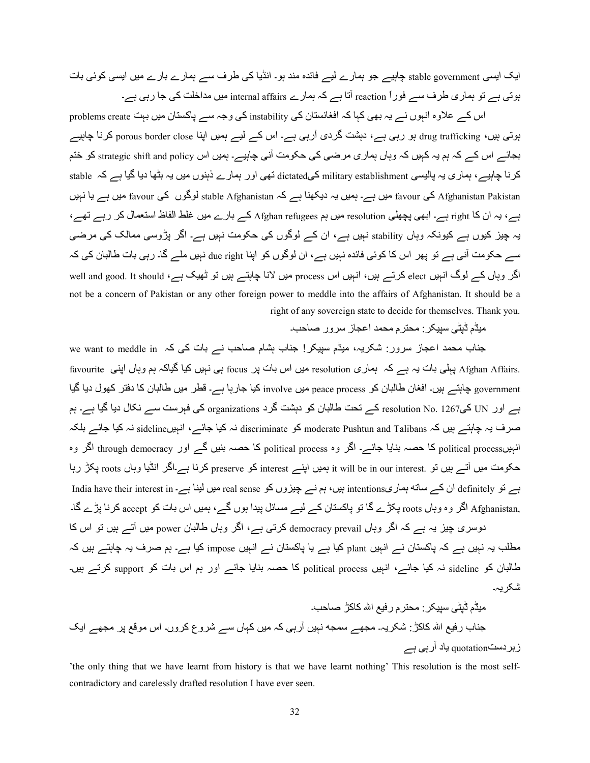ایک ایسی stable government چاہیے جو ہمارے لیے فائدہ مند ہو۔ انڈیا کی طرف سے ہمارے بارے میں ایسی کوئی بات ہوتی ہے تو ہماری طرف سے فوراً reaction آتا ہے کہ ہمارے internal affairs میں مداخلت کی جا رہی ہے۔

اس کے علاوہ انہوں نے یہ بھی کہا کہ افغانستان کی instability کی وجہ سے پاکستان میں بہت problems create ہوتی ہیں، drug trafficking ہو رہی ہے، دہشت گردی آرہی ہے۔ اس کے لیے ہمیں اپنا porous border close کرنا چاہیے بجائے اس کے کہ ہم یہ کہیں کہ وہاں ہماری مرضی کی حکومت آنی چاہیے۔ ہمیں اس strategic shift and policy کو ختم کرنا چاہیے، ہماری یہ پالیسی military establishment کےdictated تھی اور ہمارے ذہنوں میں یہ بٹھا دیا گیا ہے کہ stable Afghanistan Pakistan کی favour میں ہے۔ ہمیں یہ دیکھنا ہے کہ stable Afghanistan لوگوں کی favour میں ہے یا نہیں ہے، یہ ان کا right ہے۔ ابھی پچھلی resolution میں ہم Afghan refugees کے بارے میں غلط الفاظ استعمال کر رہے تھے، یہ چیز کیوں ہے کیونکہ وہاں stability نہیں ہے، ان کے لوگوں کی حکومت نہیں ہے۔ اگر پڑوسی ممالک کی مرضی سے حکومت آنی ہے تو پھر اس کا کوئی فائدہ نہیں ہے، ان لوگوں کو اپنا due right نہیں ملے گا۔ رہی بات طالبان کی کہ اگر وہاں کے لوگ انہیں elect کرتے ہیں، انہیں اس process میں لانا چاہتے ہیں تو ٹھیک ہے، well and good. It should not be a concern of Pakistan or any other foreign power to meddle into the affairs of Afghanistan. It should be a right of any sovereign state to decide for themselves. Thank you.

میڈم ڈیٹے، سبیکر : محنر م محمد اعجاز سر و ر صاحب۔

سو we want to meddle in ہے کہ کہ میڈم سپیکر ! جناب ہشام صاحب نے بات کی کہ .Afghan Affairs پہلی بات یہ ہے کہ ہماری resolution میں اس بات پر focus ہی نہیں کیا گیاکہ ہم وہاں اپنی favourite government چاہتے ہیں۔ افغان طالبان کو peace process میں involve کیا جارہا ہے۔ قطر میں طالبان کا دفتر کھول دیا گیا ہے اور UN کی1267 .resolution No کے تحت طالبان کو دہشت گرد organizations کی فہرست سے نکال دیا گیا ہے۔ ہم صرف یہ چاہتے ہیں کہ moderate Pushtun and Talibans کو discriminate نہ کیا جائے، انہیںsideline نہ کیا جائے بلکہ انہبی<sub>political process</sub> کا حصہ بنایا جائے۔ اگر وہ <sub>political process</sub> کا حصہ بنیں گے اور <sub>through democracy</sub> اگر وہ حکومت میں آتے ہیں تو .it will be in our interest وmeserve کو preserve کرنا ہے۔اگر انڈیا وہاں roots پکڑ رہا ہے۔ تو definitely ان کے ساته ہماریintentions بیں، ہم نے جیزوں کو real sense میں لینا ہے۔ India have their interest in ,Afghanistan اگر وہ وہاں roots پکڑے گا تو پاکستان کے لیے مسائل پیدا ہوں گے، ہمیں اس بات کو accept کرنا بڑے گا۔ دوسری چیز یہ ہے کہ اگر وہاں democracy prevail کرتی ہے، اگر وہاں طالبان power میں آتے ہیں تو اس کا مطلب یہ نہیں ہے کہ پاکستان نے انہیں plant کیا ہے یا پاکستان نے انہیں impose کیا ہے۔ ہم صرف یہ چاہتے ہیں کہ طالبان کو sideline نہ کیا جائے، انہیں political process کا حصہ بنایا جائے اور ہم اس بات کو support کرتے ہیں۔ شکر یہ۔

;Aڈم ڈVٹ/ ABC ?@:; :T?م رvA اÀ 242ڑ f4dq۔ <=4ب رvA اÀ 242ڑ: 7@?Hہ۔ ;{1ے C9}s KہAں bرہ/ 2ہ ;Aں 2ہ4ں Cے 7?وع 2?وں۔ اس ;vnS V}; ?1ے اZH زh?دquotationyC H4د bرہ/ ہے

'the only thing that we have learnt from history is that we have learnt nothing' This resolution is the most selfcontradictory and carelessly drafted resolution I have ever seen.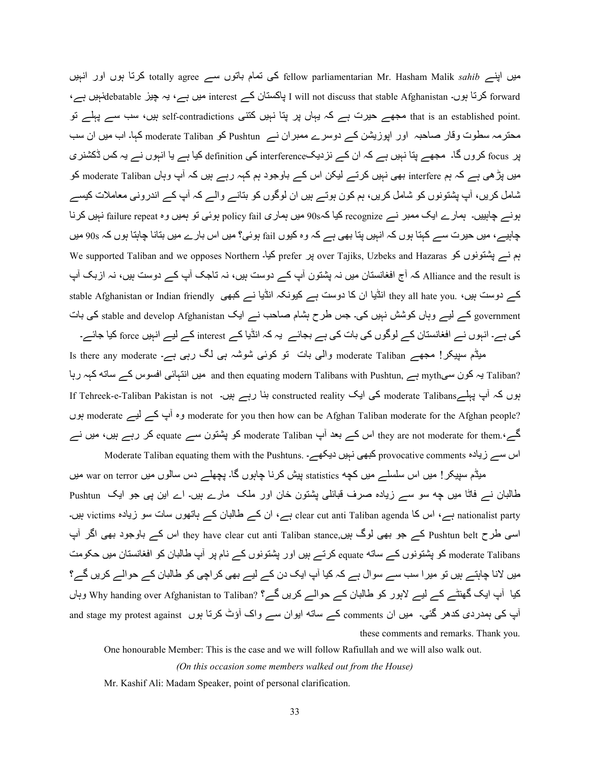میں اپنے totally agree کی تمام باتوں سے fellow parliamentarian Mr. Hasham Malik *sahib* کرتا ہوں اور انہیں forward کرتا ہوں۔ I will not discuss that stable Afghanistan ہیں ہے، یہ چیز debatableنہیں ہے، hat is an established point. مجھے حیرت ہے کہ یہاں پر پتا نہیں کتنی self-contradictions ہیں، سب سے پہلے تو محترمہ سطوت وقار صاحبہ اور اپوزیشن کے دوسرے ممبر ان نے Pushtun کو moderate Taliban کہا۔ اب میں ان سب پر focus کروں گا۔ مجھے پتا نہیں ہے کہ ان کے نزدیکinterference کی definition کیا ہے یا انہوں نے یہ کس ڈکشنر ی میں پڑھی ہے کہ ہم interfere بھی نہیں کرتے لیکن اس کے باوجود ہم کہہ رہے ہیں کہ آپ وہاں moderate Taliban کو شامل کریں، آپ پشتونوں کو شامل کریں، ہم کون ہوتے ہیں ان لوگوں کو بتانے والے کہ آپ کے اندرونی معاملات کیسے بونے چاہییں۔ ہمارے ایک ممبر نے recognize کیا کہ90ہ میں ہماری policy fail ہوئی تو ہمیں وہ failure repeat نہیں کرنا چاہیے، میں حیرت سے کہتا ہوں کہ انہیں پتا بھی ہے کہ وہ کیوں fail ہوئی؟ میں اس بارے میں بتانا چاہتا ہوں کہ 90s میں ہم نسر پشتونوں کو over Tajiks, Uzbeks and Hazaras یا مجمع است استعمال we supported Taliban and we opposes Northern Alliance and the result is کہ آج افغانستان میں نہ پشتون آپ کے دوست ہیں، نہ تاجک آپ کے دوست ہیں، نہ ازبک آپ stable Afghanistan or Indian friendly انڈیا ان کا دوست ہے کیونکہ انڈیا نے کبھی stable Afghanistan or Indian friendly government کے لیے وہاں کوشش نہیں کی۔ جس طرح بشام صاحب نے ایک stable and develop Afghanistan کی بات کی ہے۔ انبوں نے افغانستان کے لوگوں کی بات کی ہے بجائے۔ یہ کہ انڈیا کے interest کے لیے انہیں force کیا جائے۔ میڈم سپیکر! مجھے moderate Taliban والی بات تو کوئی شوشہ ہی لگ رہی ہے۔ Is there any moderate

4رہا ہے کون سیmyth ہے ۔ myth ہے myth ہے and then equating modern Talibans with Pushtun, ہیں انتہائی افسوس کے ساته کہہ رہا If Tehreek-e-Taliban Pakistan is not ۔ ابوں کہ آپ پہلے moderate Talibans کی ایک constructed reality بنا رہے ہیں وہ آپ کے لیے moderate وہ آپ کے لیے moderate for you then how can be Afghan Taliban moderate for the Afghan people? گے۔'.dit ou derate Taliban اس کے بعد آپ moderate Taliban کو پشتون سے equate کر رہے ہیں، میں نے

اس سے زیادہ provocative comments کبھی نہیں دیکھے۔ .Moderate Taliban equating them with the Pushtuns میڈم سپیکر ! میں اس سلسلے میں کچه statistics بیش کرنا چاہوں گا۔ پچھلے دس سالوں میں war on terror میں طالبان نسر فاٹا میں چه سو سسر زیادہ صرف قبائلی پشتون خان اور ملک ً مارے ہیں۔ اے این پی جو ایک Pushtun ۔ nationalist party ہے، اس کا clear cut anti Taliban agenda ہے، ان کے طالبان کے ہاتھوں سات سو زیادہ victims ہیں۔ اسی طرح Pushtun belt کے جو بھی لوگ ہیں,they have clear cut anti Taliban stance اس کے باوجود بھی اگر آپ moderate Talibans کو پشتونوں کے ساته <sub>equate</sub> کرتے ہیں اور پشتونوں کے نام پر آپ طالبان کو افغانستان میں حکومت میں لانا چاہتے ہیں تو میرا سب سے سوال ہے کہ کیا آپ ایک دن کے لیے بھی کراچی کو طالبان کے حوالے کریں گے؟ کیا آپ ایک گھنٹے کے لیے لاہور کو طالبان کے حوالے کریں گے؟ ?Why handing over Afghanistan to Taliban وہاں and stage my protest against واک آؤٹ کرتا ہوں and stage my protest against کے ساته ایوان سے واک these comments and remarks. Thank you.

One honourable Member: This is the case and we will follow Rafiullah and we will also walk out.

*(On this occasion some members walked out from the House)* 

Mr. Kashif Ali: Madam Speaker, point of personal clarification.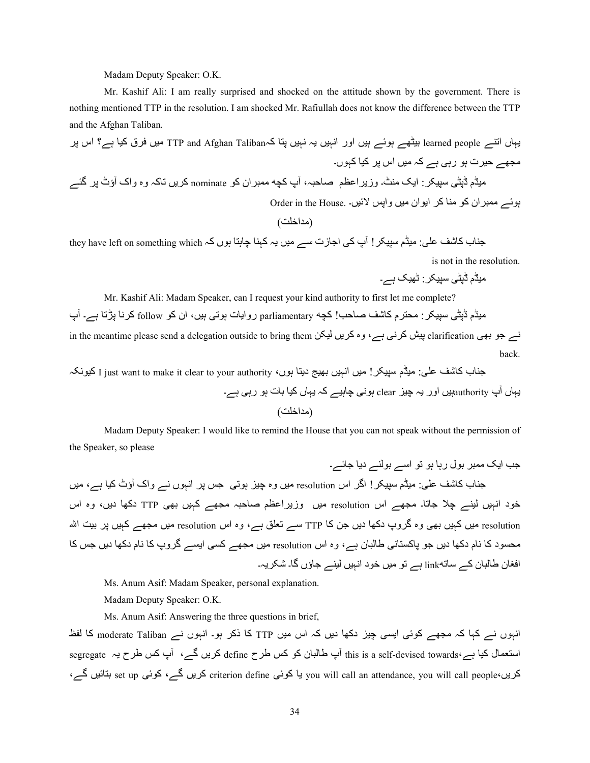Madam Deputy Speaker: O.K.

 Mr. Kashif Ali: I am really surprised and shocked on the attitude shown by the government. There is nothing mentioned TTP in the resolution. I am shocked Mr. Rafiullah does not know the difference between the TTP and the Afghan Taliban.

Hہ4ں اY=ے people learned Ahٹ1ے ہwSے ہAں اور اKہAں Hہ KہAں TV4 2ہTaliban Afghan and TTP; Aں ?ق 2A4 ہے؟ اس V ? ;{1ے Aq?ت ہS رہ/ ہے 2ہ ;Aں اس V ?2A4 2ہSں۔ ;Aڈم ڈVٹ/ ABC?@: اZH=; ٹ۔ وزH?اOoQ f4qہ، bپ 02s; 9?ان 2S nominate 2?Hں Y24ہ وہ وا~ bؤٹ V«| ?ے

بوئے ممبر ان کو منا کر ابوان میں واپس لائیں۔ .Order in the House

(;8ا5]y(

جناب کاشف علی: میڈم سپیکر ! آپ کی اجازت سے میں یہ کہنا چاہتا ہوں کہ they have left on something which is not in the resolution.

میڈم ڈیٹی سیپکر : ٹھیک ہے۔

Mr. Kashif Ali: Madam Speaker, can I request your kind authority to first let me complete?

میڈم ڈپٹی سپیکر : محترم کاشف صاحب! کچه parliamentary روایات ہوتی ہیں، ان کو follow کرنا پڑتا ہے۔ آپ

in the meantime please send a delegation outside to bring them پیش کرنی ہے، وہ کریں لیکن back.

جناب کاشف علمی: میڈم سپیکر ! میں انہیں بھیج دینا ہوں، I just want to make it clear to your authority کیونکہ

Hہ4ں bپ authorityہAں اور Hہ Ag clear ہKS/ g4ہAے 2ہ Hہ4ں 2A4 h4ت ہS رہ/ ہے۔ (;8ا5]y(

 Madam Deputy Speaker: I would like to remind the House that you can not speak without the permission of the Speaker, so please

<d اZH; 9 ?Shل رہ4 ہS SY اCے Sh=ے دH4> 4wے۔ <=4ب 6742 Q[:/; Aڈم ABC !?@ا|? اس resolution; Aں وہ Ag ہYS/> c V ?اKہSں Kے وا~ bؤٹ 2A4 ہے، ;Aں 5Sد اKہAں A=ے ug> 4Y4۔ ;{1ے اس resolution; Aں وزH?اOoQ f4qہ ;{1ے 2ہAں h/1 TTP د412 دHں، وہ اس resolution; Aں 2ہAں h/1 وہ |?وپ د412 دHں < 42 TTP Cے PY[ ہے، وہ اس resolution; Aں ;{1ے 2ہAں V ?yAh اÀ ;:SUد 42 K4م د412 دHں <S V24TU4K/ 44¢ن ہے، وہ اس resolution; Aں ;{1ے 2U/ اUHے |?وپ 42 K4م د412 دHں <c 42 ا4ن 44¢ن 2ے C4linksY ہے SY; Aں 5Sد اKہAں A=ے <4ؤں |4۔ 7@?Hہ۔

Ms. Anum Asif: Madam Speaker, personal explanation.

Madam Deputy Speaker: O.K.

Ms. Anum Asif: Answering the three questions in brief,

انہوں نے کہا کہ مجھے کوئی ایسی چیز دکھا دیں کہ اس میں TTP کا ذکر ہو۔ انہوں نے moderate Taliban کا لفظ استعمال کیا ہے،¢this is a self-devised towards آپ طالبان کو کس طرح define کریں گے، آپ کس طرح یہ segregate کریں،set up بتائیں گے، criterion define یا کوئی you will call an attendance, you will call people، بتائیں گے،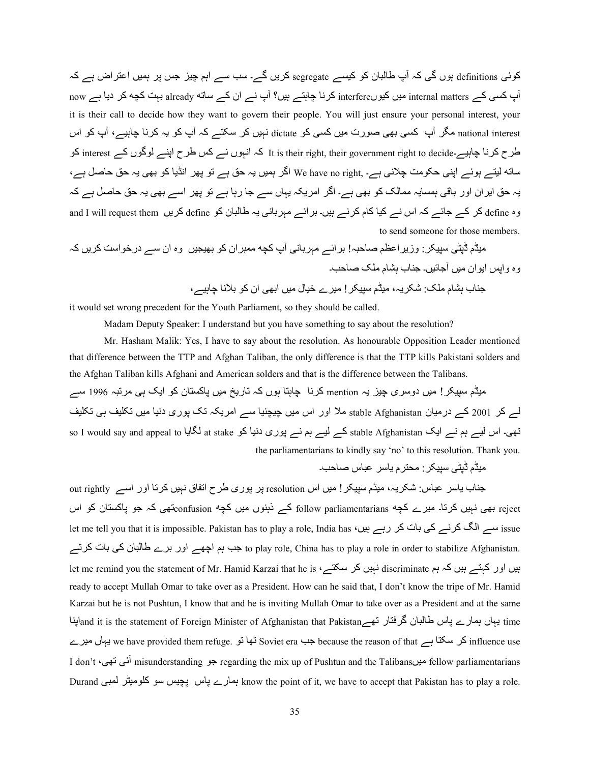کوئی definitions ہوں گی کہ آپ طالبان کو کیسے segregate کریں گے۔ سب سے اہم چیز جس پر ہمیں اعتراض ہے کہ now ہے کہ internal matters میں کیوںinterfere کرنا چاہتے ہیں؟ آپ نے ان کے ساته already بہت کچه کر دیا ہے now it is their call to decide how they want to govern their people. You will just ensure your personal interest, your national interest مگر آپ کسی بھی صورت میں کسی کو dictate نہیں کر سکتے کہ آپ کو یہ کرنا چاہیے، آپ کو اس طرح کرنا چاہیے۔interest right to decide وor It is their right, their government right to decide۔کہ انہوں نے کس طرح اپنے لوگوں کے ساته لیتے ہوئے اپنی حکومت چلانی ہے۔ ,We have no right اگر ہمیں یہ حق ہے تو پھر انڈیا کو بھی یہ حق حاصل ہے، یہ حق ایر ان اور باقی ہمسایہ ممالک کو بھی ہے۔ اگر امریکہ یہاں سے جا رہا ہے تو پھر اسے بھی یہ حق حاصل ہے کہ وہ define کر کے جائے کہ اس نے کیا کام کرنے ہیں۔ بر ائے مہربانی یہ طالبان کو define کریں and I will request them to send someone for those members.

میڈم ڈپٹی سپیکر : وزیر اعظم صاحبہ! بر ائـــر مہربانی آپ کچه ممبر ان کو بھیجیں وہ ان ســـر درخواست کریں کہ وہ وابس ابو ان میں آجائیں۔ جناب بشام ملک صاحب۔ جناب بشام ملک: شکریہ، میڈم سیپکر ! میرے خیال میں ابھی ان کو بلانا چاہیے،

it would set wrong precedent for the Youth Parliament, so they should be called.

Madam Deputy Speaker: I understand but you have something to say about the resolution?

Mr. Hasham Malik: Yes, I have to say about the resolution. As honourable Opposition Leader mentioned that difference between the TTP and Afghan Taliban, the only difference is that the TTP kills Pakistani solders and the Afghan Taliban kills Afghani and American solders and that is the difference between the Talibans.

میڈم سپیکر ! میں دوسری چیز یہ mention کرنا چاہتا ہوں کہ تاریخ میں پاکستان کو ایک ہی مرتبہ 1996 سے لے کر 2001 کے درمیان stable Afghanistan ملا اور اس میں چیچنیا سے امریکہ تک پوری دنیا میں تکلیف ہی تکلیف so I would say and appeal to لگایا at stake کے لیے ہم نے پوری دنیا کو at stake لگایا ہ the parliamentarians to kindly say 'no' to this resolution. Thank you.

۔dq4f س4Q ?C4H م?T:; :?@ABC /ٹVڈ ڈمA;

جناب یاسر عباس شکریہ، میڈم سپیکر ! میں اس resolution پر پوری طرح اتفاق نبیں کرتا اور اسے out rightly reject بھی نہیں کرتا۔ میرے کچه follow parliamentarians کے ذہنوں میں کچه confusionتھی کہ جو پاکستان کو اس let me tell you that it is impossible. Pakistan has to play a role, India has ، سے الگ کرنے کی بات کر رہے ہیں to play role, China has to play a role in order to stabilize Afghanistan. جب ہم اچھے اور برے طالبان کی بات کرتے let me remind you the statement of Mr. Hamid Karzai that he is ، نہیں کہ ہم discriminate نہیں کہ ہم ایم ایم ای ready to accept Mullah Omar to take over as a President. How can he said that, I don't know the tripe of Mr. Hamid Karzai but he is not Pushtun, I know that and he is inviting Mullah Omar to take over as a President and at the same time يہاں ہمارے پاس طالبان گرفتار تھےand it is the statement of Foreign Minister of Afghanistan that Pakistan ے?A; ں4ہH we have provided them refuge. SY 41Y Soviet era d> because the reason of that ہے 4T@C ?2 influence use I don't 'أَنَّى نَـهى misunderstanding جو misunderstanding جو misunderstanding آئى تيهى؟ I don't Durand ہمارے پاس بچیس سو کلومیٹر لمعبی know the point of it, we have to accept that Pakistan has to play a role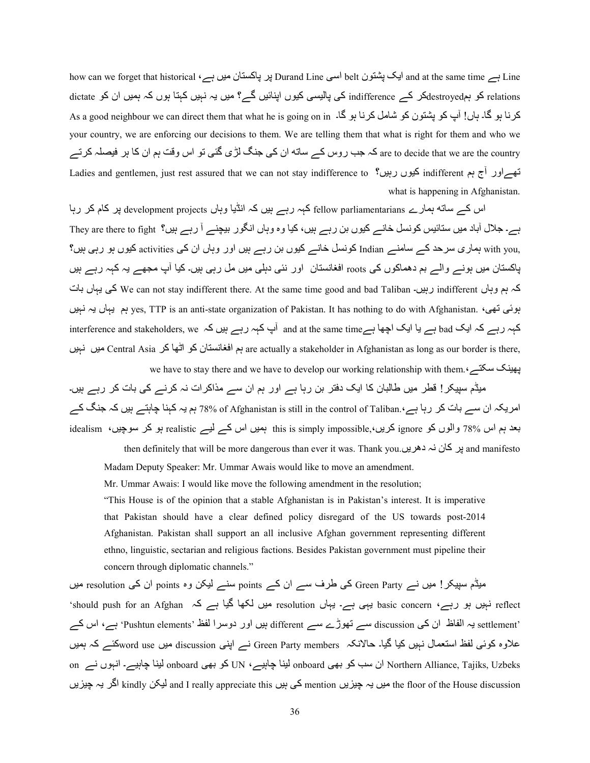how can we forget that historical ،ہے ایک پشتون belt اسی Durand Line ایر پاکستان میں ہے ۔ Line ایک پشتون belt relations کو ہمdestroyedکر کے indifference کی پالیسی کیوں اپنائیں گے؟ میں یہ نہیں کہتا ہوں کہ ہمیں ان کو dictate As a good neighbour we can direct them that what he is going on in ۔لارنا ہو گا۔ ہاں! آپ کو پشتون کو شامل کرنا ہو گا۔ your country, we are enforcing our decisions to them. We are telling them that what is right for them and who we are to decide that we are the country کہ جب روس کے ساته ان کی جنگ لڑی گئی تو اس وقت ہم ان کا ہر فیصلہ کرتے Ladies and gentlemen, just rest assured that we can not stay indifference to کیوں رہیں؟ میں indifferent کیوں ر what is happening in Afghanistan.

اس کے ساته ہمارے fellow parliamentarians کہہ رہے ہیں کہ انڈیا وہاں development projects پر کام کر رہا ہے۔ جلال آباد میں ستائیس کونسل خانے کیوں بن رہے ہیں، کیا وہ وہاں انگور بیچنے آ رہے ہیں؟ They are there to fight ,with you ہماری سرحد کے سامنے Indian کونسل خانے کیوں بن رہے ہیں اور وہاں ان کی activities کیوں ہو رہی ہیں؟ پاکستان میں ہونے والے بم دھماکوں کی roots افغانستان اور نئی دہلی میں مل رہی ہیں۔ کیا آپ مجھے یہ کہہ رہے ہیں کہ ہم وہاں indifferent رہیں۔ we can not stay indifferent there. At the same time good and bad Taliban کی یہاں بات ںAہK ہH ں4ہH Oہ yes, TTP is an anti-state organization of Pakistan. It has nothing to do with Afghanistan. ،/1Y /wSہ interference and stakeholders, we ہے پا ایک اچھا ہے and at the same timeہ آپ کہہ رہے ہیں کہ  $\rm bad$  sand stakeholders, we ، ہم افغانستان کو اٹھا کر Central Asia میں نہیں are actually a stakeholder in Afghanistan as long as our border is there, we have to stay there and we have to develop our working relationship with them. بِهينك سكتے،

میڈم سپیکر ! قطر میں طالبان کا ایک دفتر بن رہا ہے اور ہم ان سے مذاکر ات نہ کرنے کی بات کر رہے ہیں۔ امریکہ ان سے بات کر رہا ہے، ratill in the control of Taliban و 78% of Afghanistan is still in the control of Taliban. امریکہ ان سے بات کر رہا ہے، idealism ،ںAgSC ?2 Sہ realistic ےA ے2 اس ںA9ہ this is simply impossible,،ںH?2 ignore S2 ںSوا 78% اس Oہ 8Ph

then definitely that will be more dangerous than ever it was. Thank you. پر کان نہ دهریں and manifesto Madam Deputy Speaker: Mr. Ummar Awais would like to move an amendment.

Mr. Ummar Awais: I would like move the following amendment in the resolution;

"This House is of the opinion that a stable Afghanistan is in Pakistan's interest. It is imperative that Pakistan should have a clear defined policy disregard of the US towards post-2014 Afghanistan. Pakistan shall support an all inclusive Afghan government representing different ethno, linguistic, sectarian and religious factions. Besides Pakistan government must pipeline their concern through diplomatic channels."

میڈم سپیکر! میں نے Green Party کی طرف سے ان کے points سنے لیکن وہ points ان کی resolution میں 'should push for an Afghan نہیں ہو رہے، basic concern ہے۔ یہاں resolution میں لکھا گیا ہے کہ should push for an Afghan 'settlement یہ الفاظ ان کی discussion سے تھوڑے سے different ہیں اور دوسرا لفظ 'Pushtun elements' ہے، اس کے علاوہ کوئی لفظ استعمال نہیں کیا گیا۔ حالانکہ Green Party members نے اپنی discussion میں word useکئے کہ ہمیں on کو بھی onboard لینا چاہیے، UN کو On میڈا چاہیے کو UN کو M میں onboard ہینا چاہیے۔ انہوں نے on he floor of the House discussion کی ہیں and I really appreciate this اگر یہ چیزیں he floor of the House discussion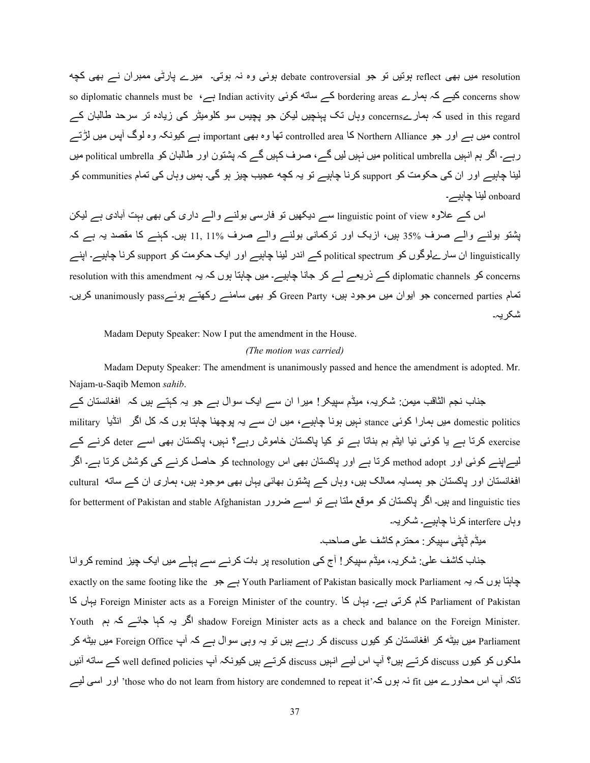reflect میں بھی reflect ہوتیں تو جو debate controversial ہوئی وہ نہ ہوتی۔ میرے پارٹی ممبران نے بھی کچه so diplomatic channels must be ،ہے Indian activity کے ساته کوئی bordering areas رہے ۔ used in this regard کہ ہمارےconcerns وہاں تک پہنچیں لیکن جو پچیس سو کلومیٹر کی زیادہ تر سرحد طالبان کے control میں ہے اور جو Northern Alliance کا controlled area نھا وہ بھی important ہے کیونکہ وہ لوگ آپس میں لڑتے رہے۔ اگر ہم انہیں political umbrella میں نہیں لیں گے، صرف کہیں گے کہ پشتون اور طالبان کو political umbrella میں لینا جاہیے اور ان کی حکومت کو support کرنا جاہیے تو یہ کچه عجیب چیز ہو گی۔ ہمیں وہاں کی تمام communities کو onboard لينا جابيے۔

اس کے علاوہ linguistic point of view سے دیکھیں تو فارسی بولنے والے داری کی بھی بہت آبادی ہے لیکن یشتو بولنے والے صرف 35% ہیں، ازبک اور ترکمانی بولنے والے صرف 11, 11% ہیں۔ کہنے کا مقصد یہ ہے کہ linguistically ان سار ےلوگوں کو political spectrum کے اندر لینا چاہیے اور ایک حکومت کو support کرنا چاہیے۔ اپنے resolution with this amendment ہے ذریعے لے کر جانا چاہیے۔ میں چاہتا ہوں کہ یہ resolution with this amendment نمام concerned parties جو ایوان میں موجود ہیں، Green Party کو بھی سامنے رکھنے ہوئےmanimously pass کریں۔ شکر یہ۔

Madam Deputy Speaker: Now I put the amendment in the House.

# *(The motion was carried)*

 Madam Deputy Speaker: The amendment is unanimously passed and hence the amendment is adopted. Mr. Najam-u-Saqib Memon *sahib*.

جناب نجم الثاقب میمن: شکریہ، میڈم سپیکر! میرا ان سے ایک سوال ہے جو یہ کہتے ہیں کہ افغانستان کے domestic politics میں ہمارا کوئی stance نہیں ہونا چاہیے، میں ان سے یہ پوچھنا چاہتا ہوں کہ کل اگر انڈیا military exercise کرتا ہے یا کوئی نیا ایٹم بم بناتا ہے تو کیا پاکستان خاموش رہے؟ نہیں، پاکستان بھی اسے deter کرنے کے لیے اپنے کوئی اور method adopt کرتا ہے اور پاکستان بھی اس technology کو حاصل کرنے کی کوشش کرتا ہے۔ اگر افغانستان اور پاکستان جو ہمسایہ ممالک ہیں، وہاں کے پشتون بھائی یہاں بھی موجود ہیں، ہماری ان کے ساته cultural for betterment of Pakistan and stable Afghanistan ضرور (and Iinguistic ties ہیں۔ اگر پاکستان کو موقع ملتا ہے تو وہاں interfere كرنا چاہيے۔ شكريہ۔

۔dq4f /[Q 6742 م?T:; :?@ABC /ٹVڈ ڈمA;

جناب کاشف علی: شکریہ، میڈم سپیکر ! آج کی resolution پر بات کرنے سے پہلے میں ایک چیز remind کروانا exactly on the same footing like the جاہتا ہوں کہ یہ Youth Parliament of Pakistan basically mock Parliament ہے جو 42 Parliament of Pakistan کام کرتی ہے۔ یہاں کا Foreign Minister acts as a Foreign Minister of the country. لبہاں کا Youth کر یہ کہا جائے کہ ہم shadow Foreign Minister acts as a check and balance on the Foreign Minister. Parliament میں بیٹہ کر افغانستان کو کیوں discuss کر رہے ہیں تو یہ وہی سوال ہے کہ آپ Foreign Office میں بیٹہ کر ملکوں کو کیوں discuss کرتے ہیں؟ آپ اس لیے انہیں discuss کرتے ہیں کیونکہ آپ well defined policies کے ساته آئیں ناکہ آپ اس محاورے میں fit نہ ہوں کہ'those who do not learn from history are condemned to repeat it اور اسی لیے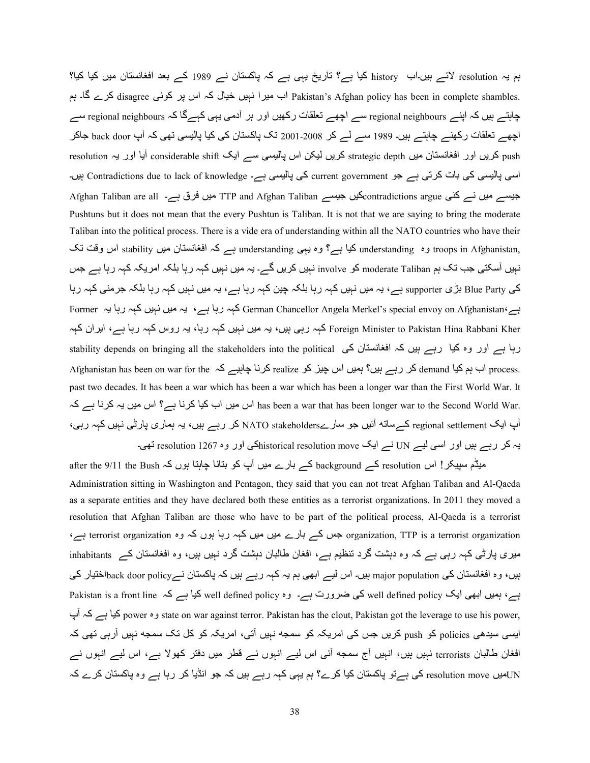ہم یہ resolution لائے ہیں۔اب history کیا ہے؟ تاریخ یہی ہے کہ پاکستان نے 1989 کے بعد افغانستان میں کیا کیا؟ Pakistan's Afghan policy has been in complete shambles. اب میرا نہیں خیال کہ اس پر کوئی disagree کرے گا۔ ہم چاہتے ہیں کہ اپنے regional neighbours سے اچھے تعلقات رکھیں اور ہر آدمی یہی کہےگا کہ regional neighbours سے اچھے تعلقات رکھنے چاہتے ہیں۔ 1989 سے لے کر 2008-2001 تک پاکستان کی کیا پالیسی تھی کہ آپ back door جاکر resolution کریں اور افغانستان میں strategic depth کریں لیکن اس پالیسی سے ایک considerable shift آیا اور یہ res اسی پالیسی کی بات کرتی ہے جو current government کی پالیسی ہے۔ Contradictions due to lack of knowledge ہیں۔ Afghan Taliban are all ہیں فرق ہے۔ TTP and Afghan Taliban کیں جیسے میں نے کئی Afghan Taliban ہوں نے کئی Pushtuns but it does not mean that the every Pushtun is Taliban. It is not that we are saying to bring the moderate Taliban into the political process. There is a vide era of understanding within all the NATO countries who have their یrtoops in Afghanistan وہ understanding کیا ہے؟ وہ یہی understanding ہے کہ افغانستان میں stability اس وقت تک نہیں آسکتی جب تک ہم moderate Taliban کو involve نہیں کریں گے۔ یہ میں نہیں کہہ رہا بلکہ امریکہ کہہ رہا ہے جس کی Blue Party بڑی supporter ہے، یہ میں نہیں کہہ رہا بلکہ چین کہہ رہا ہے، یہ میں نہیں کہہ رہا بلکہ جرمنی کہہ رہا ہے، یہ میں نہیں کہہ رہا یہ German Chancellor Angela Merkel's special envoy on Afghanistan،ہے Foreign Minister to Pakistan Hina Rabbani Kher کہہ رہی ہیں، یہ میں نہیں کہہ رہا، یہ روس کہہ رہا ہے، ایران کہہ رہا ہے اور وہ کیا رہے ہیں کہ افغانستان کی stability depends on bringing all the stakeholders into the political Afghanistan has been on war for the ہاب ہم کیا demand کر رہے ہیں؟ ہمیں اس چیز کو realize کرنا چاہیے کہ past two decades. It has been a war which has been a war which has been a longer war than the First World War. It has been a war that has been longer war to the Second World War. اس میں یہ کرنا ہے کہ آپ ایک regional settlement کے ساته آئیں جو سارےNATO stakeholders کر رہے ہیں، یہ ہماری پارٹی نہیں کہہ رہی، یہ کر رہے ہیں اور اسی لیے UN نے ایک historical resolution moveکی اور وہ 1267 resolution تھی۔

after the 9/11 the Bush ہیڈم سپیکر ! اس resolution کے بارے میں آپ کو بنانا چاہتا ہوں کہ after the 9/11 the Bush Administration sitting in Washington and Pentagon, they said that you can not treat Afghan Taliban and Al-Qaeda as a separate entities and they have declared both these entities as a terrorist organizations. In 2011 they moved a resolution that Afghan Taliban are those who have to be part of the political process, Al-Qaeda is a terrorist ،ہے terrorist organization وہ میں کہہ رہا ہوں کہ وہ terrorist organization ہے؟ میری پارٹی کہہ رہی ہے کہ وہ دہشت گرد تنظیم ہے، افغان طالبان دہشت گرد نہیں ہیں، وہ افغانستان کے inhabitants ہیں، وہ افغانستان کی major population ہیں۔ اس لیے ابھی ہم یہ کہہ رہے ہیں کہ پاکستان نے back door policyکی ہے، ہمیں ابھی ایک well defined policy کی ضرورت ہے۔ وہ well defined policy کیا ہے کہ Pakistan is a front line پb ہ2 ہے 4A2 power وہ state on war against terror. Pakistan has the clout, Pakistan got the leverage to use his power, ایسی سیدھی policies کو push کریں جس کی امریکہ کو سمجه نہیں آتی، امریکہ کو کل تک سمجه نہیں آرہی تھی کہ افغان طالبان terrorists نہیں ہیں، انہیں آج سمجه آئی اس لیے انہوں نے قطر میں دفتر کھولا ہے، اس لیے انہوں نے UNنیں resolution move کی ہےتو پاکستان کیا کرے؟ ہم یہی کہہ رہے ہیں کہ جو انڈیا کر رہا ہے وہ پاکستان کرے کہ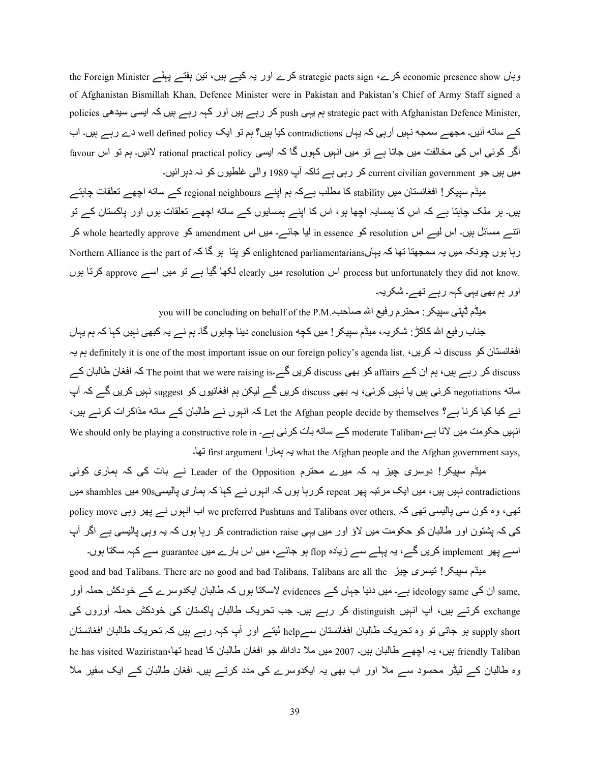وہاں economic presence show کرے، strategic pacts sign کرے اور یہ کیے ہیں، نین بغتے پہلے the Foreign Minister of Afghanistan Bismillah Khan, Defence Minister were in Pakistan and Pakistan's Chief of Army Staff signed a policies وہ بہی اور کہہ رہے ہیں کہ ایسی سیدھی policies ہم یہی strategic pact with Afghanistan Defence Minister, کے ساته آئیں۔ مجھے سمجه نہیں آرہی کہ یہاں contradictions کیا ہیں؟ ہم تو ایک well defined policy دے رہے ہیں۔ اب اگر کوئی اس کی مخالفت میں جاتا ہے تو میں انہیں کہوں گا کہ ایسی rational practical policy لائیں۔ ہم تو اس favour میں ہیں جو current civilian government کر رہی ہے تاکہ آپ 1989 والی غلطیوں کو نہ دہرائیں۔

میڈم سیپکر ! افغانستان میں stability کا مطلب ہےکہ ہم اپنے regional neighbours کے ساته اچھے تعلقات چاہتے ہیں۔ ہر ملک چاہتا ہے کہ اس کا ہمسایہ اچھا ہو، اس کا اپنے ہمسایوں کے ساته اچھے تعلقات ہوں اور پاکستان کے تو اتنے مسائل ہیں۔ اس لیے اس resolution کو in essence لیا جائے۔ میں اس amendment کو whole heartedly approve کر ربا بوں چونکہ میں یہ سمجھتا تھا کہ یہاںenlightened parliamentarians کو پتا ہو گا کہ Northern Alliance is the part of resolution سیں clearly اس clearly ہیں clearly اس clearly ککھا گیا ہے تو میں اسے approve کرتا ہوں h اور ہم بھی یہی کہہ رہے تھے۔ شکریہ۔

you will be concluding on behalf of the P.M. بیڈم ڈیٹی سپیکر : محترم رفیع اللہ صاحب

جناب ر فیع اللہ کاکڑ : شکر یہ، میڈم سپیکر ! میں کچه conclusion دینا چاہوں گا۔ ہم نے یہ کبھی نہیں کہا کہ ہم یہاں افغانستان کو discuss نہ کریں، discuss افغانستان کو definitely it is one of the most important issue on our foreign policy's agenda list. discuss کر رہے ہیں، ہم ان کے affairs کو بھی discuss کریں گے۔Bre point that we were raising is کہ افغان طالبان کے ساته negotiations کرنی ہیں یا نہیں کرنی، یہ بھی discuss کریں گے لیکن ہم افغانیوں کو suggest نہیں کریں گے کہ آپ نے کیا کیا کرنا ہے؟ Let the Afghan people decide by themselves کہ انہوں نے طالبان کے ساته مذاکرات کرنے ہیں، انہیں حکومت میں لانا ہے،Moderate Taliban کے ساته بات کرنی ہے۔ We should only be playing a constructive role in ۔41Y first argument را49ہ ہH what the Afghan people and the Afghan government says,

میڈم سپیکر! دوسری چیز یہ کہ میرے محترم Leader of the Opposition نسر بات کی کہ ہماری کوئی contradictions نہیں، میں ایک مرتبہ پھر repeat کررہا ہوں کہ انہوں نے کہا کہ ہماری پالیسی90s میں shambles میں تھی، وہ کون سی پالیسی تھی کہ .we preferred Pushtuns and Talibans over others اب انہوں نے پھر وہی policy move کی کہ پشتون اور طالبان کو حکومت میں لاؤ اور میں یہی contradiction raise کر رہا ہوں کہ یہ وہی پالیسی ہے اگر آپ اسے پھر implement کریں گے، یہ پہلے سے زیادہ flop ہو جائے، میں اس بارے میں guarantee سے کہہ سکتا ہوں۔

good and bad Talibans. There are no good and bad Talibans, Talibans are all the ميڈم سپيکر ! نيسری چيز ,same ان کی ideology same ہے۔ میں دنیا جہاں کے evidences لاسکتا ہوں کہ طالبان ایکدوسرے کے خودکش حملہ آور exchange کرتے ہیں، آپ انہیں distinguish کر رہے ہیں۔ جب تحریک طالبان پاکستان کی خودکش حملہ آوروں کی supply short ہو جاتی تو وہ تحریک طالبان افغانستان سےhelp لیتے اور أپ كہہ رہے ہیں كہ تحریک طالبان افغانستان he has visited Waziristan،4بین، بہ اچھے طالبان بیں۔ 2007 میں ملا داداللہ جو افغان طالبان کا head نها، وہ طالبان کے لیڈر محسود سے ملا اور اب بھی یہ ایکدوسرے کی مدد کرتے ہیں۔ افغان طالبان کے ایک سفیر ملا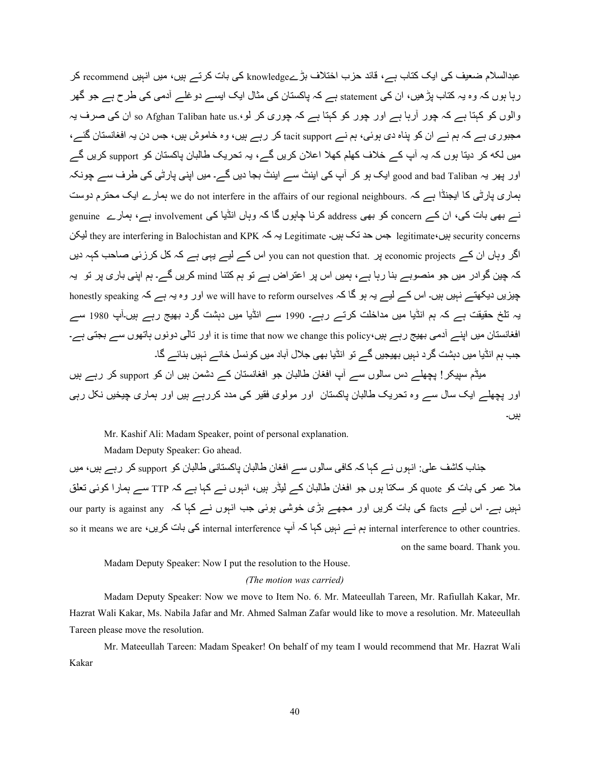عبدالسلام ضعیف کی ایک کتاب ہے، قائد حزب اختلاف بڑےknowledge کی بات کرتے ہیں، میں انہیں recommend کر رہا ہوں کہ وہ یہ کتاب پڑ ھیں، ان کی statement ہے کہ پاکستان کی مثال ایک ایسے دو غلے آدمی کی طرح ہے جو گھر والوں کو کہتا ہے کہ چور آرہا ہے اور چور کو کہتا ہے کہ چوری کر لو،so Afghan Taliban hate us ان کی صرف یہ مجبوری ہے کہ ہم نے ان کو بناہ دی ہوئی، ہم نے tacit support کر رہے ہیں، وہ خاموش ہیں، جس دن یہ افغانستان گئے، میں لکه کر دیتا ہوں کہ یہ آپ کے خلاف کھلم کھلا اعلان کریں گے، یہ تحریک طالبان باکستان کو support کریں گے اور پھر یہ <sub>good and bad Taliban</sub> ایک ہو کر آپ کی اینٹ سے اینٹ بجا دیں گے۔ میں اپنی پارٹی کی طرف سے چونکہ ہماری پارٹی کا ایجنڈا ہے کہ .we do not interfere in the affairs of our regional neighbours ہمارے ایک محترم دوست نے بھی بات کی، ان کے concern کو بھی address کرنا چاہوں گا کہ وہاں انڈیا کی involvement ہے، ہمارے genuine egitimate ہیں، legitimate جس حد تک ہیں۔ Legitimate یہ کہ Legitimate یہ they are interfering in Balochistan and KPK یہ ک اگر وہاں ان کے economic projects پر .you can not question that اس کے لیے یہی ہے کہ کل کرزئی صاحب کہہ دیں کہ چین گوادر میں جو منصوبے بنا رہا ہے، ہمیں اس پر اعتراض ہے تو ہم کتنا mind کریں گے۔ ہم اپنی باری پر تو یہ جیزیں دیکھتے نہیں ہیں۔ اس کے لیے بہ ہو گا کہ we will have to reform ourselves اور وہ یہ ہے کہ honestly speaking یہ تلخ حقیقت ہے کہ ہم انڈیا میں مداخلت کرتے رہے۔ 1990 سے انڈیا میں دہشت گرد بھیج رہے ہیں۔آپ 1980 سے افغانستان میں اپنے آدمی بھیج ریے ہیں، it is time that now we change this policy اور تالی دونوں ہاتھوں سے بجتی ہے۔ جب ہم انڈیا میں دہشت گرد نہیں بھیجیں گے تو انڈیا بھی جلال آباد میں کونسل خانے نہیں بنائے گا۔ میڈم سیپکر ! بچھلے دس سالوں سے آپ افغان طالبان جو افغانستان کے دشمن ہیں ان کو support کر رہے ہیں اور پچھلے ایک سال سے وہ تحریک طالبان پاکستان اور مولوی فقیر کی مدد کررہے ہیں اور ہماری چیخیں نکل رہی

## Mr. Kashif Ali: Madam Speaker, point of personal explanation.

Madam Deputy Speaker: Go ahead.

جناب کاشف علی: انبوں نے کہا کہ کافی سالوں سے افغان طالبان پاکستانی طالبان کو support کر رہے ہیں، میں ملا عمر کی بات کو quote کر سکتا ہوں جو افغان طالبان کے لیڈر ہیں، انہوں نے کہا ہے کہ TTP سے ہمارا کوئی تعلق نبیں ہے۔ اس لیے facts کی بات کریں اور مجھے بڑی خوشی ہوئی جب انہوں نے کہا کہ our party is against any so it means we are ، ہم نے نہیں کہا کہ آپ internal interference کی بات کریں internal interference to other countries. on the same board. Thank you.

ہیں۔

Madam Deputy Speaker: Now I put the resolution to the House.

#### *(The motion was carried)*

Madam Deputy Speaker: Now we move to Item No. 6. Mr. Mateeullah Tareen, Mr. Rafiullah Kakar, Mr. Hazrat Wali Kakar, Ms. Nabila Jafar and Mr. Ahmed Salman Zafar would like to move a resolution. Mr. Mateeullah Tareen please move the resolution.

Mr. Mateeullah Tareen: Madam Speaker! On behalf of my team I would recommend that Mr. Hazrat Wali Kakar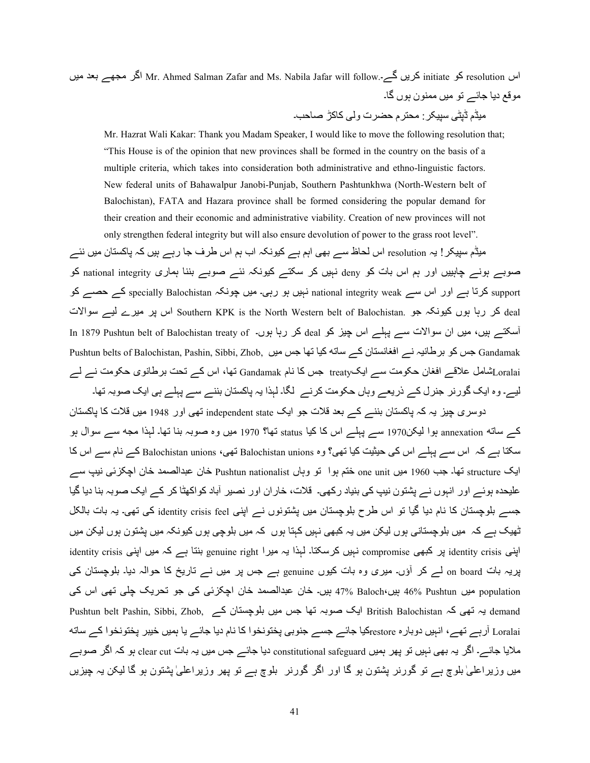اس resolution کو initiate کریں گے۔.mitiate کا Mr. Ahmed Salman Zafar and Ms. Nabila Jafar will follow اگر مجھے بعد میں موقع دیا جائے تو میں ممنون ہوں گا۔ میڈم ڈیٹے، سبیکر : محتر م حضر ت و لی کاکڑ ۔صاحب۔

 Mr. Hazrat Wali Kakar: Thank you Madam Speaker, I would like to move the following resolution that; "This House is of the opinion that new provinces shall be formed in the country on the basis of a multiple criteria, which takes into consideration both administrative and ethno-linguistic factors. New federal units of Bahawalpur Janobi-Punjab, Southern Pashtunkhwa (North-Western belt of Balochistan), FATA and Hazara province shall be formed considering the popular demand for their creation and their economic and administrative viability. Creation of new provinces will not only strengthen federal integrity but will also ensure devolution of power to the grass root level".

میڈم سپیکر ! یہ resolution اس لحاظ سے بھی اہم ہے کیونکہ اب ہم اس طرف جا رہے ہیں کہ پاکستان میں نئے صوبے ہونے چاہییں اور ہم اس بات کو deny نہیں کر سکتے کیونکہ نئے صوبے بننا ہماری national integrity کو support کرتا ہے اور اس سے national integrity weak نہیں ہو رہی۔ میں چونکہ specially Balochistan کے حصے کو deal کر رہا ہوں کیونکہ جو .Southern KPK is the North Western belt of Balochistan اس پر میرے لیے سوالات آسکتے ہیں، میں ان سوالات سے پہلے اس چیز کو deal کر رہا ہوں۔ In 1879 Pushtun belt of Balochistan treaty of Pushtun belts of Balochistan, Pashin, Sibbi, Zhob, س کو برطانیہ نے افغانستان کے ساته کیا تھا جس میں ج Loralaiشامل علاقے افغان حکومت سے ایکtreaty جس کا نام Gandamak نها، اس کے تحت برطانوی حکومت نے لے لیے۔ وہ ایک گورنر جنرل کے ذریعے وہاں حکومت کرنے لگا۔ لہذا یہ پاکستان بننے سے پہلے ہی ایک صوبہ تھا۔

دوسری چیز یہ کہ پاکستان بننے کے بعد قلات جو ایک independent state تھی اور 1948 میں قلات کا پاکستان کے ساته annexation ہوا لیکن1970 سے پہلے اس کا کیا status تھا؟ 1970 میں وہ صوبہ بنا تھا۔ لہذا مجه سے سوال ہو سکتا ہے کہ اس سے پہلے اس کی حیثیت کیا تھی؟ وہ Balochistan unions تھی، Balochistan unions کے نام سے اس کا ایک structure تھا۔ جب 1960 میں one unit ختم ہوا تو وہاں Pushtun nationalist خان عبدالصمد خان اچکزئی نیپ سے علیحدہ ہوئے اور انہوں نے پشتون نیپ کی بنیاد رکھی۔ قلات، خاران اور نصیر آباد کواکھٹا کر کے ایک صوبہ بنا دیا گیا جسے بلوچستان کا نام دیا گیا تو اس طرح بلوچستان میں پشتونوں نے اینی identity crisis feel کی تھی۔ یہ بات بالکل ٹھیک ہے کہ میں بلوچستانی ہوں لیکن میں یہ کبھی نہیں کہتا ہوں کہ میں بلوچی ہوں کیونکہ میں پشتون ہوں لیکن میں اپنی identity crisis پر کبھی compromise نبیں کرسکتا۔ لہذا یہ میرا genuine right بنتا ہے کہ میں اپنی identity crisis پریہ بات <sub>on board</sub> لـــر کر آؤں۔ میری وہ بات کیوں genuine ہے جس پر میں نـــر تاریخ کا حوالہ دیا۔ بلوچستان کـی population میں 46% Pushtun ہیں 46% ہیں۔ 17% ہیں۔ خان عبدالصمد خان اچکزئی کی جو تحریک چلی تھی اس کی Pushtun belt Pashin, Sibbi, Zhob, ایک صوبہ نھا جس میں بلوچستان کے Pushtun belt Pashin, Sibbi, Zhob, ہ نھی کہ Loralai آرہے تھے، انہیں دوبار ہ restoreکیا جائے جسے جنوبی پختونخوا کا نام دیا جائے یا ہمیں خیبر پختونخوا کے ساته ملایا جائے۔ اگر یہ بھی نہیں تو پھر ہمیں constitutional safeguard دیا جائے جس میں یہ بات clear cut ہو کہ اگر صوبے میں وزیراعلیٰ بلوچ ہے تو گورنر پشتون ہو گا اور اگر گورنر بلوچ ہے تو پھر وزیراعلیٰ پشتون ہو گا لیکن یہ چیزیں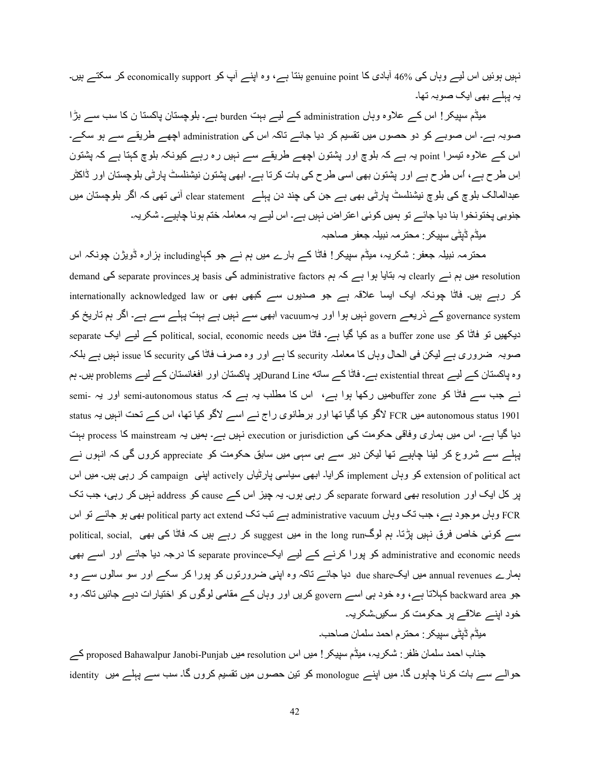نہیں ہوئیں اس لیے وہاں کی 46% آبادی کا genuine point بنتا ہے، وہ اپنے آپ کو economically support کر سکتے ہیں۔ یہ پہلے بھی ایک صوبہ تھا۔

میڈم سپیکر! اس کے علاوہ وہاں administration کے لیے بہت burden ہے۔ بلوچستان پاکستا ن کا سب سے بڑا صوبہ ہے۔ اس صوبے کو دو حصوں میں تقسیم کر دیا جائے تاکہ اس کی administration اچھے طریقے سے ہو سکے۔ اس کے علاوہ نتیسرا point یہ ہے کہ بلوچ اور پشتون اچھے طریقے سے نہیں رہ رہے کیونکہ بلوچ کہتا ہے کہ پشتون اِس طرح ہے، اُس طرح ہے اور پشتون بھی اسی طرح کی بات کرتا ہے۔ ابھی پشتون نیشنلسٹ پارٹی بلوچستان اور ڈاکٹر عبدالمالک بلوچ کی بلوچ نیشنلسٹ پارٹی بھی ہے جن کی چند دن پہلے clear statement أئی تھی کہ اگر بلوچستان میں جنوبی پختونخوا بنا دیا جائے تو ہمیں کوئی اعتر اض نہیں ہے۔ اس لیے یہ معاملہ ختم ہونا چاہیے۔ شکریہ۔

مبڈم ڈبٹے سببکر : محتر مہ نببلہ جعفر ۔صاحبہ

محترمہ نبیلہ جعفر : شکریہ، میڈم سپیکر ! فاٹا کے بارے میں ہم نے جو کہاincluding ہزارہ ڈویژن چونکہ اس demand میں ہم نے clearly یہ بتایا ہوا ہے کہ ہم administrative factors کی basis پر separate provinces کی demand کر رہے ہیں۔ فاٹا چونکہ ایک ایسا علاقہ ہے جو صدیوں سے کبھی بھی internationally acknowledged law or governance system کے ذریعے govern نہیں ہوا اور یہvacuum ابھی سے نہیں ہے بہت پہلے سے ہے۔ اگر ہم تاریخ کو separate کے لیے ایک political, social, economic needs کیا گیا ہے۔ فاٹا میں conomic needs کے لیے ایک separate ک صوبہ ضروري ہے ليكن في الحال وہاں كا معاملہ security كا ہے اور وہ صرف فاٹا كي security كا issue نہيں ہے بلكہ وہ پاکستان کے لیے existential threat ہے۔ فاٹا کے ساته Durand Lineپر پاکستان اور افغانستان کے لیے problems ہیں۔ ہم نے جب سے فاٹا کو buffer zoneہیں رکھا ہوا ہے، اس کا مطلب یہ ہے کہ semi-autonomous status اور یہ -semi status ہیں FCR لاگو کیا گیا تھا اور برطانوی راج نے اسے لاگو کیا تھا، اس کے تحت انہیں یہ status دیا گیا ہے۔ اس میں ہماری وفاقی حکومت کی execution or jurisdiction نہیں ہے۔ ہمیں یہ mainstream کا process بہت پہلے سے شروع کر لینا چاہیے تھا لیکن دیر سے ہی سہی میں سابق حکومت کو appreciate کروں گی کہ انہوں نے extension of political act کو وہاں implement کرایا۔ ابھی سیاسی پارٹیاں actively اپنی campaign کر رہی ہیں۔ میں اس پر کل ایک اور resolution بھی separate forward کر رہی ہوں۔ یہ چیز اس کے cause کو address نہیں کر رہی، جب تک اس SY ےw4> Sہ /1h political party act extend ZY dY ہے administrative vacuum ں4وہ ZY d> ،ہے دS>S; ں4وہ FCR سے کوئی خاص فرق نہیں پڑتا۔ ہم لوگin the long run میں suggest کر رہے ہیں کہ فاٹا کی بھی ,political, social administrative and economic needs کو پورا کرنے کے لیے ایکseparate province کا درجہ دیا جائے اور اسے بھی ہمارے annual revenues میں ایکdue share دیا جائے تاکہ وہ اپنی ضرورتوں کو پورا کر سکے اور سو سالوں سے وہ جو backward area کہلاتا ہے، وہ خود ہی اسے govern کریں اور وہاں کے مقامی لوگوں کو اختیارات دیے جائیں تاکہ وہ خود اپنے علاقے پر حکومت کر سکیںشکریہ۔

میڈم ڈیٹی سیپکر : محتر م احمد سلمان صاحب۔

جناب احمد سلمان ظفر : شکریہ، میڈم سپیکر ! میں اس resolution میں proposed Bahawalpur Janobi-Punjab کے حوالے سے بات کرنا چاہوں گا۔ میں اپنے monologue کو نین حصوں میں تقسیم کروں گا۔ سب سے پہلے میں identity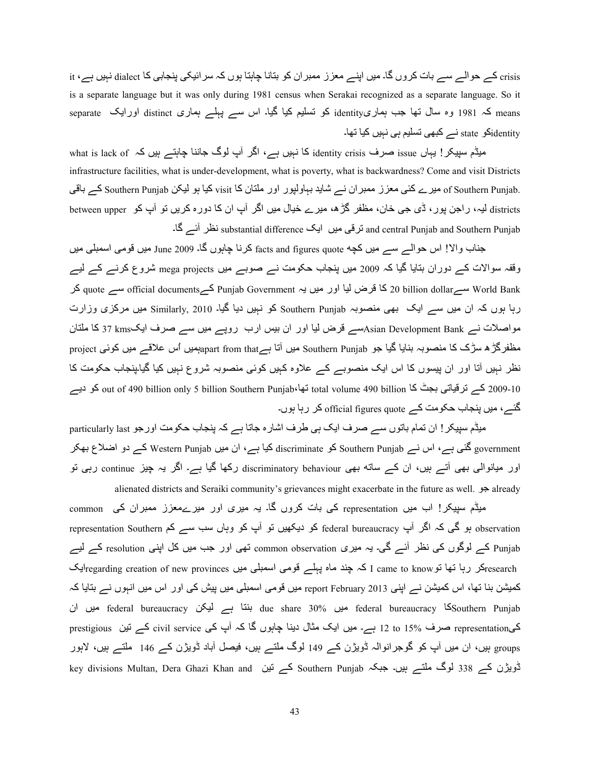crisis کے حوالے سے بات کروں گا۔ میں اپنے معزز ممبر ان کو بنانا چاہنا ہوں کہ سرائیکی پنجابی کا dialect نہیں ہے، it is a separate language but it was only during 1981 census when Serakai recognized as a separate language. So it means کہ 1981 وہ سال تھا جب ہماریidentity کو تسلیم کیا گیا۔ اس سے پہلے ہماری distinct اورایک separate identityکو state نے کبھی تسلیم ہی نبیں کیا تھا۔

سیلام سیپکر ! یہاں issue صرف identity crisis کا نہیں ہے، اگر آپ لوگ جاننا چاہتے ہیں کہ what is lack of ، infrastructure facilities, what is under-development, what is poverty, what is backwardness? Come and visit Districts .f Southern Punjab میرے کئی معزز ممبران نے شاید بہاولپور اور ملتان کا visit کیا ہو لیکن Southern Punjab کے باقی districts لیہ، راجن پور ، ڈی جی خان، مظفر گڑھ، میرے خیال میں اگر آپ ان کا دورہ کریں تو آپ کو between upper ا and central Punjab and Southern Punjab نرقی میں ایک substantial difference نظر آئے گا۔

جناب والا! اس حوالے سے میں کچه facts and figures quote کرنا چاہوں گا۔ June 2009 میں قومی اسمبلی میں وقفہ سوالات کے دوران بتایا گیا کہ 2009 میں پنجاب حکومت نے صوبے میں mega projects شروع کرنے کے لیے ?2 quote ےC official documentsے2 Punjab Government ہH ںA; اور 4A ض?n 42 20 billion dollarےC World Bank ربا بوں کہ ان میں سے ایک بھی منصوبہ Southern Punjab کو نہیں دیا گیا۔ Similarly, 2010 میں مرکزی وزارت مواصلات نے Asian Development Bankسے قرض لیا اور ان بیس ارب روپے میں سے صرف ایک $_3$ 7 kmsکا ملتان مظفرگڑ ہ سڑک کا منصوبہ بنایا گیا جو Southern Punjab میں آتا ہےapart from thatہمیں اُس علاقے میں کوئی project نظر نہیں آتا اور ان پیسوں کا اس ایک منصوبے کے علاوہ کہیں کوئی منصوبہ شروع نہیں کیا گیا۔پنجاب حکومت کا 109-2009 کے ترقیاتی بجٹ کا total volume 490 billion کے ترقیاتی بجٹ کا out of 490 billion only 5 billion Southern Punjab، کو دیے گئے، میں پنجاب حکومت کے official figures quote کر رہا ہوں۔

میڈم سپیکر ! ان تمام باتوں سے صرف ایک ہے طرف اشارہ جاتا ہے کہ پنجاب حکومت اورجو particularly last government گئی ہے، اس نے Southern Punjab کو discriminate کیا ہے، ان میں Western Punjab کے دو اضلاع بھکر اور میانوالی بھی آتے ہیں، ان کے ساته بھی discriminatory behaviour رکھا گیا ہے۔ اگر یہ چیز continue رہی تو alienated districts and Seraiki community's grievances might exacerbate in the future as well.  $\Rightarrow$  already

میڈم سپیکر! اب میں representation کی بات کروں گا۔ یہ میری اور میرےمعزز ممبران کی common representation Southern کر ایپ federal bureaucracy کو دیکھیں تو آپ کو وہاں سب سے کم representation Southern Punjab کے لوگوں کی نظر آئے گی۔ یہ میری common observation تھی اور جب میں کل اپنی resolution کے لیے regarding creation of new provinces کہ چند ماہ پہلے قومی اسمبلی میں regarding creation of new provincesابک کمیشن بنا تھا، اس کمیشن نے اپنی 2013 report February میں قومی اسمبلی میں پیش کی اور اس میں انہوں نے بتایا کہ ان ںA; federal bureaucracy @A ہے 4T=h due share 30% ںA; federal bureaucracy 42Southern Punjab کیprestigious صرف 15% of بے۔ میں ایک مثال دینا چاہوں گا کہ آپ کی civil service کے تین prestigious groups ہیں، ان میں آپ کو گوجرانوالہ ڈویژن کے 149 لوگ ملتے ہیں، فیصل آباد ڈویژن کے 146 ملتے ہیں، لاہور key divisions Multan, Dera Ghazi Khan and کے تين Southern Punjab کریڑن کے 338 لوگ ملتے ہیں۔ جبکہ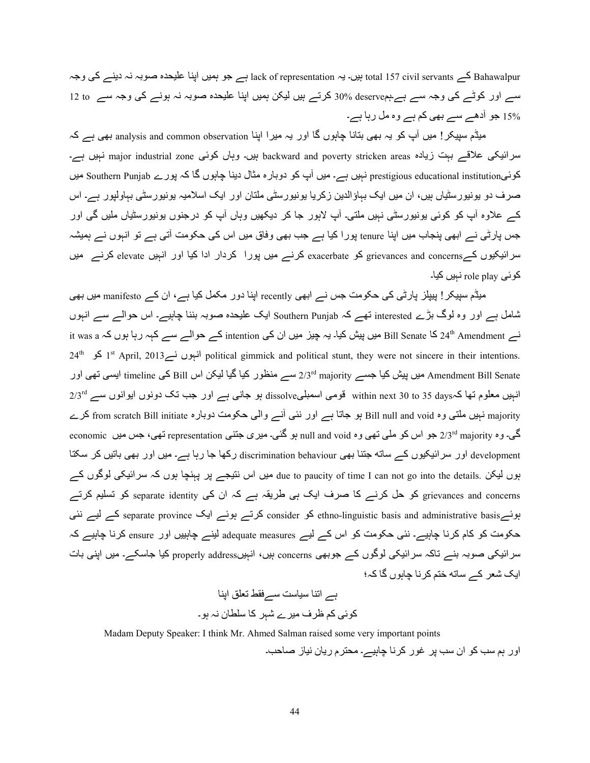Bahawalpur کے total 157 civil servants ہیں۔ یہ lack of representation ہے جو ہمیں اپنا علیحدہ صوبہ نہ دینے کی وجہ سے اور کوٹے کی وجہ سے ہے۔ہمdeserve %00 کرتے ہیں لیکن ہمیں اپنا علیحدہ صوبہ نہ ہونے کی وجہ سے 12 to 15% جو آدھے سے بھی کم ہے وہ مل رہا ہے۔

میڈم سپیکر ! میں آپ کو یہ بھی بنانا چاہوں گا اور یہ میرا اپنا analysis and common observation بھی ہے کہ ہیں۔ وہاں کوئی major industrial zone نہیں ہے۔ backward and poverty stricken areas ذہبیں ہے۔ کوئیSouthern Punjab میں (ہے۔ یہورے Southern Punjab نہیں ہے۔ میں آپ کو دوبارہ مثال دینا چاہوں گا کہ پورے Southern Punjab صرف دو بونبورسٹیاں ہیں، ان میں ایک بہاؤالدین زکریا بونیورسٹی ملتان اور ایک اسلامیہ بونیورسٹی بہاولپور ہے۔ اس کے علاوہ آپ کو کوئی یونیورسٹی نہیں ملتی۔ آپ لاہور جا کر دیکھیں وہاں آپ کو درجنوں یونیورسٹیاں ملیں گی اور جس پارٹی نے ابھی پنجاب میں اپنا tenure پورا کیا ہے جب بھی وفاق میں اس کی حکومت آتی ہے تو انبوں نے ہمیشہ سرائیکیوں کے grievances and concerns کو exacerbate کرنے میں پورا کردار ادا کیا اور انہیں elevate کرنے میں کوئی role play نہیں کیا۔

میڈم سپیکر ! پیپلز پارٹی کی حکومت جس نے ابھی recently اپنا دور مکمل کیا ہے، ان کے manifesto میں بھی شامل ہے اور وہ لوگ بڑے interested تھے کہ Southern Punjab ایک علیحدہ صوبہ بننا چاہیے۔ اس حوالے سے انہوں نے 24th Amendment کا Bill Senate میں پیش کیا۔ یہ چیز میں ان کی intention کے حوالے سے کہہ رہا ہوں کہ it was a ذ  $24^{\text{th}}$  انہوں نے 1313 political gimmick and political stunt, they were not sincere in their intentions. Amendment Bill Senate میں پیش کیا جسے 2/3rd majority سے منظور کیا گیا لیکن اس Bill کی timeline ایسی تھی اور  $2/3^{\rm rd}$  انہیں معلوم تھا کہ $\rm days$  to 35 days (within next 30 to 35 daysہ ہو جانبی ہے اور جب تک دونوں ایوانوں سے majority نہیں ملتی وہ Bill null and void ہو جاتا ہے اور نئی آنے والٰی حکومت دوبارہ from scratch Bill initiate کرے 5. وہ <sub>2/3</sub>rd majority جو اس کو ملّی تھی وہ null and void ہو گئی۔ میری جتنبی representation تھی، جس میں economic development اور سرائیکیوں کے ساته جتنا بھی discrimination behaviour رکھا جا رہا ہے۔ میں اور بھی باتیں کر سکتا بوں لیکن .due to paucity of time I can not go into the details میں اس نتیجے پر پہنچا ہوں کہ سرائیکی لوگوں کے grievances and concerns کو حل کرنے کا صرف ایک ہی طریقہ ہے کہ ان کی separate identity کو تسلیم کرتے ہونے separate province کو consider کا consider کرتے ہوئے ایک separate province کے لیے نئی حکومت کو کام کرنا چاہیے۔ نئی حکومت کو اس کے لیے adequate measures لینے چاہییں اور ensure کرنا چاہیے کہ سرائیکی صوبہ بنے تاکہ سرائیکی لوگوں کے جوبھی concerns بیں، انہیںproperly address کیا جاسکے۔ میں اپنی بات اہک شعر کے ساته ختم کر نا جابوں گا کہ؛

 4=Vا ]PY ÍےC yC4AC 4=Yا ہے 2wS/ 2O ¤?ف ;A?ے 7ہ? 42 C[4ن Kہ ہS۔

Madam Deputy Speaker: I think Mr. Ahmed Salman raised some very important points اور ہم سب کو ان سب پر غور کرنا چاہیے۔ محترم ریان نیاز صاحب۔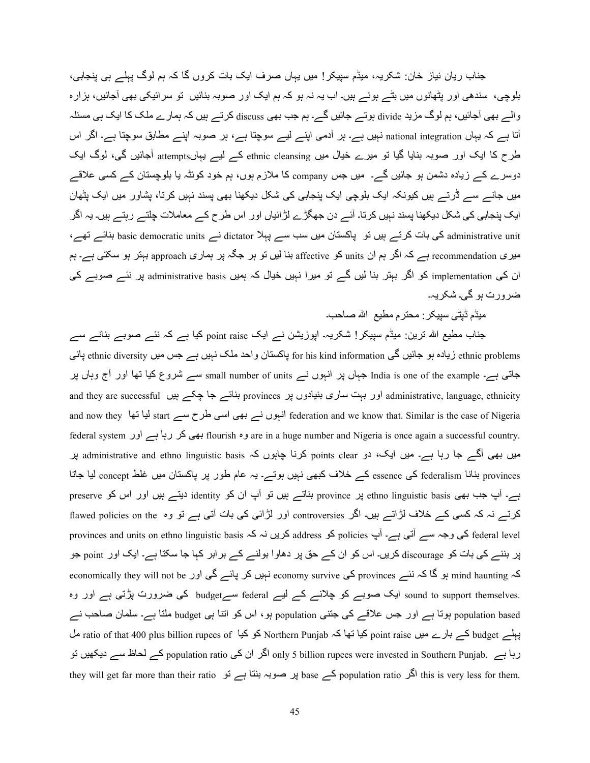جناب ریان نیاز خان: شکریہ، میڈم سیپکر! میں یہاں صرف ایک بات کروں گا کہ ہم لوگ پہلے ہی پنجابی، بلوچی، سندھی اور بٹھانوں میں بٹے ہوئے ہیں۔ اب یہ نہ ہو کہ ہم ایک اور صوبہ بنائیں تو سر ائیکی بھی آجائیں، ہزارہ والے بھی آجائیں، ہم لوگ مزید divide ہوتے جائیں گے۔ ہم جب بھی discuss کرتے ہیں کہ ہمارے ملک کا ایک ہی مسئلہ آتا ہے کہ یہاں national integration نہیں ہے۔ ہر آدمی اپنے لیے سوچتا ہے، ہر صوبہ اپنے مطابق سوچتا ہے۔ اگر اس طرح کا ایک اور صوبہ بنایا گیا تو میرے خیال میں ethnic cleansing کے لیے بہاںattempts آجائیں گی، لوگ ایک دوسرے کے زیادہ دشمن ہو جائیں گے۔ میں جس company کا ملازم ہوں، ہم خود کوئٹہ یا بلوچستان کے کسی علاقے میں جانے سے ڈرتے ہیں کیونکہ ایک بلوچی ایک پنجابی کی شکل دیکھنا بھی یسند نہیں کرتا، بشاور میں ایک بٹھان ایک پنجابی کی شکل دیکھنا پسند نہیں کرتا۔ آئے دن جھگڑے لڑائیاں اور اس طرح کے معاملات چلتے رہتے ہیں۔ یہ اگر administrative unit کی بات کرتے ہیں تو پاکستان میں سب سے پہلا dictator نے basic democratic units بنائے تھے، میری recommendation ہے کہ اگر ہم ان units کو affective بنا لیں تو ہر جگہ پر ہماری approach بہتر ہو سکتی ہے۔ ہم ان کی implementation کو اگر بہتر بنا لیں گے تو میرا نہیں خیال کہ ہمیں administrative basis پر نئے صوبے کی ضر ورت ہو گے۔ شکر ہہ۔

مبڈم ڈیٹے ،سبیکر : محتر م مطیع الله صاحب۔

جناب مطیع اللہ ترین: میڈم سپیکر ! شکریہ۔ اپوزیشن نے ایک point raise کیا ہے کہ نئے صوبے بنانے سے ethnic diversity نیادہ ہو جائیں گی for his kind information پاکستان واحد ملک نہیں ہے جس میں ethnic diversity پائی جاتی ہے۔ India is one of the example جہاں پر انہوں نے small number of units سے شروع کیا تھا اور آج وہاں پر and they are successful رو بہت ساری بنیادوں پر provinces بنائے جا چکے ہیں administrative, language, ethnicity and now they  $\frac{1}{4}$  start لیا تھا  $\frac{1}{4}$  federation and we know that. Similar is the case of Nigeria federal system اور ہے 4رہ? 2 /1h flourish وہ are in a huge number and Nigeria is once again a successful country. میں بھی آگے جا رہا ہے۔ میں ایک، دو points clear کرنا چاہوں کہ administrative and ethno linguistic basis پر provinces بنانا federalism کی essence کے خلاف کبھی نہیں ہوتے۔ یہ عام طور پر پاکستان میں غلط concept لیا جاتا ہے۔ آپ جب بھی ethno linguistic basis پر province بناتے ہیں تو آپ ان کو identity دیتے ہیں اور اس کو preserve كرتے نہ كہ كسى كے خلاف لڑاتے ہيں۔ اگر controversies اور لڑائى كى بات آتى ہے تو وہ flawed policies on the provinces and units on ethno linguistic basis کریں نہ کہ address کروں نہ کا policies ہوجہ سے آتی ہے۔ آپ address پر بننے کی بات کو discourage کریں۔ اس کو ان کے حق پر دھاوا بولنے کے برابر کہا جا سکتا ہے۔ ایک اور point جو economically they will not be اور economy survive کی economy survive نہیں کر پائے گی اور economically they will not be sound to support themselves. ایک صوبے کو چلانے کے لیے federal سےbudget کی ضرورت پڑتی ہے اور وہ population based ہوتا ہے اور جس علاقے کی جتنی population ہو ، اس کو اننا ہی budget ملتا ہے۔ سلمان صاحب نے پہلے budget کے بارے میں point raise کیا تھا کہ Northern Punjab کو کیا ratio of that 400 plus billion rupees of رہا ہے۔ population ratio واکر ان کی only 5 billion rupees were invested in Southern Punjab. کے لحاظ سے دیکھیں تو they will get far more than their ratio ہیں صوبہ بنتا ہے تو base اگر population ratio انگر this is very less for them.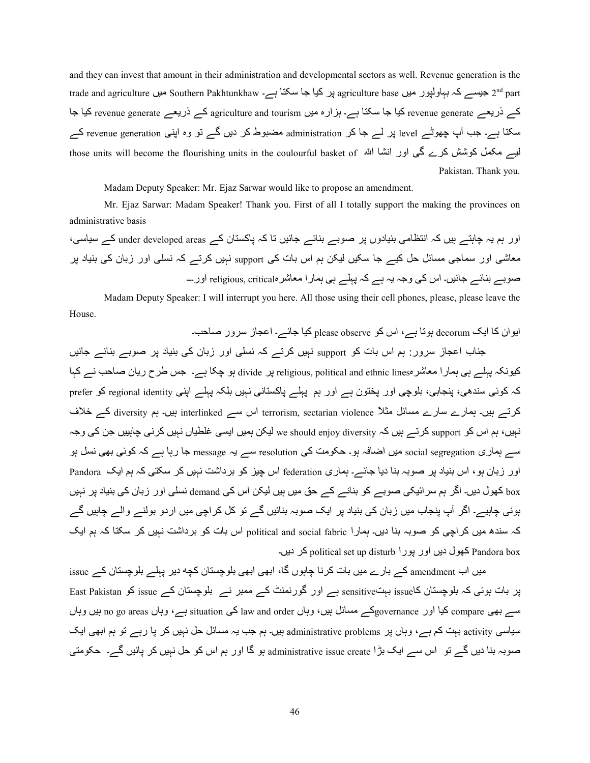and they can invest that amount in their administration and developmental sectors as well. Revenue generation is the trade and agriculture میں Southern Pakhtunkhaw ہیں کیا جا سکتا ہے۔ Athunkhaw میں Southern Pakhtunkhaw ہیں کیا ج کے ذریعے revenue generate کیا جا سکتا ہے۔ ہزارہ میں agriculture and tourism کے ذریعے revenue generate کیا جا سکتا ہے۔ جب آپ چھوٹے level پر لے جا کر administration مضبوط کر دیں گے تو وہ اپنی revenue generation کے those units will become the flourishing units in the coulourful basket of أليسه مكمل كوشش كرے گي اور انشا الله Pakistan. Thank you.

Madam Deputy Speaker: Mr. Ejaz Sarwar would like to propose an amendment.

 Mr. Ejaz Sarwar: Madam Speaker! Thank you. First of all I totally support the making the provinces on administrative basis

اور ہم یہ چاہتے ہیں کہ انتظامی بنیادوں پر صوبے بنائے جائیں تا کہ پاکستان کے under developed areas کے سیاسی، معاشی اور سماجی مسائل حل کیے جا سکیں لیکن ہم اس بات کی support نہیں کرتے کہ نسلی اور زبان کی بنیاد پر صوبے بنائے جائیں۔ اس کی وجہ یہ ہے کہ پہلے ہی ہمار ا معاشر religious, critical اور ۔۔۔

 Madam Deputy Speaker: I will interrupt you here. All those using their cell phones, please, please leave the House.

ایوان کا ایک decorum ہوتا ہے، اس کو please observe کیا جائے۔ اعجاز سرور صاحب۔ جناب اعجاز سرور : ہم اس بات کو support نبیں کرتے کہ نسلی اور زبان کی بنیاد پر صوبے بنائے جائیں کیونکہ پہلے ہی ہمار ا معاشر religious, political and ethnic liness ہو چکا ہے۔ جس طرح ریان صاحب نے کہا کہ کوئی سندھی، پنجابی، بلوچی اور پختون ہے اور ہم پہلے پاکستانی نہیں بلکہ پہلے اپنی regional identity کو prefer کرتے ہیں۔ ہمارے سارے مسائل مثلاً terrorism, sectarian violence اس سے interlinked بیں۔ ہم diversity کے خلاف نہیں، ہم اس کو support کرتے ہیں کہ we should enjoy diversity لیکن ہمیں ایسی غلطیاں نہیں کرنی چاہییں جن کی وجہ سے ہماری social segregation میں اضافہ ہو۔ حکومت کی resolution سے یہ message جا رہا ہے کہ کوئی بھی نسل ہو اور زبان ہو، اس بنیاد پر صوبہ بنا دیا جائے۔ ہماری federation اس چیز کو برداشت نہیں کر سکتی کہ ہم ایک Pandora box کھول دیں۔ اگر ہم سر ائیکی صوبے کو بنانے کے حق میں ہیں لیکن اس کی demand نسلی اور زبان کی بنیاد پر نہیں ہونی چاہیے۔ اگر آپ پنجاب میں زبان کی بنیاد پر ایک صوبہ بنائیں گے تو کل کراچی میں اردو بولنے والے چاہیں گے کہ سندھ میں کراچی کو صوبہ بنا دیں۔ ہمارا political and social fabric اس بات کو برداشت نہیں کر سکتا کہ ہم ایک دیں اور یور ا political set up disturb کھول دیں۔ Pandora box

میں اب amendment کے بارے میں بات کرنا چاہوں گا، ابھی ابھی بلوچستان کچه دیر پہلے بلوچستان کے issue پر بات ہوئی کہ بلوچستان کاsensitive ہے اور گورنمنٹ کے ممبر نے بلوچستان کے issue کو East Pakistan ں ہی compare کیا اور governanceکے مسائل بیں، وہاں law and order کی situation ہے، وہاں no go areas بیں وہاں سیاسی activity بہت کم ہے، وہاں پر administrative problems ہیں۔ ہم جب یہ مسائل حل نہیں کر پا رہے تو ہم ابھی ایک صوبہ بنا دیں گے تو اس سے ایک بڑا administrative issue create ہو گا اور ہم اس کو حل نہیں کر پائیں گے۔ حکومتی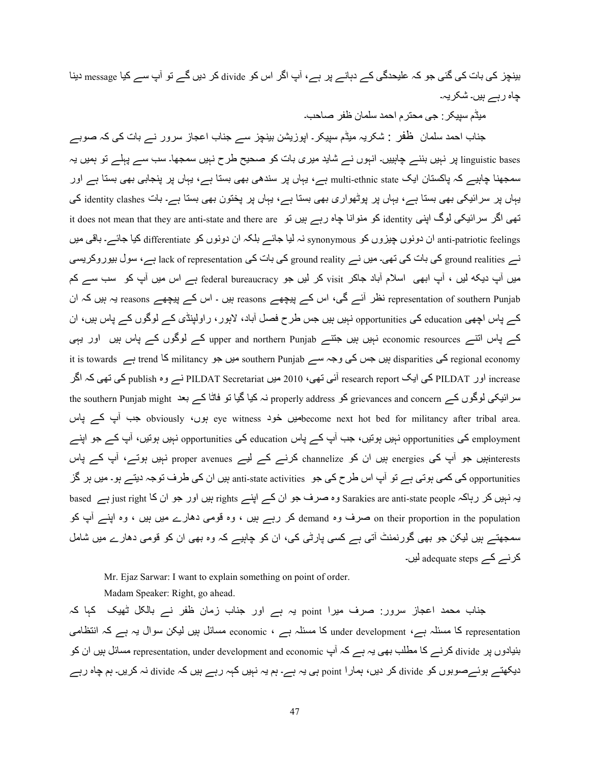بینچز کی بات کی گئی جو کہ علیحدگی کے دہانے پر ہے، آپ اگر اس کو divide کر دیں گے تو آپ سے کیا message دینا جاہ رہے ہیں۔ شکریہ۔

میڈم سیپکر : جی محتر م احمد سلمان ظفر ۔صاحب۔

جناب احمد سلمان ظفر : شکریہ میڈم سپیکر۔ اپوزیشن بینچز سے جناب اعجاز سرور نے بات کی کہ صوبے linguistic bases پر نہیں بننے چاہییں۔ انہوں نے شاید میری بات کو صحیح طرح نہیں سمجھا۔ سب سے پہلے تو ہمیں یہ اسمجھنا چاہیے کہ پاکستان ایک multi-ethnic state ہے، یہاں پر سندھی بھی بستا ہے، یہاں پر پنجابی بھی بستا ہے اور یہاں پر سرائیکی بھی بستا ہے۔ بہاں پر پوٹھواری بھی بستا ہے، یہاں پر پختون بھی بستا ہے۔ بات identity clashes کی it does not mean that they are anti-state and there are کو منوانا چاہ رہے ہیں تو it does not mean that they are anti-patriotic feelings ان دونوں چیزوں کو synonymous نہ لیا جائے بلکہ ان دونوں کو differentiate کیا جائے۔ باقی میں نے ground realities کی بات کی تھی۔ میں نے ground reality کی بات کی lack of representation ہے، سول بیور وکریسی میں آپ دیکه لیں ، آپ ابھی اسلام آباد جاکر visit کر لیں جو federal bureaucracy ہے اس میں آپ کو سب سے کم representation of southern Punjab نظر آئے گی، اس کے پیچھے reasons ہیں ۔ اس کے پیچھے reasons بہ ہیں کہ ان کے پاس اچھی education کی opportunities نہیں ہیں جس طرح فصل آباد، لاہور ، راولپنڈی کے لوگوں کے پاس ہیں، ان کے پاس انتے economic resources نہیں ہیں جتنے upper and northern Punjab کے لوگوں کے پاس ہیں اور یہی it is towards کی disparities ہیں جس کی وجہ سے southern Punjab میں جو militancy ہے trend S ہے disparities ہیں ج increase اور PILDAT کی ایک research report آئی تھی، 2010 میں PILDAT Secretariat نے وہ publish کی تھی کہ اگر the southern Punjab might یا تو فاٹا کہ بعد properly address کر properly address کر بعد the southern Punjab might eye witness میں خود become next hot bed for militancy after tribal area. بوں، obviously جب أب كہ پاس employment کی opportunities نہیں ہونیں، جب آپ کے پاس education کی opportunities نہیں ہونیں، آپ کے جو اینے interestsہبیں جو آپ کی energies ہیں ان کو channelize کرنے کے لیے proper avenues نہیں ہوتے، آپ کے پاس opportunities کی کمی ہوتی ہے تو آپ اس طرح کی جو anti-state activities ہیں ان کی طرف توجہ دیتے ہو۔ میں ہر گز یہ نہیں کر رہاکہ Sarakies are anti-state people وہ صرف جو ان کے اپنے rights ہیں اور جو ان کا just right ہے based on their proportion in the population صرف وہ demand کر رہے ہیں ، وہ قومی دہارے میں ہیں ، وہ اپنے آپ کو سمجھتے ہیں لیکن جو بھی گورنمنٹ آتی ہے کسی پارٹی کی، ان کو چاہیے کہ وہ بھی ان کو قومی دھارے میں شامل کر نے adequate steps لیں۔

Mr. Ejaz Sarwar: I want to explain something on point of order.

Madam Speaker: Right, go ahead.

جناب محمد اعجاز سرور: صرف میرا point یہ ہے اور جناب زمان ظفر نے بالکل ٹھیک کہا کہ representation کا مسئلہ ہے، under development کا مسئلہ ہے ، economic مسائل بیں لیکن سوال یہ ہے کہ انتظامی بنیادوں پر divide کرنے کا مطلب بھی یہ ہے کہ آپ representation, under development and economic مسائل ہیں ان کو دیکھتے ہوئےصوبوں کو divide کر دیں، ہمارا point ہی یہ ہے۔ ہم یہ نہیں کہہ رہے ہیں کہ divide نہ کریں۔ ہم چاہ رہے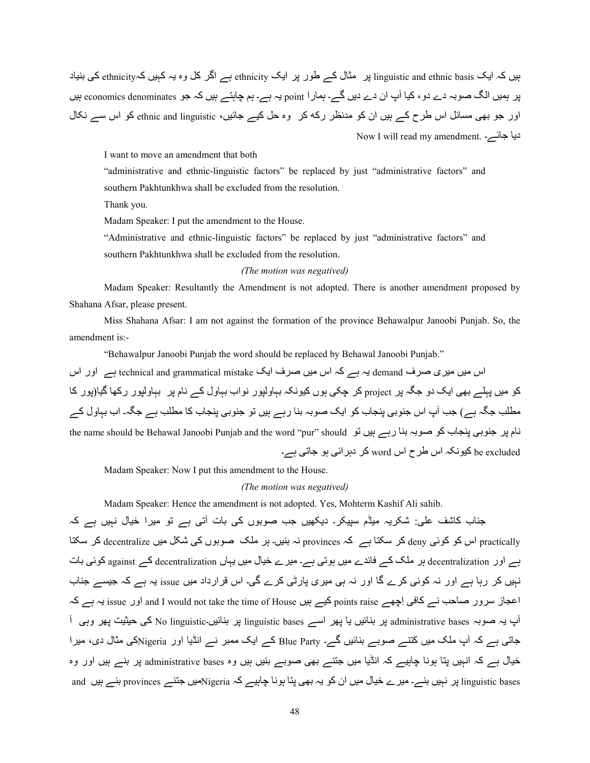بیں کہ ایک linguistic and ethnic basis پر مثال کے طور پر ایک ethnicity ہے اگر کل وہ یہ کہیں کہethnicity کی بنیاد پر ہمیں الگ صوبہ دے دو، کیا آپ ان دے دیں گے۔ ہمارا point بہ ہے۔ ہم چاہتے ہیں کہ جو economics denominates ہیں اور جو بھی مسائل اس طرح کے ہیں ان کو مدنظر رکه کر وہ حل کیے جائیں، ethnic and linguistic کو اس سے نکال Now I will read my amendment. - دیا جائے

I want to move an amendment that both

"administrative and ethnic-linguistic factors" be replaced by just "administrative factors" and southern Pakhtunkhwa shall be excluded from the resolution.

Thank you.

Madam Speaker: I put the amendment to the House.

"Administrative and ethnic-linguistic factors" be replaced by just "administrative factors" and southern Pakhtunkhwa shall be excluded from the resolution.

## *(The motion was negatived)*

 Madam Speaker: Resultantly the Amendment is not adopted. There is another amendment proposed by Shahana Afsar, please present.

 Miss Shahana Afsar: I am not against the formation of the province Behawalpur Janoobi Punjab. So, the amendment is:-

"Behawalpur Janoobi Punjab the word should be replaced by Behawal Janoobi Punjab."

اس میں میری صرف demand یہ ہے کہ اس میں صرف ایک technical and grammatical mistake ہے اور اس کو میں پہلے بھی ایک دو جگہ پر project کر چکی ہوں کیونکہ بہاولیور نواب بہاول کے نام پر بہاولیور رکھا گیا(پور کا مطلب جگہ ہے) جب آپ اس جنوبی پنجاب کو ایک صوبہ بنا رہے ہیں تو جنوبی پنجاب کا مطلب ہے جگہ۔ اب بہاول کے the name should be Behawal Janoobi Punjab and the word "pur" should نام پر جنوبی پنجاب کو صوبہ بنا رہے ہیں تو be excluded کیونکہ اس طرح اس word کر دہرائی ہو جاتی ہے۔

Madam Speaker: Now I put this amendment to the House.

#### *(The motion was negatived)*

Madam Speaker: Hence the amendment is not adopted. Yes, Mohterm Kashif Ali sahib.

جناب کاشف علی: شکریہ میڈم سپیکر۔ دیکھیں جب صوبوں کی بات آتی ہے تو میرا خیال نہیں ہے کہ practically اس کو کوئی deny کر سکتا ہے ۔ provinces نہ بنیں۔ ہر ملک صوبوں کی شکل میں decentralize کر سکتا ہے اور decentralization ہر ملک کے فائدے میں ہوتی ہے۔ میرے خیال میں یہاں decentralization کے against کوئی بات نبیں کر رہا ہے اور نہ کوئی کرے گا اور نہ ہی میری پارٹی کرے گی۔ اس قرارداد میں issue یہ ہے کہ جیسے جناب اعجاز سرور صاحب نے کافی اِچھے points raise کیے ہیں and I would not take the time of House اور issue یہ ہے کہ أبِ يہ صوبہ administrative bases پر بنائيں يا پھر اســـر linguistic پر بنائيں۔No linguistic کی حيثيت پھر وہی آ جاتی ہے کہ آپ ملک میں کتنے صوبے بنائیں گے۔ Blue Party کے ایک ممبر نے انڈیا اور Nigeriaکی مثال دی، میرا خیال ہے کہ انہیں پتا ہونا چاہیے کہ انڈیا میں جتنے بھی صوبے بنیں ہیں وہ administrative bases پر بنے ہیں اور وہ linguistic bases پر نہیں بنے۔ میرے خیال میں ان کو یہ بھی پنا ہونا چاہیے کہ Nigeriaمیں جننے provinces بنے ہیں and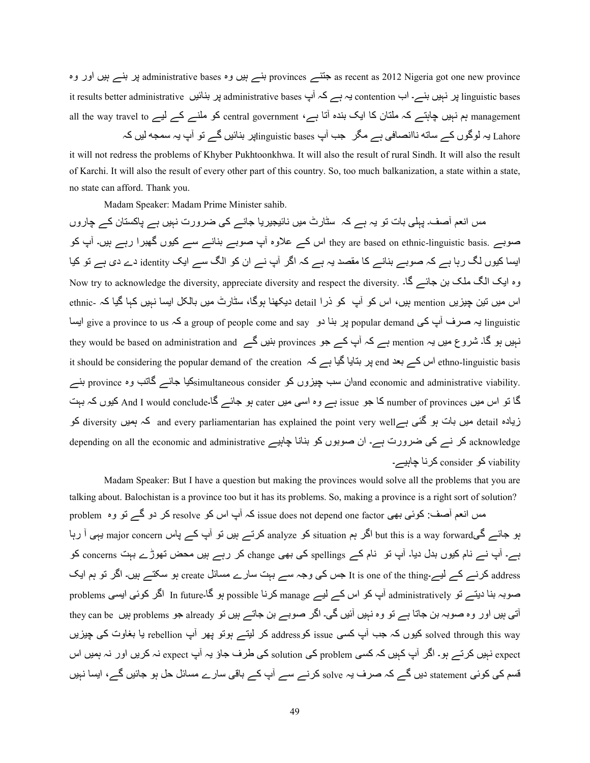as recent as 2012 Nigeria got one new provinces جتنبے provinces بنے ہیں وہ administrative bases پر بنے ہیں اور وہ it results better administrative یہ ہے کہ آپ administrative bases پر بنائیں it results better administrative all the way travel to ہے ہے : central government ،ہ ہے 4Ye ہو مطلوع کے لیے 4U the way travel to Lahore یہ لوگوں کے ساته ناانصافی ہے مگر جب آپ linguistic basesناپر بنائیں گے تو آپ یہ سمجه لیں کہ E

it will not redress the problems of Khyber Pukhtoonkhwa. It will also the result of rural Sindh. It will also the result of Karchi. It will also the result of every other part of this country. So, too much balkanization, a state within a state, no state can afford. Thank you.

Madam Speaker: Madam Prime Minister sahib.

مس انعم آصف۔ یہلی بات تو یہ ہے کہ سٹارٹ میں نائیجیریا جانے کی ضرورت نہیں ہے پاکستان کے چاروں صوبے ۔ they are based on ethnic-linguistic basis اس کے علاوہ آپ صوبے بنانے سے کیوں گھبرا رہے ہیں۔ آپ کو ایسا کیوں لگ رہا ہے کہ صوبے بنانے کا مقصد یہ ہے کہ اگر آپ نے ان کو الگ سے ایک identity دے دی ہے تو کیا وہ ایک الگ ملک بن جائے گا۔ .Now try to acknowledge the diversity, appreciate diversity and respect the diversity اس میں تین چیزیں mention بیں، اس کو آپ کو ذرا detail دیکھنا ہوگا، سٹارٹ میں بالکل ایسا نہیں کہا گیا کہ -ethnic linguistic یہ صرف آپ کی popular demand پر بنا دو a group of people come and say ایسا ایسا give a province to us نہیں ہو گا۔ شروع میں یہ mention ہے کہ آپ کے جو provinces بنیں گے they would be based on administration and it should be considering the popular demand of the creation ہیں بتایا گیا ہے کہ 4Hno-linguistic basis اس کے بعد یکیا جائسے گاتب وہ province وہ dyatity. https:کیا جائسے گاتب وہ province بنسے (simultaneous consider بن گا تو اس میں number of provinces کا جو issue ہے وہ اسی میں cater ہو جائے گا۔And I would conclude کیوں کہ بہت زیادہ detail میں بات ہو گئی ہےdiversity کو and every parliamentarian has explained the point very wellکہ ہمیں depending on all the economic and administrative کر نے کی ضرورت ہے۔ ان صوبوں کو بنانا چاہیے viability کو consider کرنا چاہیے۔

 Madam Speaker: But I have a question but making the provinces would solve all the problems that you are talking about. Balochistan is a province too but it has its problems. So, making a province is a right sort of solution? مس انعم آصف: کوئی بھی issue does not depend one factor کر اپ اس کو resolve کر دو گے تو وہ problem ہو جائے گیbut this is a way forward اگر ہم situation کو analyze کرتے ہیں تو آپ کے پاس major concern یہی آ رہا ہے۔ آپ نے نام کیوں بدل دیا۔ آپ تو نام کے spellings کی بھی change کر رہے ہیں محض تھوڑے بہت concerns کو address کرنے کے لیے۔It is one of the thing جس کی وجہ سے بہت سارے مسائل create ہو سکتے ہیں۔ اگر تو ہم ایک صوبہ بنا دیتے تو administratively آپ کو اس کے لیے manage کرنا possible ہو گا۔In future اگر کوئی ایسی problems اتی ہیں اور وہ صوبہ بن جاتا ہے تو وہ نہیں آئیں گی۔ اگر صوبے بن جاتے ہیں تو already ہے problems ہیں they can be solved through this way کیوں کہ جب آپ کسی issue کو address کر لیتے ہوتو پھر آپ rebellion یا بغاوت کی چیزیں expect نہیں کرتے ہو۔ اگر آپ کہیں کہ کسی problem کی solution کی طرف جاؤ یہ آپ expect نہ کریں اور نہ ہمیں اس قسم کی کوئی statement دیں گے کہ صرف یہ solve کرنے سے آپ کے باقی سارے مسائل حل ہو جائیں گے، ایسا نہیں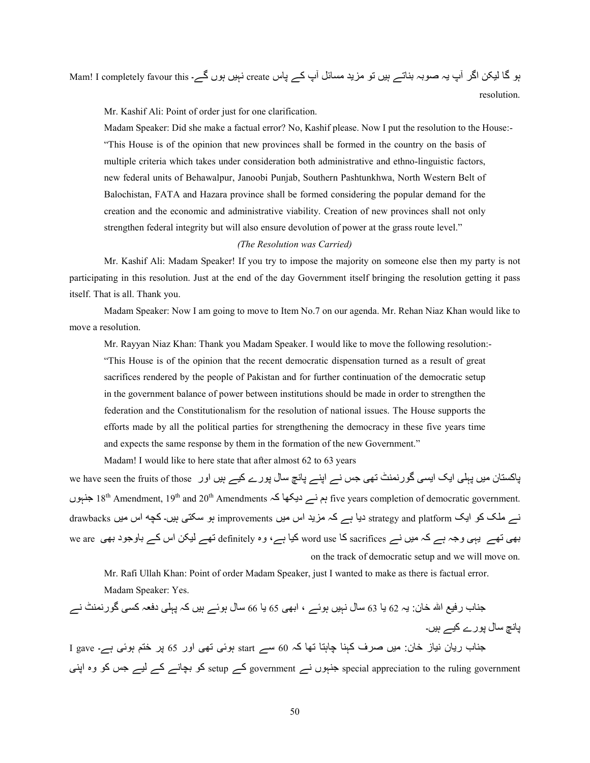ہو گا لیکن اگر آپ یہ صوبہ بناتے ہیں تو مزید مسائل آپ کے پاس create نہیں ہوں گے۔ Mam! I completely favour this resolution.

Mr. Kashif Ali: Point of order just for one clarification.

 Madam Speaker: Did she make a factual error? No, Kashif please. Now I put the resolution to the House:- "This House is of the opinion that new provinces shall be formed in the country on the basis of multiple criteria which takes under consideration both administrative and ethno-linguistic factors, new federal units of Behawalpur, Janoobi Punjab, Southern Pashtunkhwa, North Western Belt of Balochistan, FATA and Hazara province shall be formed considering the popular demand for the creation and the economic and administrative viability. Creation of new provinces shall not only strengthen federal integrity but will also ensure devolution of power at the grass route level."

## *(The Resolution was Carried)*

 Mr. Kashif Ali: Madam Speaker! If you try to impose the majority on someone else then my party is not participating in this resolution. Just at the end of the day Government itself bringing the resolution getting it pass itself. That is all. Thank you.

 Madam Speaker: Now I am going to move to Item No.7 on our agenda. Mr. Rehan Niaz Khan would like to move a resolution.

 Mr. Rayyan Niaz Khan: Thank you Madam Speaker. I would like to move the following resolution:- "This House is of the opinion that the recent democratic dispensation turned as a result of great sacrifices rendered by the people of Pakistan and for further continuation of the democratic setup in the government balance of power between institutions should be made in order to strengthen the federation and the Constitutionalism for the resolution of national issues. The House supports the efforts made by all the political parties for strengthening the democracy in these five years time and expects the same response by them in the formation of the new Government."

Madam! I would like to here state that after almost 62 to 63 years

پاکستان میں پہلی ایک ایسی گورنمنٹ تھی جس نے اپنے پانچ سال پورے کیے ہیں اور we have seen the fruits of those بم نے دیکھا کہ 18<sup>th</sup> Amendment, 19<sup>th</sup> and 20<sup>th</sup> Amendments ہم نے دیکھا کہ five years completion of democratic government. نے ملک کو ایک strategy and platform دیا ہے کہ مزید اس میں improvements ہو سکتی ہیں۔ کچه اس میں drawbacks بھی تھے یہی وجہ ہے کہ میں نے sacrifices کا word use کیا ہے، وہ definitely تھے لیکن اس کے باوجود بھی we are ہ on the track of democratic setup and we will move on.

Mr. Rafi Ullah Khan: Point of order Madam Speaker, just I wanted to make as there is factual error.

Madam Speaker: Yes.

 <=4ب رvA اÀ 45ن: Hہ 62 H4 63 C4ل KہAں ہwSے ، اh/1 65 H4 66 C4ل ہwSے ہAں 2ہ Vہ]/ دPہ 2U/| SرK9=ٹ Kے ں۔Aہ ےA2 رےSV ل4C K4V I gave ہے۔ /wSہ OT5 ?V 65 اور /1Y /wSہ start ےC 60 ہ2 41Y 4Tہ4g 4=ہ2 ف?f ںA; :ن45 ز4AK ن4Hر ب4 <= /=Vا وہ S2 c> ےA ے2 ےK40h S2 setup ے2 government ےK ںSہ <=special appreciation to the ruling government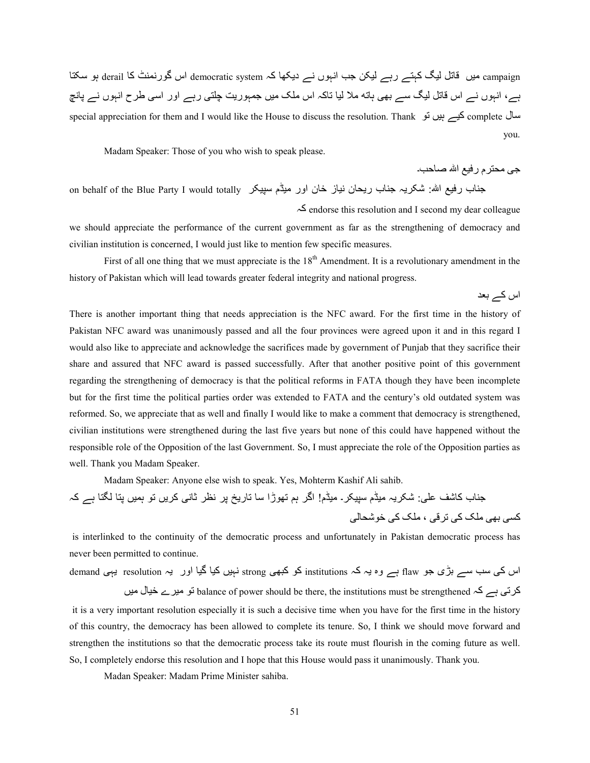campaign میں قاتل لیگ کہتے رہے لیکن جب انہوں نے دیکھا کہ democratic system اس گورنمنٹ کا derail ہو سکتا ہے، انہوں نے اس قاتل لیگ سے بھی ہاته ملا لیا تاکہ اس ملک میں جمہوریت چلتی رہے اور اسی طرح انہوں نے پانچ special appreciation for them and I would like the House to discuss the resolution. Thank کیے ہیں تو you.

Madam Speaker: Those of you who wish to speak please.

۔dq4f Àا vAر م?T:; />

اس كے بعد

on behalf of the Blue Party I would totally دفیع اللہ: شکریہ جناب ریحان نیاز خان اور میڈم سپیکر

ہ2 endorse this resolution and I second my dear colleague

we should appreciate the performance of the current government as far as the strengthening of democracy and civilian institution is concerned, I would just like to mention few specific measures.

First of all one thing that we must appreciate is the  $18<sup>th</sup>$  Amendment. It is a revolutionary amendment in the history of Pakistan which will lead towards greater federal integrity and national progress.

There is another important thing that needs appreciation is the NFC award. For the first time in the history of Pakistan NFC award was unanimously passed and all the four provinces were agreed upon it and in this regard I would also like to appreciate and acknowledge the sacrifices made by government of Punjab that they sacrifice their share and assured that NFC award is passed successfully. After that another positive point of this government regarding the strengthening of democracy is that the political reforms in FATA though they have been incomplete but for the first time the political parties order was extended to FATA and the century's old outdated system was reformed. So, we appreciate that as well and finally I would like to make a comment that democracy is strengthened, civilian institutions were strengthened during the last five years but none of this could have happened without the responsible role of the Opposition of the last Government. So, I must appreciate the role of the Opposition parties as well. Thank you Madam Speaker.

Madam Speaker: Anyone else wish to speak. Yes, Mohterm Kashif Ali sahib.

 ہ2 ہے 4T 4TV ںA9ہ SY ںH?2 /K4Ì ?oK ?V ¿Hر4Y 4C ڑاS1Y Oہ|? ا! ڈمA; ۔@?ABC ڈمA; ہH?@7 :/[Q 6742 ب4 <= /4:7S5 /2 Z[; ، /n?Y /2 Z[; /1h /U2

is interlinked to the continuity of the democratic process and unfortunately in Pakistan democratic process has never been permitted to continue.

اس کی سب سے بڑی جو flaw ہے وہ یہ کہ institutions کو کبھی strong نہیں کیا گیا اور یہ resolution یہی demand

کرتی ہے کہ balance of power should be there, the institutions must be strengthened نو میرے خیال میں it is a very important resolution especially it is such a decisive time when you have for the first time in the history of this country, the democracy has been allowed to complete its tenure. So, I think we should move forward and strengthen the institutions so that the democratic process take its route must flourish in the coming future as well. So, I completely endorse this resolution and I hope that this House would pass it unanimously. Thank you.

Madan Speaker: Madam Prime Minister sahiba.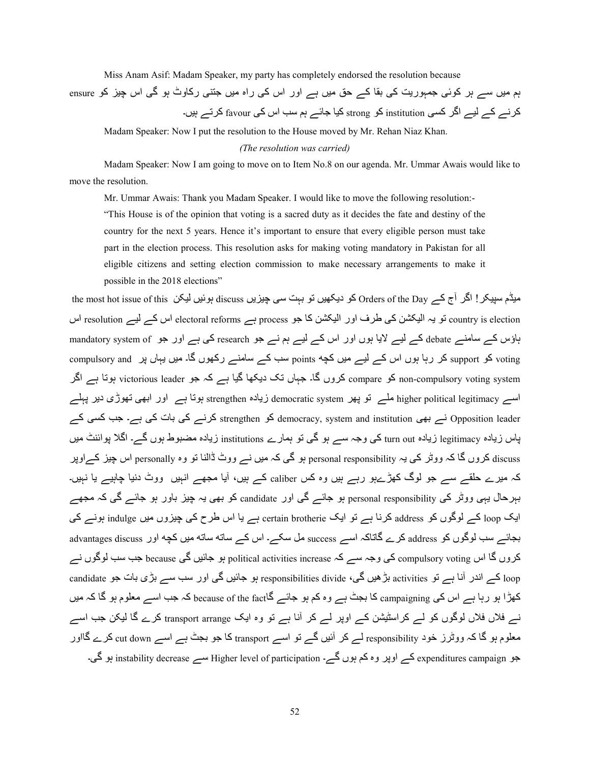Miss Anam Asif: Madam Speaker, my party has completely endorsed the resolution because

ہم میں سے ہر کوئی جمہوریت کی بقا کے حق میں ہے اور اس کی راہ میں جتنی رکاوٹ ہو گی اس چیز کو ensure کر نے کے لیے اگر کسی institution کو strong کیا جائے ہم سب اس کی favour کر تے ہیں۔

Madam Speaker: Now I put the resolution to the House moved by Mr. Rehan Niaz Khan.

*(The resolution was carried)* 

 Madam Speaker: Now I am going to move on to Item No.8 on our agenda. Mr. Ummar Awais would like to move the resolution.

Mr. Ummar Awais: Thank you Madam Speaker. I would like to move the following resolution:-

"This House is of the opinion that voting is a sacred duty as it decides the fate and destiny of the country for the next 5 years. Hence it's important to ensure that every eligible person must take part in the election process. This resolution asks for making voting mandatory in Pakistan for all eligible citizens and setting election commission to make necessary arrangements to make it possible in the 2018 elections"

the most hot issue of this کو دیکھیں تو بہت سی چیزیں discuss ہوئیں لیکن the most hot issue of this ہوئیں لیکن country is election تو یہ الیکشن کی طرف اور الیکشن کا جو process ہے electoral reforms اس کے لیے resolution اس ہاؤس کے سامنے debate کے لیے لایا ہوں اور اس کے لیے ہم نے جو research کی ہے اور جو mandatory system of compulsory and کو support کر رہا ہوں اس کے لیے میں کچه points سب کے سامنے رکھوں گا۔ میں یہاں پر compulsory and non-compulsory voting system کو compare کروں گا۔ جہاں تک دیکھا گیا ہے کہ جو victorious leader ہوتا ہے اگر اسے higher political legitimacy ملے تو پھر democratic system زیادہ strengthen ہوتا ہے اور ابھی تھوڑی دیر پہلے Opposition leader نے بھی democracy, system and institution کو strengthen کرنے کی بات کی ہے۔ جب کسی کے پاس زیادہ legitimacy زیادہ turn out کی وجہ سے ہو گی تو ہمارے institutions زیادہ مضبوط ہوں گے۔ اگلا پوائنٹ میں discuss كروں گا كہ ووٹر كى يہ personal responsibility ہو گى كہ ميں نـــر ووٹ ڈالنا تو وہ personally اس چيز كــراوپر کہ میرے حلقے سے جو لوگ کھڑےہو رہے ہیں وہ کس caliber کے ہیں، آیا مجھے انہیں ووٹ دنیا چاہیے یا نہیں۔ بہرحال یہی ووٹر کی personal responsibility ہو جائے گی اور candidate کو بھی یہ چیز باور ہو جائے گی کہ مجھے ایک loop کے لوگوں کو address کرنا ہے تو ایک certain brotherie ہے یا اس طرح کی چیزوں میں indulge ہونے کی بجائے سب لوگوں کو address کرے گاتاکہ اسے success مل سکے۔ اس کے ساته ساته میں کچه اور advantages discuss کروں گا اس compulsory voting کی وجہ سے کہ political activities increase ہو جائیں گی because جب سب لوگوں نے candidate کے اندر آنا ہے تو activities بڑھیں گی، responsibilities divide ہو جائیں گی اور سب سے بڑی بات جو candidate کھڑا ہو رہا ہے اس کی campaigning کا بجٹ ہے وہ کم ہو جائے گاbecause of the fact کہ جب اسے معلوم ہو گا کہ میں نسر فلاں فلاں لوگوں کو لسر کراسٹیشن کسر اوپر لسر کر آنا ہسر تو وہ ایک transport arrange کرے گا لیکن جب اسسر معلوم ہو گا کہ ووٹرز خود responsibility لسے کر آئیں گسے تو اسسے transport کا جو بجٹ ہسے اسسے cut down کرے گااور جو expenditures campaign کے اوپر وہ کم ہوں گے۔ Higher level of participation سے instability decrease ہو گی۔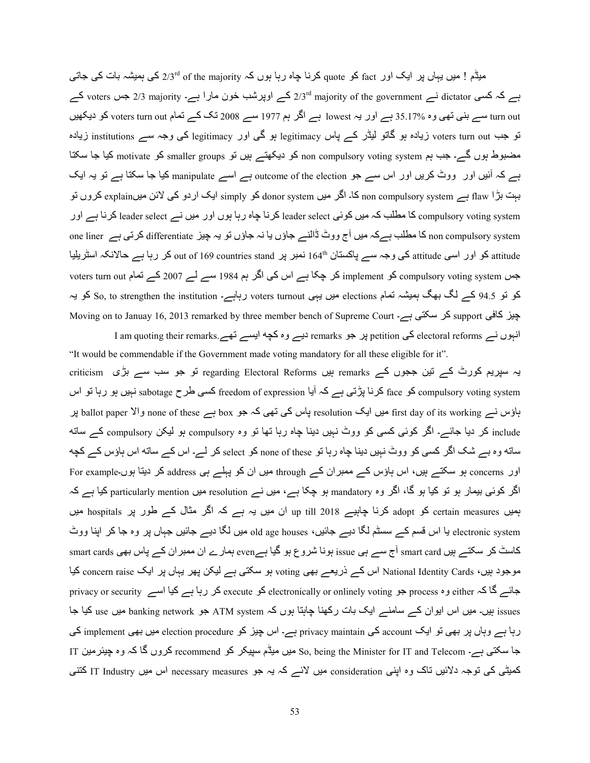میڈم ! میں یہاں پر ایک اور fact کو quote کرنا چاہ رہا ہوں کہ of the majority کی ہمیشہ بات کی جاتی 4 ہے کہ کسی dictator نسم roters ہے۔ roters ہے۔ 2/3 majority کے اوپرشب خون مارا ہے۔ 2/3 majority ہے کہ کسی turn out سے بنی تھی وہ %35.17 ہے اور یہ lowest ہے اگر ہم 1977 سے 2008 تک کے تمام voters turn out کو دیکھیں نو جب voters turn out زیادہ ہو گاتو لیڈر کے پاس legitimacy ہو گی اور legitimacy کی وجہ سے institutions زیادہ مضبوط ہوں گے۔ جب ہم non compulsory voting system کو دیکھتے ہیں تو smaller groups کو motivate کیا جا سکتا ہے کہ آئیں اور ووٹ کریں اور اس سے جو outcome of the election ہے اسے manipulate کیا جا سکتا ہے تو یہ ایک بہت بڑا flaw ہے non compulsory system کا۔ اگر میں donor system کو simply ایک اردو کی لائن میںexplain کروں تو compulsory voting system کا مطلب کہ میں کوئی leader select کرنا چاہ رہا ہوں اور میں نے leader select کرنا ہے اور one liner کا مطلب ہے کہ میں آج ووٹ ڈالنے جاؤں یا نہ جاؤں تو یہ چیز differentiate کرتی ہے one liner o attitude کو اور اسی attitude کی وجہ سے پاکستان http نمبر پر countries stand ہو درہا ہے حالانکہ اسٹریلیا کہ من voters turn out مربع 2007 کر چکا ہے اس کی اگر ہم 1984 سے لے 2007 کے تمام voters turn out کو تو 94.5 کے لگ بھگ ہمیشہ تمام elections میں یہی voters turnout رہاہے۔ So, to strengthen the institution کو یہ Moving on to Januay 16, 2013 remarked by three member bench of Supreme Court - کر سکتی ہے۔ انبوں نسر electoral reforms کی petition پر جو remarks دیسر وہ کچه ایسسر تھسر remarks کے I am quoting their remarks

"It would be commendable if the Government made voting mandatory for all these eligible for it". یہ سپریم کورٹ کے تین ججوں کے regarding Electoral Reforms ہیں remarks او جو سب سے بڑی criticism compulsory voting system کو face کرنا پڑتی ہے کہ آیا freedom of expression کسی طرح sabotage نہیں ہو رہا تو اس ہاؤس نے first day of its working میں ایک resolution پاس کی تھی کہ جو box ہے box ہے none of these والا include کر دیا جائے۔ اگر کوئی کسی کو ووٹ نہیں دینا چاہ رہا تھا تو وہ compulsory ہو لیکن compulsory کے ساته ساته وہ بے شک اگر کسی کو ووٹ نہیں دینا چاہ رہا تو none of these کو select کر لے۔ اس کے ساته اس ہاؤس کے کچه اور concerns ہو سکتے ہیں، اس ہاؤس کے ممبران کے through میں ان کو پہلے ہی address کر دیتا ہوں۔For example اگر کوئی بیمار ہو تو کیا ہو گا، اگر وہ mandatory ہو چکا ہے، میں نے resolution میں particularly mention کیا ہے کہ ہمیں certain measures کو adopt کرنا چاہیے 2018 up till ان میں یہ ہے کہ اگر مثال کے طور پر hospitals میں electronic system یا اس قسم کے سسٹم لگا دیے جائیں، old age houses میں لگا دیے جائیں جہاں پر وہ جا کر اپنا ووٹ کاسٹ کر سکتے ہیں smart card آج سے ہی issue ہونا شروع ہو گیا ہے even ہمارے ان ممبر ان کے پاس بھی smart cards s موجود ہیں، National Identity Cards اس کے ذریعے بھی voting ہو سکتی ہے لیکن پھر یہاں پر ایک concern raise کیا جائے گا کہ either وہ privacy or security ہو electronically or onlinely voting کو execute کر رہا ہے کیا اسے privacy or security issues ہیں۔ میں اس ایوان کے سامنے ایک بات رکھنا چاہتا ہوں کہ ATM system جو banking network میں use کیا جا رہا ہے وہاں پر بھی تو ایک account کی privacy maintain ہے۔ اس چیز کو election procedure میں بھی implement کی IT A;?«Ag وہ ہ2 4 |وں?2 recommend S2 ?@ABC ڈمA; ںA; So, being the Minister for IT and Telecom ہے۔ /T@C 4> کمیٹی کی نوجہ دلائیں ناک وہ اپنی consideration میں لائے کہ یہ جو necessary measures اس میں IT Industry کننی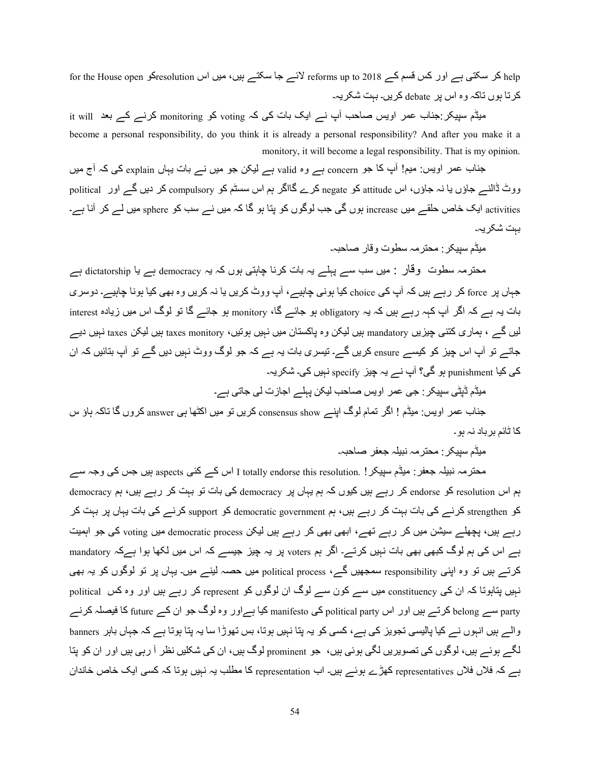help کر سکتی ہے اور کس قسم کے 2018 reforms up to لائے جا سکتے ہیں، میں اس resolutionکو for the House open کرتا ہوں تاکہ وہ اس پر debate کریں۔ بہت شکریہ۔

میڈم سپیکر جناب عمر اویس صاحب آپ نے ایک بات کی کہ voting کو monitoring کرنے کے بعد it will become a personal responsibility, do you think it is already a personal responsibility? And after you make it a monitory, it will become a legal responsibility. That is my opinion.

جناب عمر اویس: میم! آپ کا جو concern ہے وہ valid ہے لیکن جو میں نے بات یہاں explain کی کہ آج میں ووٹ ڈالنے جاؤں یا نہ جاؤں، اس attitude کو negate کرے گااگر ہم اس سسٹم کو compulsory کر دیں گے اور political activities ایک خاص حلقے میں increase ہوں گی جب لوگوں کو پتا ہو گا کہ میں نے سب کو sphere میں لے کر آنا ہے۔ بہت شکر یہ۔

میڈم سبیکر : محتر مہ سطوت و قار ۔صاحبہ۔

محترمہ سطوت وقار : میں سب سے پہلے یہ بات کرنا چاہتی ہوں کہ یہ democracy ہے یا dictatorship ہے جہاں پر force کر رہے ہیں کہ آپ کی choice کیا ہونی چاہیے، آپ ووٹ کریں یا نہ کریں وہ بھی کیا ہونا چاہیے۔ دوسری بات یہ ہے کہ اگر آپ کہہ رہے ہیں کہ یہ obligatory ہو جائے گا، monitory ہو جائے گا تو لوگ اس میں زیادہ interest لیں گے ، ہماری کتنی چیزیں mandatory بیں لیکن وہ پاکستان میں نہیں ہونیں، taxes monitory بیں لیکن taxes نہیں دیے جاتے تو آپ اس چیز کو کیسے ensure کریں گے۔ تیسری بات یہ ہے کہ جو لوگ ووٹ نہیں دیں گے تو آپ بتائیں کہ ان کی کیا punishment ہو گی؟ آب نے یہ چیز specify نہیں کی۔ شکریہ۔

میڈم ڈپٹی سپیکر : جی عمر اویس صاحب لیکن پہلے اجازت لی جاتی ہے۔

جناب عمر اویس: میڈم ! اگر تمام لوگ اپنے consensus show کریں تو میں اکٹھا ہی answer کروں گا تاکہ ہاؤ س کا ٹائم بر باد نہ ہو ۔

میڈم سبیکر : محتر مہ نبیلہ جعفر صناحیہ۔

محتر مہ نبیلہ جعفر : میڈم سپیکر ! .totally endorse this resolution اس کے کئی aspects ہیں جس کی وجہ سے ہم اس resolution کو endorse کر رہے ہیں کیوں کہ ہم یہاں پر democracy کی بات تو بہت کر رہے ہیں، ہم democracy کو strengthen کرنے کی بات بہت کر رہے ہیں، ہم democratic government کو support کرنے کی بات یہاں پر بہت کر رہے ہیں، پچھلے سیشن میں کر رہے تھے، ابھی بھی کر رہے ہیں لیکن democratic process میں voting کی جو اہمیت ہے اس کی ہم لوگ کبھی بھی بات نہیں کرتے۔ اگر ہم voters پر یہ چیز جیسے کہ اس میں لکھا ہوا ہےکہ mandatory کرتے ہیں تو وہ اپنی responsibility سمجھیں گے، political process میں حصہ لینے میں۔ یہاں پر تو لوگوں کو یہ بھی نبیں پتاہوتا کہ ان کی constituency میں سے کون سے لوگ ان لوگوں کو represent کر رہے ہیں اور وہ کس political party سے belong کرتے ہیں اور اس political party کی manifesto کیا ہےاور وہ لوگ جو ان کہ future کا فیصلہ کرنے والے ہیں انہوں نے کیا پالیسی تجویز کی ہے، کسی کو یہ پتا نہیں ہوتا، بس تھوڑا سا یہ پتا ہوتا ہے کہ جہاں باہر banners لگے ہوئے ہیں، لوگوں کی تصویریں لگی ہوئی ہیں، جو prominent لوگ ہیں، ان کی شکلیں نظر آ رہی ہیں اور ان کو پتا ہے کہ فلاں فلاں representatives کھڑے ہوئے ہیں۔ اب representation کا مطلب یہ نہیں ہوتا کہ کسی ایک خاص خاندان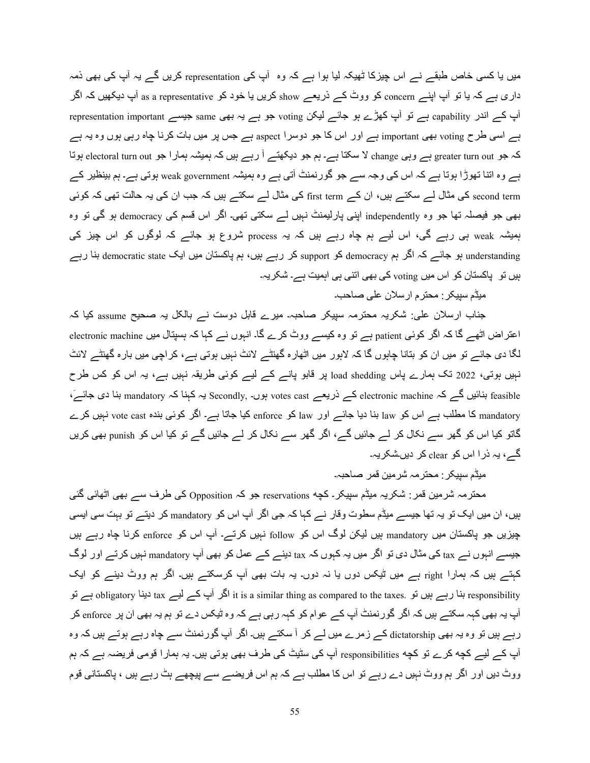میں یا کسی خاص طبقے نے اس چیزکا ٹھیکہ لیا ہوا ہے کہ وہ آپ کی representation کریں گے یہ آپ کی بھی ذمہ داری ہے کہ یا تو آپ اپنے concern کو ووٹ کے ذریعے show کریں یا خود کو as a representative آپ دیکھیں کہ اگر representation important ہے تو آپ کھڑے ہو جائے لیکن voting جو ہے یہ بھی same جیسے representation important ہے اسی طرح voting بھی important ہے اور اس کا جو دوسرا aspect ہے جس پر میں بات کرنا چاہ رہی ہوں وہ یہ ہے کہ جو greater turn out ہے وہی change لا سکتا ہے۔ ہم جو دیکھتے آ رہے ہیں کہ ہمیشہ ہمارا جو electoral turn out ہوتا ہے وہ اتنا تھوڑا ہوتا ہے کہ اس کی وجہ سے جو گورنمنٹ آتی ہے وہ ہمیشہ weak government ہوتی ہے۔ ہم بینظیر کے second term کی مثال لے سکتے ہیں، ان کے first term کی مثال لے سکتے ہیں کہ جب ان کی یہ حالت تھی کہ کوئی بھی جو فیصلہ تھا جو وہ independently اپنی پارلیمنٹ نہیں لے سکتی تھی۔ اگر اس قسم کی democracy ہو گی تو وہ ہمیشہ weak ہی رہے گی، اس لیے ہم چاہ رہے ہیں کہ یہ process شروع ہو جائے کہ لوگوں کو اس چیز کی understanding ہو جائے کہ اگر ہم democracy کو support کر رہے ہیں، ہم پاکستان میں ایک democratic state بنا رہے ہیں تو پاکستان کو اس میں voting کی بھی اتنی ہی اہمیت ہے۔ شکریہ۔

میڈم سیپکر : محترم ارسلان علی صاحب۔

جناب ارسلان علی: شکریہ محترمہ سپیکر صاحبہ۔ میرے قابل دوست نے بالکل یہ صحیح assume کیا کہ اعتراض اٹھے گا کہ اگر کوئی patient ہے تو وہ کیسے ووٹ کرے گا۔ انبوں نے کہا کہ ہسپتال میں electronic machine ا لگا دی جائے تو میں ان کو بتانا چاہوں گا کہ لاہور میں اٹھارہ گھنٹے لائٹ نہیں ہوتی ہے، کراچی میں بارہ گھنٹے لائٹ نہیں ہوتی، 2022 تک ہمارے پاس load shedding پر قابو پانے کے لیے کوئی طریقہ نہیں ہے، یہ اس کو کس طرح feasible بنائیں گے کہ electronic machine کے ذریعے votes cast ہوں۔ Secondly یہ کہنا کہ mandatory بنا دی جائے، mandatory کا مطلب ہے اس کو law بنا دیا جائے اور law کو enforce کیا جاتا ہے۔ اگر کوئی بندہ vote cast نہیں کرے گاتو کیا اس کو گھر سے نکال کر لے جائیں گے، اگر گھر سے نکال کر لے جائیں گے تو کیا اس کو punish بھی کریں گے، یہ ذرا اس کو clear کر دیں۔شکریہ۔

میڈم سپیکر : محترمہ شرمین قمر صاحبہ۔

محترمہ شرمین قمر : شکریہ میڈم سپیکر ـ کچه reservations جو کہ Opposition کی طرف سے بھی اٹھائی گئی ہیں، ان میں ایک تو یہ تھا جیسے میڈم سطوت وقار نے کہا کہ جی اگر آپ اس کو mandatory کر دیتے تو بہت سی ایسی چیزیں جو پاکستان میں mandatory ہیں لیکن لوگ اس کو follow نہیں کرتے۔ آپ اس کو enforce کرنا چاہ رہے ہیں جیسے انہوں نے tax کی مثال دی تو اگر میں یہ کہوں کہ tax دینے کے عمل کو بھی آپ mandatory نہیں کرتے اور لوگ کہتے ہیں کہ ہمارا right ہے میں ٹیکس دوں یا نہ دوں۔ یہ بات بھی آپ کرسکتے ہیں۔ اگر ہم ووٹ دینے کو ایک SY ہے obligatory 4=Hد tax ےA ے2 پb ?|ا it is a similar thing as compared to the taxes. SY ںAہ رہے 4=h responsibility آپ یہ بھی کہہ سکتے ہیں کہ اگر گورنمنٹ آپ کے عوام کو کہہ رہی ہے کہ وہ ٹیکس دے تو ہم یہ بھی ان پر enforce کر رہے ہیں تو وہ یہ بھی dictatorship کے زمرے میں لے کر آ سکتے ہیں۔ اگر آپ گورنمنٹ سے چاہ رہے ہوتے ہیں کہ وہ آپ کے لیے کچه کرے تو کچه responsibilities آپ کی سٹیٹ کی طرف بھی ہوتی ہیں۔ یہ ہمارا قومی فریضہ ہے کہ ہم ووٹ دیں اور اگر ہم ووٹ نہیں دے رہے تو اس کا مطلب ہے کہ ہم اس فریضے سے پیچھے ہٹ رہے ہیں ، پاکستانی قوم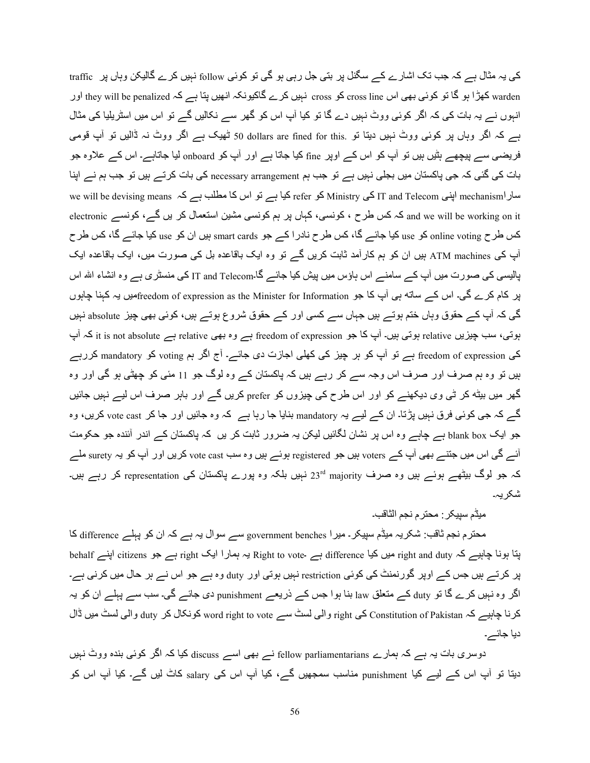کی یہ مثال ہے کہ جب تک اشارے کے سگنل پر بتی جل رہی ہو گی تو کوئی follow نہیں کرے گالیکن وہاں پر traffic warden کھڑا ہو گا تو کوئی بھی اس cross line کو cross نہیں کرے گاکیونکہ انھیں بتا ہے کہ they will be penalized اور انہوں نے یہ بات کی کہ اگر کوئی ووٹ نہیں دے گا تو کیا آپ اس کو گھر سے نکالیں گے تو اس میں اسٹریلیا کی مثال ہے کہ اگر وہاں پر کوئی ووٹ نہیں دیتا تو .50 dollars are fined for this ٹھیک ہے اگر ووٹ نہ ڈالیں تو آپ قومی فریضبی سے پیچھے ہٹیں ہیں تو آپ کو اس کے اوپر fine کیا جاتا ہے اور آپ کو onboard لیا جاتاہے۔ اس کے علاوہ جو بات کی گئی کہ جی پاکستان میں بجلی نہیں ہے تو جب ہم necessary arrangement کی بات کرتے ہیں تو جب ہم نے اپنا we will be devising means ہینی dinistry کو refer کیا ہے نو اس کا مطلب ہے کہ we will be devising means اپنی we electronic کہ کس طرح ، کونسی، کہاں پر ہم کونسی مشین استعمال کر یں گے، کونسے electronic اelectronic کس طرح online voting کو use کیا جائے گا، کس طرح نادر ا کے جو smart cards بیں ان کو use کیا جائے گا، کس طرح آب کی ATM machines بیں ان کو ہم کار آمد ثابت کریں گے تو وہ ایک باقاعدہ بل کی صورت میں، ایک باقاعدہ ایک پالیسی کی صورت میں آپ کے سامنے اس ہاؤس میں پیش کیا جائے گا۔IT and Telecom کی منسٹر ی ہے وہ انشاء الله اس پر کام کرے گی۔ اس کے ساته ہی آپ کا جو freedom of expression as the Minister for Informationکھیں یہ کہنا چاہوں گی کہ آپ کے حقوق وہاں ختم ہوتے ہیں جہاں سے کسی اور کے حقوق شروع ہوتے ہیں، کوئی بھی چیز absolute نہیں پوتی، سب چیزیں relative ہوتی ہیں۔ آپ کا جو freedom of expression ہے relative ہے relative ہے۔ it is not absolute کی freedom of expression ہے تو آپ کو ہر چیز کی کھلی اجازت دی جائے۔ آج اگر ہم voting کو mandatory کررہے ہیں تو وہ ہم صرف اور صرف اس وجہ سے کر رہے ہیں کہ پاکستان کے وہ لوگ جو 11 مئی کو چھٹی ہو گی اور وہ گھر میں بیٹ<sup>ھ</sup> کر ٹی وی دیکھنے کو اور اس طرح کی چیزوں کو prefer کریں گے اور باہر صرف اس لیے نہیں جائیں گے کہ جی کوئی فرق نہیں پڑتا۔ ان کے لیے یہ mandatory بنایا جا رہا ہے کہ وہ جائیں اور جا کر vote cast کریں، وہ جو ایک blank box ہے جاہے وہ اس پر نشان لگائیں لیکن یہ ضرور ثابت کر یں کہ پاکستان کے اندر آئندہ جو حکومت آئے گی اس میں جتنے بھی آپ کے voters ہیں جو registered ہوئے ہیں وہ سب vote cast کریں اور آپ کو یہ surety ملے کہ جو لوگ بیٹھے ہوئے ہیں وہ صرف majority نہیں بلکہ وہ پورے پاکستان کی representation کر رہے ہیں۔ شکر یہ۔

# ميڈم سبيكر : محتر م نجم الثاقب۔

محترم نجم ثاقب: شکریہ میڈم سپیکر ـ میر ا government benches سے سوال یہ ہے کہ ان کو پہلے difference کا پتا ہونا چاہیے کہ right and duty میں کیا difference ہے Right to vote یہ ہمارا ایک right ہے جو citizens اپنے behalf پر کرتے ہیں جس کے اوپر گورنمنٹ کی کوئی restriction نہیں ہوتی اور duty وہ ہے جو اس نے ہر حال میں کرنی ہے۔ اگر وہ نہیں کرے گا تو duty کے متعلق law بنا ہوا جس کے ذریعے punishment دی جائے گی۔ سب سے پہلے ان کو یہ کرنا چاہیے کہ Constitution of Pakistan کی right و الی لسٹ سے word right to vote کونکال کر duty والی لسٹ میں ڈال دیا جائے۔

دوسری بات یہ ہے کہ ہمارے fellow parliamentarians نے بھی اسے discuss کیا کہ اگر کوئی بندہ ووٹ نہیں دیتا تو آپ اس کے لیے کیا punishment مناسب سمجھیں گے، کیا آپ اس کی salary کاٹ لیں گے۔ کیا آپ اس کو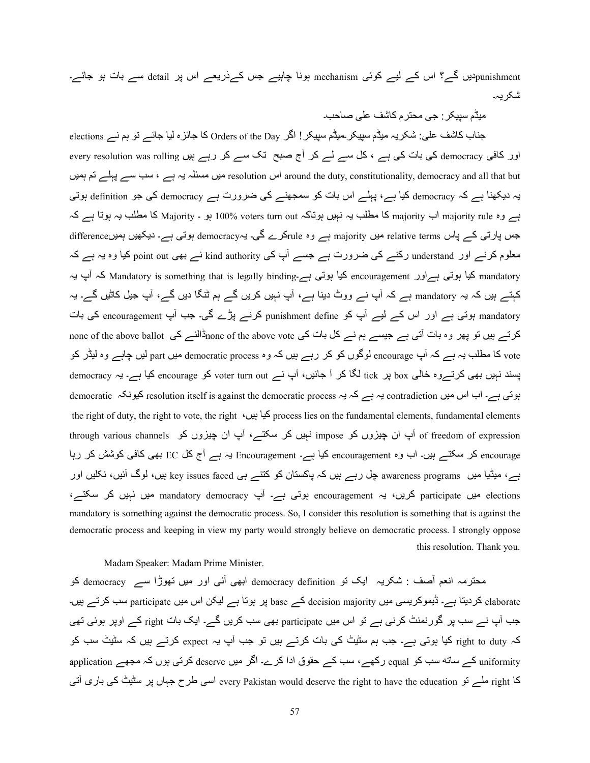punishmentدیں گے؟ اس کے لیے کوئی mechanism ہونا چاہیے جس کےذریعے اس پر detail سے بات ہو جائے۔ شکر یہ۔

میڈم سبیکر : جے محتر م کاشف علی صاحب۔

جناب کاشف علی: شکریہ میڈم سیپکر ۔میڈم سیپکر ! اگر Orders of the Day کا جائزہ لیا جائے تو ہم نے elections اور کافی democracy کی بات کی ہے ، کل سے لے کر آج صبح تک سے کر رہے ہیں every resolution was rolling اس resolution اس around the duty, constitutionality, democracy and all that but اس resolution میں مسئلہ یہ ہے ، سب سے پہلے تم ہمیں یہ دیکھنا ہے کہ democracy کیا ہے، پہلے اس بات کو سمجھنے کی ضرورت ہے democracy کی جو definition ہوتی ہے وہ majority rule اب majority کا مطلب یہ نہیں ہوتاکہ voters turn out ہو ۔ Majority کا مطلب یہ ہوتا ہے کہ جس پارٹی کے پاس relative terms میں majority ہے وہ ruleکرے گی۔ یہdemocracy ہوتی ہے۔ دیکھیں ہمیںdifference معلوم کرنے اور understand رکنے کی ضرورت ہے جسے آپ کی kind authority نے بھی point out کیا وہ یہ ہے کہ کیا ہوتی ہے۔encouragement کیا ہوتی ہے۔Mandatory is something that is legally binding کہ آپ یہ A کہتے ہیں کہ یہ mandatory ہے کہ آپ نے ووٹ دینا ہے، آپ نہیں کریں گے ہم ٹنگا دیں گے، آپ جیل کاٹیں گے۔ یہ mandatory بوتی ہے اور اس کے لیے آپ کو punishment define کرنے پڑے گی۔ جب آپ encouragement کی بات کرتے ہیں تو پھر وہ بات آتی ہے جیسے ہم نے کل بات کی none of the above ballotڈالنے کی none of the above ballot vote کا مطلب یہ ہے کہ آپ encourage لوگوں کو کر رہے ہیں کہ وہ democratic process میں part لیں چاہے وہ لیڈر کو پسند نہیں بھی کرتےوہ خالی box پر tick لگا کر آ جائیں، آپ نے voter turn out کو encourage کیا ہے۔ یہ democracy بوتی ہے۔ اب اس میں contradiction یہ ہے کہ یہ resolution itself is against the democratic process کیونکہ democratic the right of duty, the right to vote, the right  $\frac{1}{2}$  process lies on the fundamental elements, fundamental elements through various channels (آپ ان چیزوں کو impose نہیں کر سکتے ، آپ ان چیزوں کو encouragement کر سکتے ہیں۔ اب وہ encouragement کیا ہے۔ Encouragement یہ ہے آج کل EC بھی کافی کوشش کر رہا ہے، میڈیا میں awareness programs چل رہے ہیں کہ پاکستان کو کننے ہی key issues faced ہیں، لوگ آئیں، نکلیں اور elections میں participate کریں، یہ encouragement ہوتی ہے۔ آپ mandatory democracy میں نہیں کر سکتے، mandatory is something against the democratic process. So, I consider this resolution is something that is against the democratic process and keeping in view my party would strongly believe on democratic process. I strongly oppose this resolution. Thank you.

Madam Speaker: Madam Prime Minister.

محترمہ انعم اَصف : شکریہ ایک تو democracy definition ابھی اَئی اور میں تھوڑا سے democracy کو elaborate کر دیتا ہے۔ ڈیموکریسی میں decision majority کے base پر ہوتا ہے لیکن اس میں participate سب کرتے ہیں۔ جب آپ نے سب پر گورنمنٹ کرنی ہے تو اس میں participate بھی سب کریں گے۔ ایک بات right کے اوپر ہوئی تھی کہ right to duty کیا ہوتی ہے۔ جب ہم سٹیٹ کی بات کرتے ہیں تو جب آپ یہ expect کرتے ہیں کہ سٹیٹ سب کو uniformity کے ساته سب کو equal رکھے، سب کے حقوق ادا کرے۔ اگر میں deserve کرتی ہوں کہ مجھے application کا right ملے تو every Pakistan would deserve the right to have the education اسی طرح جہاں پر سٹیٹ کی باری آتی